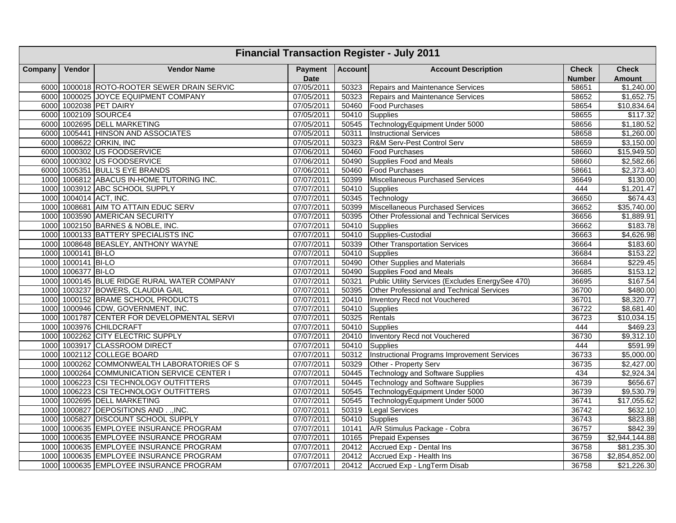|         | <b>Financial Transaction Register - July 2011</b> |                                             |                                  |       |                                                    |                               |                               |  |  |  |  |  |
|---------|---------------------------------------------------|---------------------------------------------|----------------------------------|-------|----------------------------------------------------|-------------------------------|-------------------------------|--|--|--|--|--|
| Company | Vendor                                            | <b>Vendor Name</b>                          | Payment   Account<br><b>Date</b> |       | <b>Account Description</b>                         | <b>Check</b><br><b>Number</b> | <b>Check</b><br><b>Amount</b> |  |  |  |  |  |
|         |                                                   | 6000 1000018 ROTO-ROOTER SEWER DRAIN SERVIC | 07/05/2011                       | 50323 | Repairs and Maintenance Services                   | 58651                         | \$1,240.00                    |  |  |  |  |  |
|         |                                                   | 6000 1000025 JOYCE EQUIPMENT COMPANY        | 07/05/2011                       | 50323 | <b>Repairs and Maintenance Services</b>            | 58652                         | $\overline{\$1,652.75}$       |  |  |  |  |  |
|         |                                                   | 6000 1002038 PET DAIRY                      | 07/05/2011                       |       | 50460 Food Purchases                               | 58654                         | \$10,834.64                   |  |  |  |  |  |
|         |                                                   | 6000 1002109 SOURCE4                        | 07/05/2011                       |       | 50410 Supplies                                     | 58655                         | \$117.32                      |  |  |  |  |  |
|         |                                                   | 6000 1002695 DELL MARKETING                 | 07/05/2011                       |       | 50545 TechnologyEquipment Under 5000               | 58656                         | \$1,180.52                    |  |  |  |  |  |
| 6000    |                                                   | 1005441 HINSON AND ASSOCIATES               | 07/05/2011                       | 50311 | <b>Instructional Services</b>                      | 58658                         | \$1,260.00                    |  |  |  |  |  |
| 6000    |                                                   | 1008622 ORKIN, INC                          | 07/05/2011                       | 50323 | R&M Serv-Pest Control Serv                         | 58659                         | \$3,150.00                    |  |  |  |  |  |
| 6000    |                                                   | 1000302 US FOODSERVICE                      | 07/06/2011                       | 50460 | <b>Food Purchases</b>                              | 58660                         | \$15,949.50                   |  |  |  |  |  |
|         |                                                   | 6000 1000302 US FOODSERVICE                 | 07/06/2011                       | 50490 | Supplies Food and Meals                            | 58660                         | \$2,582.66                    |  |  |  |  |  |
| 6000    |                                                   | 1005351 BULL'S EYE BRANDS                   | 07/06/2011                       | 50460 | <b>Food Purchases</b>                              | 58661                         | \$2,373.40                    |  |  |  |  |  |
|         |                                                   | 1000 1006812 ABACUS IN-HOME TUTORING INC.   | 07/07/2011                       | 50399 | Miscellaneous Purchased Services                   | 36649                         | \$130.00                      |  |  |  |  |  |
|         |                                                   | 1000 1003912 ABC SCHOOL SUPPLY              | 07/07/2011                       | 50410 | <b>Supplies</b>                                    | 444                           | \$1,201.47                    |  |  |  |  |  |
|         |                                                   | 1000 1004014 ACT, INC.                      | 07/07/2011                       | 50345 | Technology                                         | 36650                         | \$674.43                      |  |  |  |  |  |
|         |                                                   | 1000 1008681 AIM TO ATTAIN EDUC SERV        | 07/07/2011                       | 50399 | Miscellaneous Purchased Services                   | 36652                         | \$35,740.00                   |  |  |  |  |  |
|         |                                                   | 1000 1003590 AMERICAN SECURITY              | 07/07/2011                       | 50395 | Other Professional and Technical Services          | 36656                         | $\overline{$1,889.91}$        |  |  |  |  |  |
|         |                                                   | 1000 1002150 BARNES & NOBLE, INC.           | 07/07/2011                       | 50410 | Supplies                                           | 36662                         | \$183.78                      |  |  |  |  |  |
|         |                                                   | 1000 1000133 BATTERY SPECIALISTS INC        | 07/07/2011                       | 50410 | Supplies-Custodial                                 | 36663                         | \$4,626.98                    |  |  |  |  |  |
|         |                                                   | 1000 1008648 BEASLEY, ANTHONY WAYNE         | 07/07/2011                       | 50339 | <b>Other Transportation Services</b>               | 36664                         | \$183.60                      |  |  |  |  |  |
|         | 1000 1000141 BI-LO                                |                                             | 07/07/2011                       | 50410 | Supplies                                           | 36684                         | \$153.22                      |  |  |  |  |  |
|         | 1000 1000141 BI-LO                                |                                             | 07/07/2011                       | 50490 | Other Supplies and Materials                       | 36684                         | \$229.45                      |  |  |  |  |  |
|         | 1000 1006377 BI-LO                                |                                             | 07/07/2011                       |       | 50490 Supplies Food and Meals                      | 36685                         | \$153.12                      |  |  |  |  |  |
|         |                                                   | 1000 1000145 BLUE RIDGE RURAL WATER COMPANY | 07/07/2011                       | 50321 | Public Utility Services (Excludes EnergySee 470)   | 36695                         | \$167.54                      |  |  |  |  |  |
| 1000    |                                                   | 1003237 BOWERS, CLAUDIA GAIL                | 07/07/2011                       | 50395 | Other Professional and Technical Services          | 36700                         | \$480.00                      |  |  |  |  |  |
|         |                                                   | 1000 1000152 BRAME SCHOOL PRODUCTS          | 07/07/2011                       | 20410 | Inventory Recd not Vouchered                       | 36701                         | \$8,320.77                    |  |  |  |  |  |
|         |                                                   | 1000 1000946 CDW, GOVERNMENT, INC.          | 07/07/2011                       | 50410 | <b>Supplies</b>                                    | 36722                         | \$8,681.40                    |  |  |  |  |  |
|         |                                                   | 1000 1001787 CENTER FOR DEVELOPMENTAL SERVI | 07/07/2011                       | 50325 | Rentals                                            | 36723                         | \$10,034.15                   |  |  |  |  |  |
|         |                                                   | 1000 1003976 CHILDCRAFT                     | 07/07/2011                       | 50410 | <b>Supplies</b>                                    | 444                           | \$469.23                      |  |  |  |  |  |
|         |                                                   | 1000 1002262 CITY ELECTRIC SUPPLY           | 07/07/2011                       | 20410 | Inventory Recd not Vouchered                       | 36730                         | $\overline{$9,312.10}$        |  |  |  |  |  |
|         |                                                   | 1000 1003917 CLASSROOM DIRECT               | 07/07/2011                       | 50410 | Supplies                                           | 444                           | \$591.99                      |  |  |  |  |  |
|         |                                                   | 1000 1002112 COLLEGE BOARD                  | 07/07/2011                       | 50312 | <b>Instructional Programs Improvement Services</b> | 36733                         | \$5,000.00                    |  |  |  |  |  |
|         |                                                   | 1000 1000262 COMMONWEALTH LABORATORIES OF S | 07/07/2011                       | 50329 | Other - Property Serv                              | 36735                         | \$2,427.00                    |  |  |  |  |  |
|         |                                                   | 1000 1000264 COMMUNICATION SERVICE CENTER I | 07/07/2011                       | 50445 | <b>Technology and Software Supplies</b>            | 434                           | \$2,924.34                    |  |  |  |  |  |
|         |                                                   | 1000 1006223 CSI TECHNOLOGY OUTFITTERS      | 07/07/2011                       | 50445 | <b>Technology and Software Supplies</b>            | 36739                         | \$656.67                      |  |  |  |  |  |
|         |                                                   | 1000 1006223 CSI TECHNOLOGY OUTFITTERS      | 07/07/2011                       | 50545 | TechnologyEquipment Under 5000                     | 36739                         | \$9,530.79                    |  |  |  |  |  |
|         |                                                   | 1000 1002695 DELL MARKETING                 | 07/07/2011                       | 50545 | TechnologyEquipment Under 5000                     | 36741                         | \$17,055.62                   |  |  |  |  |  |
| 1000    |                                                   | 1000827 DEPOSITIONS AND  INC.               | 07/07/2011                       | 50319 | <b>Legal Services</b>                              | 36742                         | \$632.10                      |  |  |  |  |  |
|         |                                                   | 1000 1005827 DISCOUNT SCHOOL SUPPLY         | 07/07/2011                       | 50410 | Supplies                                           | 36743                         | \$823.88                      |  |  |  |  |  |
|         |                                                   | 1000 1000635 EMPLOYEE INSURANCE PROGRAM     | 07/07/2011                       | 10141 | A/R Stimulus Package - Cobra                       | 36757                         | \$842.39                      |  |  |  |  |  |
|         |                                                   | 1000 1000635 EMPLOYEE INSURANCE PROGRAM     | 07/07/2011                       | 10165 | <b>Prepaid Expenses</b>                            | 36759                         | \$2,944,144.88                |  |  |  |  |  |
|         |                                                   | 1000 1000635 EMPLOYEE INSURANCE PROGRAM     | 07/07/2011                       | 20412 | Accrued Exp - Dental Ins                           | 36758                         | \$81,235.30                   |  |  |  |  |  |
|         |                                                   | 1000 1000635 EMPLOYEE INSURANCE PROGRAM     | 07/07/2011                       |       | 20412 Accrued Exp - Health Ins                     | 36758                         | \$2,854,852.00                |  |  |  |  |  |
|         |                                                   | 1000 1000635 EMPLOYEE INSURANCE PROGRAM     | 07/07/2011                       |       | 20412 Accrued Exp - LngTerm Disab                  | 36758                         | \$21,226.30                   |  |  |  |  |  |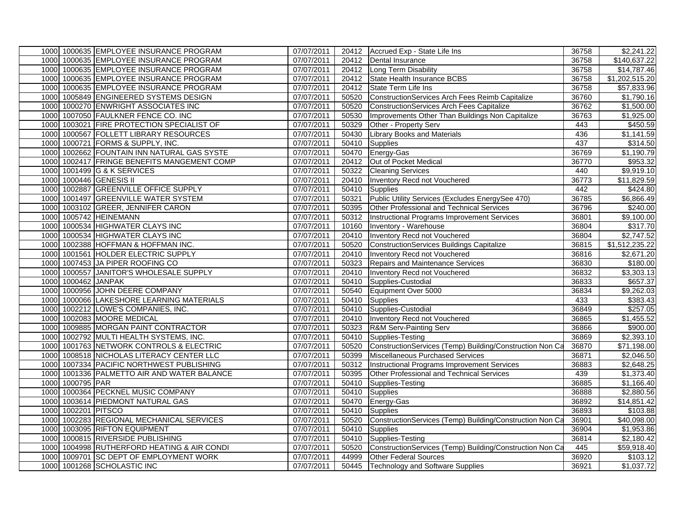|      |                     | 1000 1000635 EMPLOYEE INSURANCE PROGRAM     | 07/07/2011 |       | 20412 Accrued Exp - State Life Ins                       | 36758 | \$2,241.22             |
|------|---------------------|---------------------------------------------|------------|-------|----------------------------------------------------------|-------|------------------------|
|      |                     | 1000 1000635 EMPLOYEE INSURANCE PROGRAM     | 07/07/2011 |       | 20412 Dental Insurance                                   | 36758 | \$140,637.22           |
|      |                     | 1000 1000635 EMPLOYEE INSURANCE PROGRAM     | 07/07/2011 |       | 20412 Long Term Disability                               | 36758 | \$14,787.46            |
|      |                     | 1000 1000635 EMPLOYEE INSURANCE PROGRAM     | 07/07/2011 |       | 20412 State Health Insurance BCBS                        | 36758 | \$1,202,515.20         |
|      |                     | 1000 1000635 EMPLOYEE INSURANCE PROGRAM     | 07/07/2011 |       | 20412 State Term Life Ins                                | 36758 | \$57,833.96            |
|      |                     | 1000 1005849 ENGINEERED SYSTEMS DESIGN      | 07/07/2011 | 50520 | ConstructionServices Arch Fees Reimb Capitalize          | 36760 | \$1,790.16             |
|      |                     | 1000 1000270 ENWRIGHT ASSOCIATES INC        | 07/07/2011 | 50520 | <b>ConstructionServices Arch Fees Capitalize</b>         | 36762 | \$1,500.00             |
|      |                     | 1000 1007050 FAULKNER FENCE CO. INC         | 07/07/2011 | 50530 | Improvements Other Than Buildings Non Capitalize         | 36763 | \$1,925.00             |
|      |                     | 1000 1003021 FIRE PROTECTION SPECIALIST OF  | 07/07/2011 |       | 50329 Other - Property Serv                              | 443   | \$450.59               |
|      |                     | 1000 1000567 FOLLETT LIBRARY RESOURCES      | 07/07/2011 | 50430 | <b>Library Books and Materials</b>                       | 436   | \$1,141.59             |
|      |                     | 1000 1000721 FORMS & SUPPLY, INC.           | 07/07/2011 | 50410 | Supplies                                                 | 437   | \$314.50               |
|      |                     | 1000 1002662 FOUNTAIN INN NATURAL GAS SYSTE | 07/07/2011 |       | 50470 Energy-Gas                                         | 36769 | \$1,190.79             |
|      |                     | 1000 1002417 FRINGE BENEFITS MANGEMENT COMP | 07/07/2011 |       | 20412 Out of Pocket Medical                              | 36770 | \$953.32               |
|      |                     | 1000 1001499 G & K SERVICES                 | 07/07/2011 |       | 50322 Cleaning Services                                  | 440   | \$9,919.10             |
|      |                     | 1000 1000446 GENESIS II                     | 07/07/2011 | 20410 | Inventory Recd not Vouchered                             | 36773 | \$11,829.59            |
|      |                     | 1000 1002887 GREENVILLE OFFICE SUPPLY       | 07/07/2011 | 50410 | Supplies                                                 | 442   | \$424.80               |
|      |                     | 1000 1001497 GREENVILLE WATER SYSTEM        | 07/07/2011 | 50321 | Public Utility Services (Excludes EnergySee 470)         | 36785 | \$6,866.49             |
|      |                     | 1000 1003102 GREER, JENNIFER CARON          | 07/07/2011 | 50395 | Other Professional and Technical Services                | 36796 | $\sqrt{$240.00}$       |
|      |                     | 1000 1005742 HEINEMANN                      | 07/07/2011 |       | 50312 Instructional Programs Improvement Services        | 36801 | \$9,100.00             |
|      |                     | 1000 1000534 HIGHWATER CLAYS INC            | 07/07/2011 |       | 10160 Inventory - Warehouse                              | 36804 | \$317.70               |
|      |                     | 1000 1000534 HIGHWATER CLAYS INC            | 07/07/2011 | 20410 | Inventory Recd not Vouchered                             | 36804 | \$2,747.52             |
|      |                     | 1000 1002388 HOFFMAN & HOFFMAN INC.         | 07/07/2011 |       | 50520 ConstructionServices Buildings Capitalize          | 36815 | \$1,512,235.22         |
| 1000 |                     | 1001561 HOLDER ELECTRIC SUPPLY              | 07/07/2011 | 20410 | Inventory Recd not Vouchered                             | 36816 | \$2,671.20             |
|      |                     | 1000 1007453 JA PIPER ROOFING CO            | 07/07/2011 |       | 50323 Repairs and Maintenance Services                   | 36830 | \$180.00               |
|      |                     | 1000 1000557 JANITOR'S WHOLESALE SUPPLY     | 07/07/2011 |       | 20410 Inventory Recd not Vouchered                       | 36832 | \$3,303.13             |
| 1000 | 1000462 JANPAK      |                                             | 07/07/2011 | 50410 | Supplies-Custodial                                       | 36833 | \$657.37               |
|      |                     | 1000 1000956 JOHN DEERE COMPANY             | 07/07/2011 |       | 50540 Equipment Over 5000                                | 36834 | \$9,262.03             |
| 1000 |                     | 1000066 LAKESHORE LEARNING MATERIALS        | 07/07/2011 |       | 50410 Supplies                                           | 433   | \$383.43               |
|      |                     | 1000 1002212 LOWE'S COMPANIES, INC.         | 07/07/2011 |       | 50410 Supplies-Custodial                                 | 36849 | \$257.05               |
|      |                     | 1000 1002083 MOORE MEDICAL                  | 07/07/2011 |       | 20410 Inventory Recd not Vouchered                       | 36865 | \$1,455.52             |
| 1000 |                     | 1009885 MORGAN PAINT CONTRACTOR             | 07/07/2011 | 50323 | R&M Serv-Painting Serv                                   | 36866 | \$900.00               |
|      |                     | 1000 1002792 MULTI HEALTH SYSTEMS, INC.     | 07/07/2011 |       | 50410 Supplies-Testing                                   | 36869 | \$2,393.10             |
|      |                     | 1000 1001763 NETWORK CONTROLS & ELECTRIC    | 07/07/2011 | 50520 | ConstructionServices (Temp) Building/Construction Non Ca | 36870 | \$71,198.00            |
|      |                     | 1000 1008518 NICHOLAS LITERACY CENTER LLC   | 07/07/2011 | 50399 | Miscellaneous Purchased Services                         | 36871 | \$2,046.50             |
|      |                     | 1000 1007334 PACIFIC NORTHWEST PUBLISHING   | 07/07/2011 | 50312 | Instructional Programs Improvement Services              | 36883 | \$2,648.25             |
| 1000 |                     | 1001336 PALMETTO AIR AND WATER BALANCE      | 07/07/2011 | 50395 | Other Professional and Technical Services                | 439   | \$1,373.40             |
|      | 1000 1000795 PAR    |                                             | 07/07/2011 |       | 50410 Supplies-Testing                                   | 36885 | \$1,166.40             |
|      |                     | 1000 1000364 PECKNEL MUSIC COMPANY          | 07/07/2011 |       | 50410 Supplies                                           | 36888 | \$2,880.56             |
| 1000 |                     | 1003614 PIEDMONT NATURAL GAS                | 07/07/2011 | 50470 | Energy-Gas                                               | 36892 | \$14,851.42            |
|      | 1000 1002201 PITSCO |                                             | 07/07/2011 |       | 50410 Supplies                                           | 36893 | \$103.88               |
|      |                     | 1000 1002283 REGIONAL MECHANICAL SERVICES   | 07/07/2011 | 50520 | ConstructionServices (Temp) Building/Construction Non Ca | 36901 | \$40,098.00            |
| 1000 |                     | 1003095 RIFTON EQUIPMENT                    | 07/07/2011 | 50410 | Supplies                                                 | 36904 | \$1,953.86             |
|      |                     | 1000 1000815 RIVERSIDE PUBLISHING           | 07/07/2011 |       | 50410 Supplies-Testing                                   | 36814 | $\overline{$2,180.42}$ |
|      |                     | 1000 1004998 RUTHERFORD HEATING & AIR CONDI | 07/07/2011 | 50520 | ConstructionServices (Temp) Building/Construction Non Ca | 445   | \$59,918.40            |
| 1000 |                     | 1009701 SC DEPT OF EMPLOYMENT WORK          | 07/07/2011 |       | 44999 Other Federal Sources                              | 36920 | \$103.12               |
|      |                     | 1000 1001268 SCHOLASTIC INC                 | 07/07/2011 |       | 50445 Technology and Software Supplies                   | 36921 | \$1,037.72             |
|      |                     |                                             |            |       |                                                          |       |                        |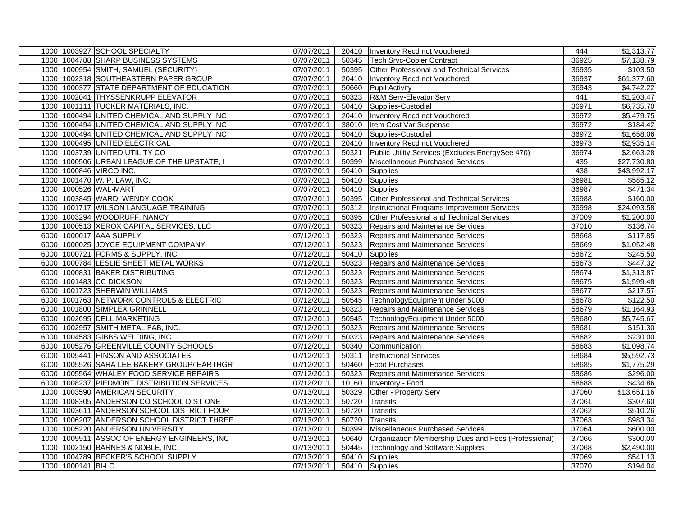|      |                    | 1000 1003927 SCHOOL SPECIALTY               | 07/07/2011 |       | 20410 Inventory Recd not Vouchered                   | 444   | \$1,313.77              |
|------|--------------------|---------------------------------------------|------------|-------|------------------------------------------------------|-------|-------------------------|
|      |                    | 1000 1004788 SHARP BUSINESS SYSTEMS         | 07/07/2011 |       | 50345   Tech Srvc-Copier Contract                    | 36925 | \$7,138.79              |
|      |                    | 1000 1000954 SMITH, SAMUEL (SECURITY)       | 07/07/2011 |       | 50395 Other Professional and Technical Services      | 36935 | \$103.50                |
|      |                    | 1000 1002318 SOUTHEASTERN PAPER GROUP       | 07/07/2011 |       | 20410 Inventory Recd not Vouchered                   | 36937 | \$61,377.60             |
|      |                    | 1000 1000377 STATE DEPARTMENT OF EDUCATION  | 07/07/2011 |       | 50660 Pupil Activity                                 | 36943 | \$4,742.22              |
|      |                    | 1000 1002041 THYSSENKRUPP ELEVATOR          | 07/07/2011 |       | 50323 R&M Serv-Elevator Serv                         | 441   | $\overline{$1,203.47}$  |
|      |                    | 1000 1001111 TUCKER MATERIALS, INC.         | 07/07/2011 |       | 50410 Supplies-Custodial                             | 36971 | \$6,735.70              |
|      |                    | 1000 1000494 UNITED CHEMICAL AND SUPPLY INC | 07/07/2011 |       | 20410 Inventory Recd not Vouchered                   | 36972 | \$5,479.75              |
|      |                    | 1000 1000494 UNITED CHEMICAL AND SUPPLY INC | 07/07/2011 |       | 38010 Item Cost Var Suspense                         | 36972 | \$184.42                |
|      |                    | 1000 1000494 UNITED CHEMICAL AND SUPPLY INC | 07/07/2011 |       | 50410 Supplies-Custodial                             | 36972 | \$1,658.06              |
|      |                    | 1000 1000495 UNITED ELECTRICAL              | 07/07/2011 |       | 20410 Inventory Recd not Vouchered                   | 36973 | \$2,935.14              |
|      |                    | 1000 1003739 UNITED UTILITY CO              | 07/07/2011 | 50321 | Public Utility Services (Excludes EnergySee 470)     | 36974 | \$2,663.28              |
|      |                    | 1000 1000506 URBAN LEAGUE OF THE UPSTATE, I | 07/07/2011 |       | 50399 Miscellaneous Purchased Services               | 435   | $\overline{$27,730.80}$ |
|      |                    | 1000 1000846 VIRCO INC.                     | 07/07/2011 |       | 50410 Supplies                                       | 438   | \$43,992.17             |
|      |                    | 1000 1001470 W. P. LAW, INC.                | 07/07/2011 |       | 50410 Supplies                                       | 36981 | \$585.12                |
|      |                    | 1000 1000526 WAL-MART                       | 07/07/2011 |       | 50410 Supplies                                       | 36987 | \$471.34                |
|      |                    | 1000 1003845 WARD, WENDY COOK               | 07/07/2011 |       | 50395 Other Professional and Technical Services      | 36988 | \$160.00                |
|      |                    | 1000 1001717 WILSON LANGUAGE TRAINING       | 07/07/2011 | 50312 | Instructional Programs Improvement Services          | 36998 | $\overline{$24,093.58}$ |
|      |                    | 1000 1003294 WOODRUFF, NANCY                | 07/07/2011 | 50395 | Other Professional and Technical Services            | 37009 | $\overline{$1,200.00}$  |
|      |                    | 1000 1000513 XEROX CAPITAL SERVICES, LLC    | 07/07/2011 |       | 50323 Repairs and Maintenance Services               | 37010 | \$136.74                |
|      |                    | 6000 1000017 AAA SUPPLY                     | 07/12/2011 |       | 50323 Repairs and Maintenance Services               | 58668 | $\overline{$}117.85$    |
|      |                    | 6000 1000025 JOYCE EQUIPMENT COMPANY        | 07/12/2011 |       | 50323 Repairs and Maintenance Services               | 58669 | \$1,052.48              |
|      |                    | 6000 1000721 FORMS & SUPPLY, INC.           | 07/12/2011 |       | 50410 Supplies                                       | 58672 | \$245.50                |
|      |                    | 6000 1000784 LESLIE SHEET METAL WORKS       | 07/12/2011 |       | 50323 Repairs and Maintenance Services               | 58673 | \$447.32                |
|      |                    | 6000 1000831 BAKER DISTRIBUTING             | 07/12/2011 |       | 50323 Repairs and Maintenance Services               | 58674 | \$1,313.87              |
|      |                    | 6000 1001483 CC DICKSON                     | 07/12/2011 |       | 50323 Repairs and Maintenance Services               | 58675 | \$1,599.48              |
|      |                    | 6000 1001723 SHERWIN WILLIAMS               | 07/12/2011 |       | 50323 Repairs and Maintenance Services               | 58677 | \$217.57                |
|      |                    | 6000 1001763 NETWORK CONTROLS & ELECTRIC    | 07/12/2011 |       | 50545 TechnologyEquipment Under 5000                 | 58678 | \$122.50                |
|      |                    | 6000 1001800 SIMPLEX GRINNELL               | 07/12/2011 |       | 50323 Repairs and Maintenance Services               | 58679 | \$1,164.93              |
|      |                    | 6000 1002695 DELL MARKETING                 | 07/12/2011 |       | 50545 TechnologyEquipment Under 5000                 | 58680 | \$5,745.67              |
|      |                    | 6000 1002957 SMITH METAL FAB, INC.          | 07/12/2011 | 50323 | <b>Repairs and Maintenance Services</b>              | 58681 | \$151.30                |
|      |                    | 6000 1004583 GIBBS WELDING, INC.            | 07/12/2011 | 50323 | <b>Repairs and Maintenance Services</b>              | 58682 | \$230.00                |
|      |                    | 6000 1005276 GREENVILLE COUNTY SCHOOLS      | 07/12/2011 | 50340 | Communication                                        | 58683 | \$1,098.74              |
|      |                    | 6000 1005441 HINSON AND ASSOCIATES          | 07/12/2011 | 50311 | <b>Instructional Services</b>                        | 58684 | \$5,592.73              |
|      |                    | 6000 1005526 SARA LEE BAKERY GROUP/ EARTHGR | 07/12/2011 |       | 50460 Food Purchases                                 | 58685 | \$1,775.29              |
| 6000 |                    | 1005564 WHALEY FOOD SERVICE REPAIRS         | 07/12/2011 | 50323 | Repairs and Maintenance Services                     | 58686 | \$296.00                |
|      |                    | 6000 1008237 PIEDMONT DISTRIBUTION SERVICES | 07/12/2011 | 10160 | Inventory - Food                                     | 58688 | \$434.86                |
|      |                    | 1000 1003590 AMERICAN SECURITY              | 07/13/2011 | 50329 | Other - Property Serv                                | 37060 | \$13,651.16             |
|      |                    | 1000 1008305 ANDERSON CO SCHOOL DIST ONE    | 07/13/2011 | 50720 | Transits                                             | 37061 | \$307.60                |
|      |                    | 1000 1003611 ANDERSON SCHOOL DISTRICT FOUR  | 07/13/2011 | 50720 | Transits                                             | 37062 | \$510.26                |
| 1000 |                    | 1006207 ANDERSON SCHOOL DISTRICT THREE      | 07/13/2011 | 50720 | Transits                                             | 37063 | \$983.34                |
|      |                    | 1000 1005220 ANDERSON UNIVERSITY            | 07/13/2011 | 50399 | Miscellaneous Purchased Services                     | 37064 | \$600.00                |
|      |                    | 1000 1009911 ASSOC OF ENERGY ENGINEERS, INC | 07/13/2011 | 50640 | Organization Membership Dues and Fees (Professional) | 37066 | \$300.00                |
|      |                    | 1000 1002150 BARNES & NOBLE, INC.           | 07/13/2011 | 50445 | <b>Technology and Software Supplies</b>              | 37068 | $\sqrt{$2,490.00}$      |
| 1000 |                    | 1004789 BECKER'S SCHOOL SUPPLY              | 07/13/2011 | 50410 | Supplies                                             | 37069 | \$541.13                |
|      | 1000 1000141 BI-LO |                                             | 07/13/2011 |       | 50410 Supplies                                       | 37070 | \$194.04                |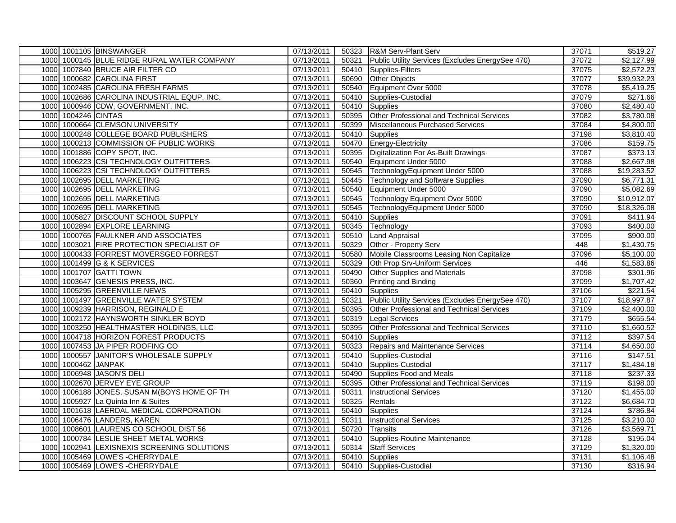|      |                | 1000 1001105 BINSWANGER                     | 07/13/2011 |       | 50323 R&M Serv-Plant Serv                        | 37071 | \$519.27                |
|------|----------------|---------------------------------------------|------------|-------|--------------------------------------------------|-------|-------------------------|
|      |                | 1000 1000145 BLUE RIDGE RURAL WATER COMPANY | 07/13/2011 | 50321 | Public Utility Services (Excludes EnergySee 470) | 37072 | \$2,127.99              |
|      |                | 1000 1007840 BRUCE AIR FILTER CO            | 07/13/2011 |       | 50410 Supplies-Filters                           | 37075 | \$2,572.23              |
| 1000 |                | 1000682 CAROLINA FIRST                      | 07/13/2011 |       | 50690 Other Objects                              | 37077 | \$39,932.23             |
|      |                | 1000 1002485 CAROLINA FRESH FARMS           | 07/13/2011 |       | 50540 Equipment Over 5000                        | 37078 | \$5,419.25              |
| 1000 |                | 1002686 CAROLINA INDUSTRIAL EQUP. INC.      | 07/13/2011 |       | 50410 Supplies-Custodial                         | 37079 | \$271.66                |
| 1000 |                | 1000946 CDW, GOVERNMENT, INC.               | 07/13/2011 |       | 50410 Supplies                                   | 37080 | $\sqrt{$2,480.40}$      |
| 1000 | 1004246 CINTAS |                                             | 07/13/2011 | 50395 | Other Professional and Technical Services        | 37082 | \$3,780.08              |
| 1000 |                | 1000664 CLEMSON UNIVERSITY                  | 07/13/2011 |       | 50399 Miscellaneous Purchased Services           | 37084 | \$4,800.00              |
| 1000 |                | 1000248 COLLEGE BOARD PUBLISHERS            | 07/13/2011 |       | 50410 Supplies                                   | 37198 | \$3,810.40              |
| 1000 |                | 1000213 COMMISSION OF PUBLIC WORKS          | 07/13/2011 |       | 50470 Energy-Electricity                         | 37086 | \$159.75                |
| 1000 |                | 1001886 COPY SPOT, INC.                     | 07/13/2011 |       | 50395 Digitalization For As-Built Drawings       | 37087 | \$373.13                |
| 1000 |                | 1006223 CSI TECHNOLOGY OUTFITTERS           | 07/13/2011 |       | 50540 Equipment Under 5000                       | 37088 | \$2,667.98              |
| 1000 |                | 1006223 CSI TECHNOLOGY OUTFITTERS           | 07/13/2011 |       | 50545 TechnologyEquipment Under 5000             | 37088 | \$19,283.52             |
| 1000 |                | 1002695 DELL MARKETING                      | 07/13/2011 |       | 50445 Technology and Software Supplies           | 37090 | \$6,771.31              |
| 1000 |                | 1002695 DELL MARKETING                      | 07/13/2011 |       | 50540 Equipment Under 5000                       | 37090 | \$5,082.69              |
| 1000 |                | 1002695 DELL MARKETING                      | 07/13/2011 |       | 50545 Technology Equipment Over 5000             | 37090 | $\overline{$10,912.07}$ |
| 1000 |                | 1002695 DELL MARKETING                      | 07/13/2011 | 50545 | TechnologyEquipment Under 5000                   | 37090 | \$18,326.08             |
| 1000 |                | 1005827 DISCOUNT SCHOOL SUPPLY              | 07/13/2011 |       | 50410 Supplies                                   | 37091 | \$411.94                |
| 1000 |                | 1002894 EXPLORE LEARNING                    | 07/13/2011 |       | 50345 Technology                                 | 37093 | \$400.00                |
| 1000 |                | 1000765 FAULKNER AND ASSOCIATES             | 07/13/2011 | 50510 | <b>Land Appraisal</b>                            | 37095 | \$900.00                |
| 1000 |                | 1003021 FIRE PROTECTION SPECIALIST OF       | 07/13/2011 | 50329 | Other - Property Serv                            | 448   | \$1,430.75              |
| 1000 |                | 1000433 FORREST MOVERSGEO FORREST           | 07/13/2011 | 50580 | Mobile Classrooms Leasing Non Capitalize         | 37096 | \$5,100.00              |
| 1000 |                | 1001499 G & K SERVICES                      | 07/13/2011 |       | 50329 Oth Prop Srv-Uniform Services              | 446   | \$1,583.86              |
| 1000 |                | 1001707 GATTI TOWN                          | 07/13/2011 | 50490 | Other Supplies and Materials                     | 37098 | \$301.96                |
| 1000 |                | 1003647 GENESIS PRESS, INC.                 | 07/13/2011 | 50360 | <b>Printing and Binding</b>                      | 37099 | \$1,707.42              |
| 1000 |                | 1005295 GREENVILLE NEWS                     | 07/13/2011 |       | 50410 Supplies                                   | 37106 | \$221.54                |
| 1000 |                | 1001497 GREENVILLE WATER SYSTEM             | 07/13/2011 | 50321 | Public Utility Services (Excludes EnergySee 470) | 37107 | \$18,997.87             |
| 1000 |                | 1009239 HARRISON, REGINALD E                | 07/13/2011 |       | 50395 Other Professional and Technical Services  | 37109 | \$2,400.00              |
|      |                | 1000 1002172 HAYNSWORTH SINKLER BOYD        | 07/13/2011 | 50319 | <b>Legal Services</b>                            | 37179 | \$655.54                |
| 1000 |                | 1003250 HEALTHMASTER HOLDINGS, LLC          | 07/13/2011 | 50395 | Other Professional and Technical Services        | 37110 | \$1,660.52              |
| 1000 |                | 1004718 HORIZON FOREST PRODUCTS             | 07/13/2011 | 50410 | Supplies                                         | 37112 | \$397.54                |
| 1000 |                | 1007453 JA PIPER ROOFING CO                 | 07/13/2011 |       | 50323 Repairs and Maintenance Services           | 37114 | \$4,650.00              |
| 1000 |                | 1000557 JANITOR'S WHOLESALE SUPPLY          | 07/13/2011 | 50410 | Supplies-Custodial                               | 37116 | \$147.51                |
| 1000 | 1000462 JANPAK |                                             | 07/13/2011 |       | 50410 Supplies-Custodial                         | 37117 | \$1,484.18              |
| 1000 |                | 1006948 JASON'S DELI                        | 07/13/2011 | 50490 | Supplies Food and Meals                          | 37118 | \$237.33                |
| 1000 |                | 1002670 JERVEY EYE GROUP                    | 07/13/2011 | 50395 | Other Professional and Technical Services        | 37119 | \$198.00                |
| 1000 |                | 1006188 JONES, SUSAN M(BOYS HOME OF TH      | 07/13/2011 | 50311 | <b>Instructional Services</b>                    | 37120 | \$1,455.00              |
| 1000 |                | 1005927 La Quinta Inn & Suites              | 07/13/2011 | 50325 | Rentals                                          | 37122 | $\overline{$6,684.70}$  |
| 1000 |                | 1001618 LAERDAL MEDICAL CORPORATION         | 07/13/2011 | 50410 | Supplies                                         | 37124 | \$786.84                |
| 1000 |                | 1006476 LANDERS, KAREN                      | 07/13/2011 | 50311 | <b>Instructional Services</b>                    | 37125 | $\overline{$3,210.00}$  |
| 1000 |                | 1008601 LAURENS CO SCHOOL DIST 56           | 07/13/2011 | 50720 | Transits                                         | 37126 | \$3,569.71              |
| 1000 |                | 1000784 LESLIE SHEET METAL WORKS            | 07/13/2011 | 50410 | Supplies-Routine Maintenance                     | 37128 | \$195.04                |
| 1000 |                | 1002941 LEXISNEXIS SCREENING SOLUTIONS      | 07/13/2011 |       | 50314 Staff Services                             | 37129 | \$1,320.00              |
| 1000 |                | 1005469 LOWE'S - CHERRYDALE                 | 07/13/2011 |       | 50410 Supplies                                   | 37131 | \$1,106.48              |
|      |                | 1000 1005469 LOWE'S - CHERRYDALE            | 07/13/2011 |       | 50410 Supplies-Custodial                         | 37130 | \$316.94                |
|      |                |                                             |            |       |                                                  |       |                         |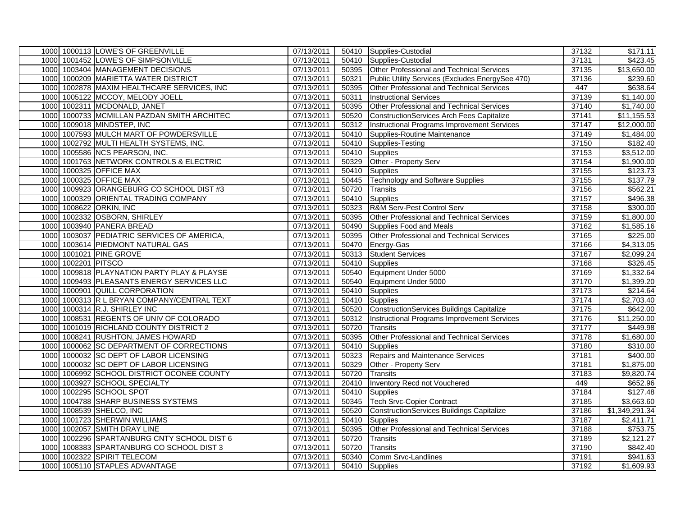|      |                     | 1000 1000113 LOWE'S OF GREENVILLE           | 07/13/2011 |       | 50410 Supplies-Custodial                          | 37132 | \$171.11               |
|------|---------------------|---------------------------------------------|------------|-------|---------------------------------------------------|-------|------------------------|
|      |                     | 1000 1001452 LOWE'S OF SIMPSONVILLE         | 07/13/2011 |       | 50410 Supplies-Custodial                          | 37131 | \$423.45               |
|      |                     | 1000 1003404 MANAGEMENT DECISIONS           | 07/13/2011 |       | 50395 Other Professional and Technical Services   | 37135 | \$13,650.00            |
|      |                     | 1000 1000209 MARIETTA WATER DISTRICT        | 07/13/2011 | 50321 | Public Utility Services (Excludes EnergySee 470)  | 37136 | \$239.60               |
|      |                     | 1000 1002878 MAXIM HEALTHCARE SERVICES, INC | 07/13/2011 | 50395 | Other Professional and Technical Services         | 447   | \$638.64               |
|      |                     | 1000 1005122 MCCOY, MELODY JOELL            | 07/13/2011 | 50311 | <b>Instructional Services</b>                     | 37139 | \$1,140.00             |
|      |                     | 1000 1002311 MCDONALD, JANET                | 07/13/2011 | 50395 | Other Professional and Technical Services         | 37140 | \$1,740.00             |
|      |                     | 1000 1000733 MCMILLAN PAZDAN SMITH ARCHITEC | 07/13/2011 | 50520 | ConstructionServices Arch Fees Capitalize         | 37141 | \$11,155.53            |
|      |                     | 1000 1009018 MINDSTEP, INC                  | 07/13/2011 |       | 50312 Instructional Programs Improvement Services | 37147 | \$12,000.00            |
|      |                     | 1000 1007593 MULCH MART OF POWDERSVILLE     | 07/13/2011 | 50410 | Supplies-Routine Maintenance                      | 37149 | \$1,484.00             |
|      |                     | 1000 1002792 MULTI HEALTH SYSTEMS, INC.     | 07/13/2011 | 50410 | Supplies-Testing                                  | 37150 | \$182.40               |
|      |                     | 1000 1005586 NCS PEARSON, INC.              | 07/13/2011 |       | 50410 Supplies                                    | 37153 | \$3,512.00             |
|      |                     | 1000 1001763 NETWORK CONTROLS & ELECTRIC    | 07/13/2011 | 50329 | Other - Property Serv                             | 37154 | \$1,900.00             |
|      |                     | 1000 1000325 OFFICE MAX                     | 07/13/2011 |       | 50410 Supplies                                    | 37155 | \$123.73               |
|      |                     | 1000 1000325 OFFICE MAX                     | 07/13/2011 | 50445 | <b>Technology and Software Supplies</b>           | 37155 | \$137.79               |
|      |                     | 1000 1009923 ORANGEBURG CO SCHOOL DIST #3   | 07/13/2011 | 50720 | Transits                                          | 37156 | \$562.21               |
|      |                     | 1000 1000329 ORIENTAL TRADING COMPANY       | 07/13/2011 |       | 50410 Supplies                                    | 37157 | \$496.38               |
|      |                     | 1000 1008622 ORKIN, INC                     | 07/13/2011 | 50323 | R&M Serv-Pest Control Serv                        | 37158 | \$300.00               |
|      |                     | 1000 1002332 OSBORN, SHIRLEY                | 07/13/2011 | 50395 | Other Professional and Technical Services         | 37159 | $\overline{$1,800.00}$ |
|      |                     | 1000 1003940 PANERA BREAD                   | 07/13/2011 | 50490 | Supplies Food and Meals                           | 37162 | \$1,585.16             |
|      |                     | 1000 1003037 PEDIATRIC SERVICES OF AMERICA, | 07/13/2011 |       | 50395 Other Professional and Technical Services   | 37165 | \$225.00               |
|      |                     | 1000 1003614 PIEDMONT NATURAL GAS           | 07/13/2011 |       | 50470 Energy-Gas                                  | 37166 | \$4,313.05             |
|      |                     | 1000 1001021 PINE GROVE                     | 07/13/2011 | 50313 | <b>Student Services</b>                           | 37167 | \$2,099.24             |
|      | 1000 1002201 PITSCO |                                             | 07/13/2011 |       | 50410 Supplies                                    | 37168 | \$326.45               |
|      |                     | 1000 1009818 PLAYNATION PARTY PLAY & PLAYSE | 07/13/2011 |       | 50540 Equipment Under 5000                        | 37169 | \$1,332.64             |
|      |                     | 1000 1009493 PLEASANTS ENERGY SERVICES LLC  | 07/13/2011 | 50540 | Equipment Under 5000                              | 37170 | \$1,399.20             |
|      |                     | 1000 1000901 QUILL CORPORATION              | 07/13/2011 |       | 50410 Supplies                                    | 37173 | \$214.64               |
|      |                     | 1000 1000313 R L BRYAN COMPANY/CENTRAL TEXT | 07/13/2011 |       | 50410 Supplies                                    | 37174 | \$2,703.40             |
|      |                     | 1000 1000314 R.J. SHIRLEY INC               | 07/13/2011 |       | 50520 ConstructionServices Buildings Capitalize   | 37175 | \$642.00               |
|      |                     | 1000 1008531 REGENTS OF UNIV OF COLORADO    | 07/13/2011 |       | 50312 Instructional Programs Improvement Services | 37176 | \$11,250.00            |
|      |                     | 1000 1001019 RICHLAND COUNTY DISTRICT 2     | 07/13/2011 | 50720 | Transits                                          | 37177 | \$449.98               |
|      |                     | 1000 1008241 RUSHTON, JAMES HOWARD          | 07/13/2011 | 50395 | Other Professional and Technical Services         | 37178 | \$1,680.00             |
|      |                     | 1000 1000062 SC DEPARTMENT OF CORRECTIONS   | 07/13/2011 | 50410 | Supplies                                          | 37180 | \$310.00               |
|      |                     | 1000 1000032 SC DEPT OF LABOR LICENSING     | 07/13/2011 | 50323 | <b>Repairs and Maintenance Services</b>           | 37181 | \$400.00               |
|      |                     | 1000 1000032 SC DEPT OF LABOR LICENSING     | 07/13/2011 | 50329 | Other - Property Serv                             | 37181 | \$1,875.00             |
|      |                     | 1000 1006992 SCHOOL DISTRICT OCONEE COUNTY  | 07/13/2011 | 50720 | <b>Transits</b>                                   | 37183 | \$9,820.74             |
|      |                     | 1000 1003927 SCHOOL SPECIALTY               | 07/13/2011 | 20410 | Inventory Recd not Vouchered                      | 449   | \$652.96               |
|      |                     | 1000 1002295 SCHOOL SPOT                    | 07/13/2011 | 50410 | <b>Supplies</b>                                   | 37184 | \$127.48               |
|      |                     | 1000 1004788 SHARP BUSINESS SYSTEMS         | 07/13/2011 | 50345 | <b>Tech Srvc-Copier Contract</b>                  | 37185 | \$3,663.60             |
|      |                     | 1000 1008539 SHELCO, INC                    | 07/13/2011 | 50520 | <b>ConstructionServices Buildings Capitalize</b>  | 37186 | \$1,349,291.34         |
| 1000 |                     | 1001723 SHERWIN WILLIAMS                    | 07/13/2011 | 50410 | <b>Supplies</b>                                   | 37187 | \$2,411.71             |
|      |                     | 1000 1002057 SMITH DRAY LINE                | 07/13/2011 | 50395 | Other Professional and Technical Services         | 37188 | \$753.75               |
|      |                     | 1000 1002296 SPARTANBURG CNTY SCHOOL DIST 6 | 07/13/2011 | 50720 | Transits                                          | 37189 | \$2,121.27             |
|      |                     | 1000 1008383 SPARTANBURG CO SCHOOL DIST 3   | 07/13/2011 | 50720 | <b>Transits</b>                                   | 37190 | \$842.40               |
|      |                     | 1000 1002322 SPIRIT TELECOM                 | 07/13/2011 | 50340 | Comm Srvc-Landlines                               | 37191 | \$941.63               |
|      |                     | 1000 1005110 STAPLES ADVANTAGE              | 07/13/2011 |       | 50410 Supplies                                    | 37192 | \$1,609.93             |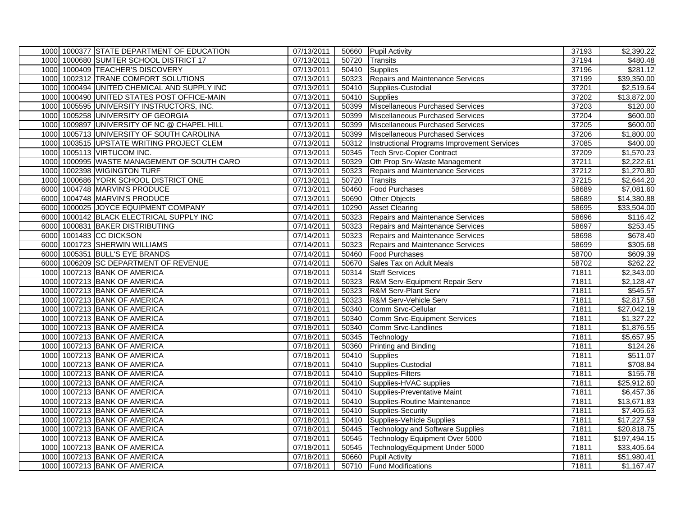|  | 1000 1000377 STATE DEPARTMENT OF EDUCATION  | 07/13/2011 |       | 50660 Pupil Activity                        | 37193 | \$2,390.22          |
|--|---------------------------------------------|------------|-------|---------------------------------------------|-------|---------------------|
|  | 1000 1000680 SUMTER SCHOOL DISTRICT 17      | 07/13/2011 |       | 50720 Transits                              | 37194 | \$480.48            |
|  | 1000 1000409 TEACHER'S DISCOVERY            | 07/13/2011 |       | 50410 Supplies                              | 37196 | \$281.12            |
|  | 1000 1002312 TRANE COMFORT SOLUTIONS        | 07/13/2011 |       | 50323 Repairs and Maintenance Services      | 37199 | \$39,350.00         |
|  | 1000 1000494 UNITED CHEMICAL AND SUPPLY INC | 07/13/2011 |       | 50410 Supplies-Custodial                    | 37201 | \$2,519.64          |
|  | 1000 1000490 UNITED STATES POST OFFICE-MAIN | 07/13/2011 |       | 50410 Supplies                              | 37202 | \$13,872.00         |
|  | 1000 1005595 UNIVERSITY INSTRUCTORS, INC.   | 07/13/2011 |       | 50399 Miscellaneous Purchased Services      | 37203 | \$120.00            |
|  | 1000 1005258 UNIVERSITY OF GEORGIA          | 07/13/2011 |       | 50399 Miscellaneous Purchased Services      | 37204 | \$600.00            |
|  | 1000 1009897 UNIVERSITY OF NC @ CHAPEL HILL | 07/13/2011 |       | 50399 Miscellaneous Purchased Services      | 37205 | \$600.00            |
|  | 1000 1005713 UNIVERSITY OF SOUTH CAROLINA   | 07/13/2011 |       | 50399 Miscellaneous Purchased Services      | 37206 | \$1,800.00          |
|  | 1000 1003515 UPSTATE WRITING PROJECT CLEM   | 07/13/2011 | 50312 | Instructional Programs Improvement Services | 37085 | \$400.00            |
|  | 1000 1005113 VIRTUCOM INC.                  | 07/13/2011 |       | 50345 Tech Srvc-Copier Contract             | 37209 | \$1,570.23          |
|  | 1000 1000995 WASTE MANAGEMENT OF SOUTH CARO | 07/13/2011 | 50329 | Oth Prop Srv-Waste Management               | 37211 | \$2,222.61          |
|  | 1000 1002398 WIGINGTON TURF                 | 07/13/2011 |       | 50323 Repairs and Maintenance Services      | 37212 | \$1,270.80          |
|  | 1000 1000686 YORK SCHOOL DISTRICT ONE       | 07/13/2011 | 50720 | <b>Transits</b>                             | 37215 | \$2,644.20          |
|  | 6000 1004748 MARVIN'S PRODUCE               | 07/13/2011 | 50460 | <b>Food Purchases</b>                       | 58689 | \$7,081.60          |
|  | 6000 1004748 MARVIN'S PRODUCE               | 07/13/2011 | 50690 | <b>Other Objects</b>                        | 58689 | \$14,380.88         |
|  | 6000 1000025 JOYCE EQUIPMENT COMPANY        | 07/14/2011 |       | 10290 Asset Clearing                        | 58695 | \$33,504.00         |
|  | 6000 1000142 BLACK ELECTRICAL SUPPLY INC    | 07/14/2011 |       | 50323 Repairs and Maintenance Services      | 58696 | \$116.42            |
|  | 6000 1000831 BAKER DISTRIBUTING             | 07/14/2011 |       | 50323 Repairs and Maintenance Services      | 58697 | \$253.45            |
|  | 6000 1001483 CC DICKSON                     | 07/14/2011 |       | 50323 Repairs and Maintenance Services      | 58698 | \$678.40            |
|  | 6000 1001723 SHERWIN WILLIAMS               | 07/14/2011 |       | 50323 Repairs and Maintenance Services      | 58699 | \$305.68            |
|  | 6000 1005351 BULL'S EYE BRANDS              | 07/14/2011 | 50460 | <b>Food Purchases</b>                       | 58700 | \$609.39            |
|  | 6000 1006209 SC DEPARTMENT OF REVENUE       | 07/14/2011 |       | 50670 Sales Tax on Adult Meals              | 58702 | \$262.22            |
|  | 1000 1007213 BANK OF AMERICA                | 07/18/2011 |       | 50314 Staff Services                        | 71811 | \$2,343.00          |
|  | 1000 1007213 BANK OF AMERICA                | 07/18/2011 | 50323 | R&M Serv-Equipment Repair Serv              | 71811 | \$2,128.47          |
|  | 1000 1007213 BANK OF AMERICA                | 07/18/2011 | 50323 | R&M Serv-Plant Serv                         | 71811 | \$545.57            |
|  | 1000 1007213 BANK OF AMERICA                | 07/18/2011 | 50323 | R&M Serv-Vehicle Serv                       | 71811 | \$2,817.58          |
|  | 1000 1007213 BANK OF AMERICA                | 07/18/2011 | 50340 | Comm Srvc-Cellular                          | 71811 | $\sqrt{$27,042.19}$ |
|  | 1000 1007213 BANK OF AMERICA                | 07/18/2011 |       | 50340 Comm Srvc-Equipment Services          | 71811 | \$1,327.22          |
|  | 1000 1007213 BANK OF AMERICA                | 07/18/2011 | 50340 | Comm Srvc-Landlines                         | 71811 | \$1,876.55          |
|  | 1000 1007213 BANK OF AMERICA                | 07/18/2011 | 50345 | Technology                                  | 71811 | \$5,657.95          |
|  | 1000 1007213 BANK OF AMERICA                | 07/18/2011 | 50360 | Printing and Binding                        | 71811 | \$124.26            |
|  | 1000 1007213 BANK OF AMERICA                | 07/18/2011 |       | 50410 Supplies                              | 71811 | \$511.07            |
|  | 1000 1007213 BANK OF AMERICA                | 07/18/2011 |       | 50410 Supplies-Custodial                    | 71811 | \$708.84            |
|  | 1000 1007213 BANK OF AMERICA                | 07/18/2011 |       | 50410 Supplies-Filters                      | 71811 | \$155.78            |
|  | 1000 1007213 BANK OF AMERICA                | 07/18/2011 |       | 50410 Supplies-HVAC supplies                | 71811 | \$25,912.60         |
|  | 1000 1007213 BANK OF AMERICA                | 07/18/2011 |       | 50410 Supplies-Preventative Maint           | 71811 | \$6,457.36          |
|  | 1000 1007213 BANK OF AMERICA                | 07/18/2011 |       | 50410 Supplies-Routine Maintenance          | 71811 | \$13,671.83         |
|  | 1000 1007213 BANK OF AMERICA                | 07/18/2011 |       | 50410 Supplies-Security                     | 71811 | \$7,405.63          |
|  | 1000 1007213 BANK OF AMERICA                | 07/18/2011 |       | 50410 Supplies-Vehicle Supplies             | 71811 | \$17,227.59         |
|  | 1000 1007213 BANK OF AMERICA                | 07/18/2011 | 50445 | Technology and Software Supplies            | 71811 | \$20,818.75         |
|  | 1000 1007213 BANK OF AMERICA                | 07/18/2011 | 50545 | Technology Equipment Over 5000              | 71811 | \$197,494.15        |
|  | 1000 1007213 BANK OF AMERICA                | 07/18/2011 | 50545 | TechnologyEquipment Under 5000              | 71811 | \$33,405.64         |
|  | 1000 1007213 BANK OF AMERICA                | 07/18/2011 | 50660 | <b>Pupil Activity</b>                       | 71811 | \$51,980.41         |
|  | 1000 1007213 BANK OF AMERICA                | 07/18/2011 |       | 50710 Fund Modifications                    | 71811 | \$1,167.47          |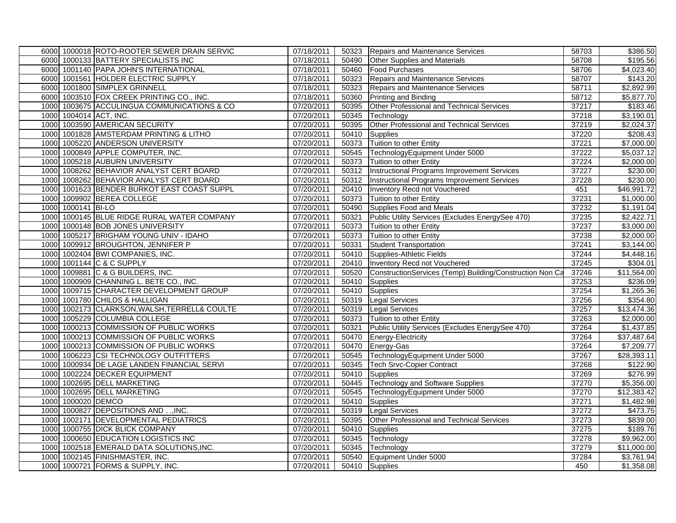|      |                    | 6000 1000018 ROTO-ROOTER SEWER DRAIN SERVIC   | 07/18/2011 |       | 50323 Repairs and Maintenance Services                         | 58703 | \$386.50                |
|------|--------------------|-----------------------------------------------|------------|-------|----------------------------------------------------------------|-------|-------------------------|
|      |                    | 6000 1000133 BATTERY SPECIALISTS INC          | 07/18/2011 | 50490 | <b>Other Supplies and Materials</b>                            | 58708 | \$195.56                |
|      |                    | 6000 1001140 PAPA JOHN'S INTERNATIONAL        | 07/18/2011 |       | 50460 Food Purchases                                           | 58706 | \$4,023.40              |
|      |                    | 6000 1001561 HOLDER ELECTRIC SUPPLY           | 07/18/2011 |       | 50323 Repairs and Maintenance Services                         | 58707 | \$143.20                |
|      |                    | 6000 1001800 SIMPLEX GRINNELL                 | 07/18/2011 |       | 50323 Repairs and Maintenance Services                         | 58711 | \$2,892.99              |
|      |                    | 6000 1003510 FOX CREEK PRINTING CO., INC.     | 07/18/2011 | 50360 | <b>Printing and Binding</b>                                    | 58712 | \$5,877.70              |
|      |                    | 1000 1003675 ACCULINGUA COMMUNICATIONS & CO   | 07/20/2011 | 50395 | Other Professional and Technical Services                      | 37217 | \$183.46                |
|      |                    | 1000 1004014 ACT, INC.                        | 07/20/2011 | 50345 | Technology                                                     | 37218 | $\overline{$3,190.01}$  |
|      |                    | 1000 1003590 AMERICAN SECURITY                | 07/20/2011 | 50395 | Other Professional and Technical Services                      | 37219 | \$2,024.37              |
|      |                    | 1000 1001828 AMSTERDAM PRINTING & LITHO       | 07/20/2011 | 50410 | Supplies                                                       | 37220 | \$208.43                |
|      |                    | 1000 1005220 ANDERSON UNIVERSITY              | 07/20/2011 | 50373 | Tuition to other Entity                                        | 37221 | \$7,000.00              |
|      |                    | 1000 1000849 APPLE COMPUTER, INC.             | 07/20/2011 |       | 50545 TechnologyEquipment Under 5000                           | 37222 | \$5,037.12              |
|      |                    | 1000 1005218 AUBURN UNIVERSITY                | 07/20/2011 |       | 50373 Tuition to other Entity                                  | 37224 | \$2,000.00              |
|      |                    | 1000 1008262 BEHAVIOR ANALYST CERT BOARD      | 07/20/2011 |       | 50312 Instructional Programs Improvement Services              | 37227 | \$230.00                |
|      |                    | 1000 1008262 BEHAVIOR ANALYST CERT BOARD      | 07/20/2011 |       | 50312 Instructional Programs Improvement Services              | 37228 | \$230.00                |
| 1000 |                    | 1001623 BENDER BURKOT EAST COAST SUPPL        | 07/20/2011 | 20410 | Inventory Recd not Vouchered                                   | 451   | \$46,991.72             |
|      |                    | 1000 1009902 BEREA COLLEGE                    | 07/20/2011 |       | 50373 Tuition to other Entity                                  | 37231 | \$1,000.00              |
|      | 1000 1000141 BI-LO |                                               | 07/20/2011 | 50490 | Supplies Food and Meals                                        | 37232 | \$1,191.04              |
|      |                    | 1000 1000145 BLUE RIDGE RURAL WATER COMPANY   | 07/20/2011 | 50321 | Public Utility Services (Excludes EnergySee 470)               | 37235 | \$2,422.71              |
|      |                    | 1000 1000148 BOB JONES UNIVERSITY             | 07/20/2011 |       | 50373 Tuition to other Entity                                  | 37237 | \$3,000.00              |
|      |                    | 1000 1005217 BRIGHAM YOUNG UNIV - IDAHO       | 07/20/2011 |       | 50373 Tuition to other Entity                                  | 37238 | \$2,000.00              |
|      |                    | 1000 1009912 BROUGHTON, JENNIFER P            | 07/20/2011 | 50331 | <b>Student Transportation</b>                                  | 37241 | \$3,144.00              |
|      |                    | 1000 1002404 BWI COMPANIES, INC.              | 07/20/2011 | 50410 | Supplies-Athletic Fields                                       | 37244 | \$4,448.16              |
|      |                    | 1000 1001144 C & C SUPPLY                     | 07/20/2011 |       | 20410   Inventory Recd not Vouchered                           | 37245 | \$304.01                |
|      |                    | 1000 1009881 C & G BUILDERS, INC.             | 07/20/2011 |       | 50520 ConstructionServices (Temp) Building/Construction Non Ca | 37246 | \$11,564.00             |
|      |                    | 1000 1000909 CHANNING L. BETE CO., INC.       | 07/20/2011 | 50410 | <b>Supplies</b>                                                | 37253 | \$236.09                |
|      |                    | 1000 1009715 CHARACTER DEVELOPMENT GROUP      | 07/20/2011 |       | 50410 Supplies                                                 | 37254 | $\overline{31}, 265.36$ |
|      |                    | 1000 1001780 CHILDS & HALLIGAN                | 07/20/2011 |       | 50319 Legal Services                                           | 37256 | \$354.80                |
|      |                    | 1000 1002173 CLARKSON, WALSH, TERRELL& COULTE | 07/20/2011 |       | 50319 Legal Services                                           | 37257 | \$13,474.36             |
|      |                    | 1000 1005229 COLUMBIA COLLEGE                 | 07/20/2011 |       | 50373 Tuition to other Entity                                  | 37263 | \$2,000.00              |
|      |                    | 1000 1000213 COMMISSION OF PUBLIC WORKS       | 07/20/2011 | 50321 | Public Utility Services (Excludes EnergySee 470)               | 37264 | \$1,437.85              |
|      |                    | 1000 1000213 COMMISSION OF PUBLIC WORKS       | 07/20/2011 | 50470 | <b>Energy-Electricity</b>                                      | 37264 | \$37,487.64             |
|      |                    | 1000 1000213 COMMISSION OF PUBLIC WORKS       | 07/20/2011 |       | 50470 Energy-Gas                                               | 37264 | \$7,209.77              |
|      |                    | 1000 1006223 CSI TECHNOLOGY OUTFITTERS        | 07/20/2011 | 50545 | TechnologyEquipment Under 5000                                 | 37267 | \$28,393.11             |
|      |                    | 1000 1000934 DE LAGE LANDEN FINANCIAL SERVI   | 07/20/2011 | 50345 | <b>Tech Srvc-Copier Contract</b>                               | 37268 | \$122.90                |
|      |                    | 1000 1002224 DECKER EQUIPMENT                 | 07/20/2011 |       | 50410 Supplies                                                 | 37269 | \$276.99                |
|      |                    | 1000 1002695 DELL MARKETING                   | 07/20/2011 |       | 50445 Technology and Software Supplies                         | 37270 | \$5,356.00              |
|      |                    | 1000 1002695 DELL MARKETING                   | 07/20/2011 |       | 50545 TechnologyEquipment Under 5000                           | 37270 | \$12,383.42             |
|      | 1000 1000020 DEMCO |                                               | 07/20/2011 | 50410 | Supplies                                                       | 37271 | \$1,482.98              |
|      |                    | 1000 1000827 DEPOSITIONS AND  INC.            | 07/20/2011 |       | 50319 Legal Services                                           | 37272 | \$473.75                |
|      |                    | 1000 1002171 DEVELOPMENTAL PEDIATRICS         | 07/20/2011 |       | 50395 Other Professional and Technical Services                | 37273 | \$839.00                |
|      |                    | 1000 1000755 DICK BLICK COMPANY               | 07/20/2011 | 50410 | Supplies                                                       | 37275 | \$189.76                |
|      |                    | 1000 1000650 EDUCATION LOGISTICS INC          | 07/20/2011 |       | 50345 Technology                                               | 37278 | \$9,962.00              |
|      |                    | 1000 1002518 EMERALD DATA SOLUTIONS, INC.     | 07/20/2011 | 50345 | Technology                                                     | 37279 | \$11,000.00             |
|      |                    | 1000 1002145 FINISHMASTER, INC.               | 07/20/2011 |       | 50540 Equipment Under 5000                                     | 37284 | \$3,761.94              |
|      |                    | 1000 1000721 FORMS & SUPPLY, INC.             | 07/20/2011 |       | 50410 Supplies                                                 | 450   | \$1,358.08              |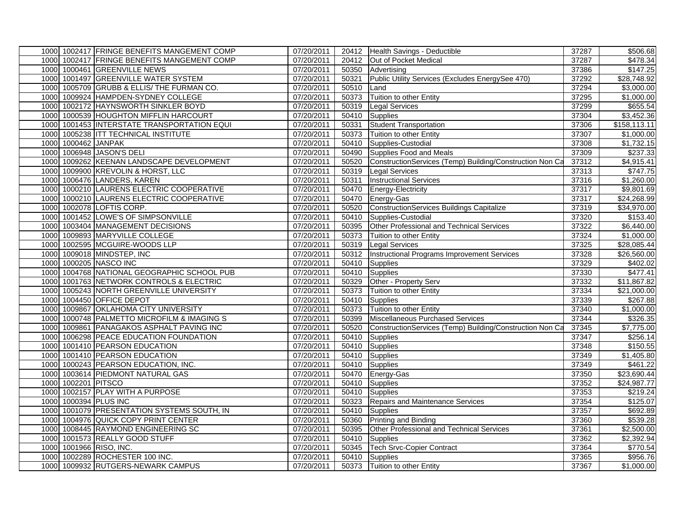|      |                     | 1000 1002417 FRINGE BENEFITS MANGEMENT COMP | 07/20/2011 |       | 20412 Health Savings - Deductible                        | 37287 | \$506.68                |
|------|---------------------|---------------------------------------------|------------|-------|----------------------------------------------------------|-------|-------------------------|
|      |                     | 1000 1002417 FRINGE BENEFITS MANGEMENT COMP | 07/20/2011 |       | 20412 Out of Pocket Medical                              | 37287 | \$478.34                |
|      |                     | 1000 1000461 GREENVILLE NEWS                | 07/20/2011 |       | 50350 Advertising                                        | 37386 | \$147.25                |
|      |                     | 1000 1001497 GREENVILLE WATER SYSTEM        | 07/20/2011 | 50321 | Public Utility Services (Excludes EnergySee 470)         | 37292 | $\overline{$28,748.92}$ |
|      |                     | 1000 1005709 GRUBB & ELLIS/ THE FURMAN CO.  | 07/20/2011 | 50510 | Land                                                     | 37294 | \$3,000.00              |
|      |                     | 1000 1009924 HAMPDEN-SYDNEY COLLEGE         | 07/20/2011 | 50373 | Tuition to other Entity                                  | 37295 | \$1,000.00              |
|      |                     | 1000 1002172 HAYNSWORTH SINKLER BOYD        | 07/20/2011 | 50319 | <b>Legal Services</b>                                    | 37299 | \$655.54                |
|      |                     | 1000 1000539 HOUGHTON MIFFLIN HARCOURT      | 07/20/2011 |       | 50410 Supplies                                           | 37304 | \$3,452.36              |
|      |                     | 1000 1001453 INTERSTATE TRANSPORTATION EQUI | 07/20/2011 | 50331 | <b>Student Transportation</b>                            | 37306 | \$158, 113.11           |
|      |                     | 1000 1005238 ITT TECHNICAL INSTITUTE        | 07/20/2011 |       | 50373 Tuition to other Entity                            | 37307 | \$1,000.00              |
|      | 1000 1000462 JANPAK |                                             | 07/20/2011 |       | 50410 Supplies-Custodial                                 | 37308 | \$1,732.15              |
|      |                     | 1000 1006948 JASON'S DELI                   | 07/20/2011 |       | 50490 Supplies Food and Meals                            | 37309 | \$237.33                |
|      |                     | 1000 1009262 KEENAN LANDSCAPE DEVELOPMENT   | 07/20/2011 | 50520 | ConstructionServices (Temp) Building/Construction Non Ca | 37312 | \$4,915.41              |
|      |                     | 1000 1009900 KREVOLIN & HORST, LLC          | 07/20/2011 |       | 50319 Legal Services                                     | 37313 | \$747.75                |
|      |                     | 1000 1006476 LANDERS, KAREN                 | 07/20/2011 | 50311 | <b>Instructional Services</b>                            | 37316 | \$1,260.00              |
|      |                     | 1000 1000210 LAURENS ELECTRIC COOPERATIVE   | 07/20/2011 | 50470 | Energy-Electricity                                       | 37317 | \$9,801.69              |
|      |                     | 1000 1000210 LAURENS ELECTRIC COOPERATIVE   | 07/20/2011 |       | 50470 Energy-Gas                                         | 37317 | \$24,268.99             |
|      |                     | 1000 1002078 LOFTIS CORP.                   | 07/20/2011 | 50520 | <b>ConstructionServices Buildings Capitalize</b>         | 37319 | \$34,970.00             |
|      |                     | 1000 1001452 LOWE'S OF SIMPSONVILLE         | 07/20/2011 |       | 50410 Supplies-Custodial                                 | 37320 | \$153.40                |
|      |                     | 1000 1003404 MANAGEMENT DECISIONS           | 07/20/2011 |       | 50395 Other Professional and Technical Services          | 37322 | \$6,440.00              |
|      |                     | 1000 1009893 MARYVILLE COLLEGE              | 07/20/2011 |       | 50373 Tuition to other Entity                            | 37324 | \$1,000.00              |
|      |                     | 1000 1002595 MCGUIRE-WOODS LLP              | 07/20/2011 | 50319 | <b>Legal Services</b>                                    | 37325 | \$28,085.44             |
|      |                     | 1000 1009018 MINDSTEP, INC                  | 07/20/2011 | 50312 | Instructional Programs Improvement Services              | 37328 | \$26,560.00             |
|      |                     | 1000 1000205 NASCO INC                      | 07/20/2011 |       | 50410 Supplies                                           | 37329 | \$402.02                |
|      |                     | 1000 1004768 NATIONAL GEOGRAPHIC SCHOOL PUB | 07/20/2011 |       | 50410 Supplies                                           | 37330 | \$477.41                |
|      |                     | 1000 1001763 NETWORK CONTROLS & ELECTRIC    | 07/20/2011 | 50329 | Other - Property Serv                                    | 37332 | \$11,867.82             |
|      |                     | 1000 1005243 NORTH GREENVILLE UNIVERSITY    | 07/20/2011 | 50373 | Tuition to other Entity                                  | 37334 | \$21,000.00             |
|      |                     | 1000 1004450 OFFICE DEPOT                   | 07/20/2011 |       | 50410 Supplies                                           | 37339 | \$267.88                |
|      |                     | 1000 1009867 OKLAHOMA CITY UNIVERSITY       | 07/20/2011 |       | 50373 Tuition to other Entity                            | 37340 | \$1,000.00              |
|      |                     | 1000 1000748 PALMETTO MICROFILM & IMAGING S | 07/20/2011 | 50399 | Miscellaneous Purchased Services                         | 37344 | \$326.35                |
|      |                     | 1000 1009861 PANAGAKOS ASPHALT PAVING INC   | 07/20/2011 | 50520 | ConstructionServices (Temp) Building/Construction Non Ca | 37345 | \$7,775.00              |
|      |                     | 1000 1006298 PEACE EDUCATION FOUNDATION     | 07/20/2011 | 50410 | <b>Supplies</b>                                          | 37347 | \$256.14                |
|      |                     | 1000 1001410 PEARSON EDUCATION              | 07/20/2011 |       | 50410 Supplies                                           | 37348 | \$150.55                |
|      |                     | 1000 1001410 PEARSON EDUCATION              | 07/20/2011 | 50410 | Supplies                                                 | 37349 | \$1,405.80              |
|      |                     | 1000 1000243 PEARSON EDUCATION, INC.        | 07/20/2011 |       | 50410 Supplies                                           | 37349 | \$461.22                |
| 1000 |                     | 1003614 PIEDMONT NATURAL GAS                | 07/20/2011 |       | 50470 Energy-Gas                                         | 37350 | \$23,690.44             |
|      | 1000 1002201 PITSCO |                                             | 07/20/2011 |       | 50410 Supplies                                           | 37352 | \$24,987.77             |
|      |                     | 1000 1002157 PLAY WITH A PURPOSE            | 07/20/2011 |       | 50410 Supplies                                           | 37353 | \$219.24                |
|      |                     | 1000 1000394 PLUS INC                       | 07/20/2011 | 50323 | Repairs and Maintenance Services                         | 37354 | \$125.07                |
|      |                     | 1000 1001079 PRESENTATION SYSTEMS SOUTH, IN | 07/20/2011 |       | 50410 Supplies                                           | 37357 | \$692.89                |
|      |                     | 1000 1004976 QUICK COPY PRINT CENTER        | 07/20/2011 |       | 50360 Printing and Binding                               | 37360 | \$539.28                |
|      |                     | 1000 1008445 RAYMOND ENGINEERING SC         | 07/20/2011 | 50395 | Other Professional and Technical Services                | 37361 | \$2,500.00              |
|      |                     | 1000 1001573 REALLY GOOD STUFF              | 07/20/2011 | 50410 | Supplies                                                 | 37362 | \$2,392.94              |
|      |                     | 1000 1001966 RISO, INC.                     | 07/20/2011 | 50345 | <b>Tech Srvc-Copier Contract</b>                         | 37364 | \$770.54                |
|      |                     | 1000 1002289 ROCHESTER 100 INC.             | 07/20/2011 |       | 50410 Supplies                                           | 37365 | \$956.76                |
|      |                     | 1000 1009932 RUTGERS-NEWARK CAMPUS          | 07/20/2011 |       | 50373 Tuition to other Entity                            | 37367 | \$1,000.00              |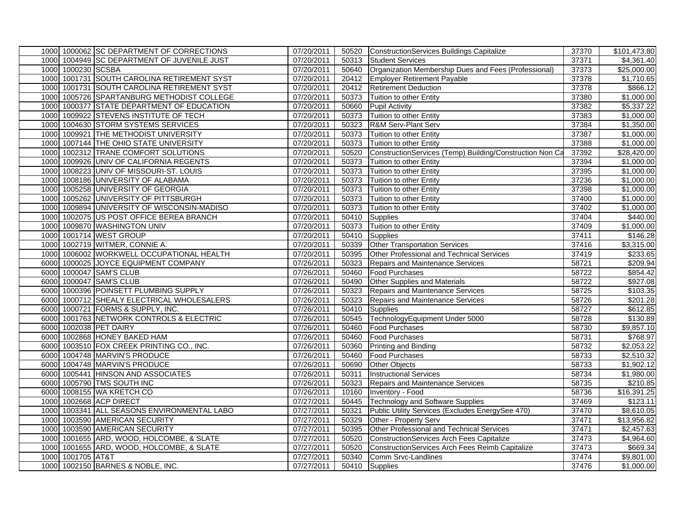|      |                    | 1000 1000062 SC DEPARTMENT OF CORRECTIONS   | 07/20/2011 |       | 50520 ConstructionServices Buildings Capitalize            | 37370 | \$101,473.80           |
|------|--------------------|---------------------------------------------|------------|-------|------------------------------------------------------------|-------|------------------------|
|      |                    | 1000 1004949 SC DEPARTMENT OF JUVENILE JUST | 07/20/2011 |       | 50313 Student Services                                     | 37371 | \$4,361.40             |
|      | 1000 1000230 SCSBA |                                             | 07/20/2011 |       | 50640 Organization Membership Dues and Fees (Professional) | 37373 | \$25,000.00            |
|      |                    | 1000 1001731 SOUTH CAROLINA RETIREMENT SYST | 07/20/2011 |       | 20412 Employer Retirement Payable                          | 37378 | \$1,710.65             |
| 1000 |                    | 1001731 SOUTH CAROLINA RETIREMENT SYST      | 07/20/2011 |       | 20412   Retirement Deduction                               | 37378 | \$866.12               |
| 1000 |                    | 1005726 SPARTANBURG METHODIST COLLEGE       | 07/20/2011 |       | 50373 Tuition to other Entity                              | 37380 | \$1,000.00             |
| 1000 |                    | 1000377 STATE DEPARTMENT OF EDUCATION       | 07/20/2011 | 50660 | <b>Pupil Activity</b>                                      | 37382 | 5,337.22               |
| 1000 |                    | 1009922 STEVENS INSTITUTE OF TECH           | 07/20/2011 |       | 50373 Tuition to other Entity                              | 37383 | $\overline{$1,000.00}$ |
| 1000 |                    | 1004630 STORM SYSTEMS SERVICES              | 07/20/2011 |       | 50323 R&M Serv-Plant Serv                                  | 37384 | \$1,350.00             |
| 1000 |                    | 1009921 THE METHODIST UNIVERSITY            | 07/20/2011 |       | 50373 Tuition to other Entity                              | 37387 | \$1,000.00             |
| 1000 |                    | 1007144 THE OHIO STATE UNIVERSITY           | 07/20/2011 |       | 50373 Tuition to other Entity                              | 37388 | \$1,000.00             |
| 1000 |                    | 1002312 TRANE COMFORT SOLUTIONS             | 07/20/2011 | 50520 | ConstructionServices (Temp) Building/Construction Non Ca   | 37392 | \$28,420.00            |
| 1000 |                    | 1009926 UNIV OF CALIFORNIA REGENTS          | 07/20/2011 |       | 50373 Tuition to other Entity                              | 37394 | \$1,000.00             |
| 1000 |                    | 1008223 UNIV OF MISSOURI-ST. LOUIS          | 07/20/2011 |       | 50373 Tuition to other Entity                              | 37395 | \$1,000.00             |
| 1000 |                    | 1008186 UNIVERSITY OF ALABAMA               | 07/20/2011 | 50373 | Tuition to other Entity                                    | 37236 | \$1,000.00             |
| 1000 |                    | 1005258 UNIVERSITY OF GEORGIA               | 07/20/2011 |       | 50373 Tuition to other Entity                              | 37398 | \$1,000.00             |
| 1000 |                    | 1005262 UNIVERSITY OF PITTSBURGH            | 07/20/2011 |       | 50373 Tuition to other Entity                              | 37400 | \$1,000.00             |
| 1000 |                    | 1009894 UNIVERSITY OF WISCONSIN-MADISO      | 07/20/2011 | 50373 | Tuition to other Entity                                    | 37402 | \$1,000.00             |
| 1000 |                    | 1002075 US POST OFFICE BEREA BRANCH         | 07/20/2011 |       | 50410 Supplies                                             | 37404 | \$440.00               |
| 1000 |                    | 1009870 WASHINGTON UNIV                     | 07/20/2011 |       | 50373 Tuition to other Entity                              | 37409 | \$1,000.00             |
|      |                    | 1000 1001714 WEST GROUP                     | 07/20/2011 |       | 50410 Supplies                                             | 37411 | \$146.28               |
|      |                    | 1000 1002719 WITMER, CONNIE A.              | 07/20/2011 | 50339 | <b>Other Transportation Services</b>                       | 37416 | \$3,315.00             |
| 1000 |                    | 1006002 WORKWELL OCCUPATIONAL HEALTH        | 07/20/2011 | 50395 | Other Professional and Technical Services                  | 37419 | \$233.65               |
| 6000 |                    | 1000025 JOYCE EQUIPMENT COMPANY             | 07/26/2011 | 50323 | Repairs and Maintenance Services                           | 58721 | \$209.94               |
| 6000 |                    | 1000047 SAM'S CLUB                          | 07/26/2011 |       | 50460 Food Purchases                                       | 58722 | \$854.42               |
| 6000 |                    | 1000047 SAM'S CLUB                          | 07/26/2011 | 50490 | <b>Other Supplies and Materials</b>                        | 58722 | \$927.08               |
|      |                    | 6000 1000396 POINSETT PLUMBING SUPPLY       | 07/26/2011 | 50323 | Repairs and Maintenance Services                           | 58725 | \$103.35               |
|      |                    | 6000 1000712 SHEALY ELECTRICAL WHOLESALERS  | 07/26/2011 | 50323 | Repairs and Maintenance Services                           | 58726 | \$201.28               |
| 6000 |                    | 1000721 FORMS & SUPPLY, INC.                | 07/26/2011 |       | 50410 Supplies                                             | 58727 | \$612.85               |
|      |                    | 6000 1001763 NETWORK CONTROLS & ELECTRIC    | 07/26/2011 |       | 50545 TechnologyEquipment Under 5000                       | 58728 | \$130.89               |
| 6000 |                    | 1002038 PET DAIRY                           | 07/26/2011 | 50460 | <b>Food Purchases</b>                                      | 58730 | \$9,857.10             |
|      |                    | 6000 1002868 HONEY BAKED HAM                | 07/26/2011 | 50460 | <b>Food Purchases</b>                                      | 58731 | \$768.97               |
|      |                    | 6000 1003510 FOX CREEK PRINTING CO., INC.   | 07/26/2011 | 50360 | <b>Printing and Binding</b>                                | 58732 | \$2,053.22             |
| 6000 |                    | 1004748 MARVIN'S PRODUCE                    | 07/26/2011 | 50460 | <b>Food Purchases</b>                                      | 58733 | \$2,510.32             |
|      |                    | 6000 1004748 MARVIN'S PRODUCE               | 07/26/2011 | 50690 | <b>Other Objects</b>                                       | 58733 | \$1,902.12             |
| 6000 |                    | 1005441 HINSON AND ASSOCIATES               | 07/26/2011 | 50311 | <b>Instructional Services</b>                              | 58734 | \$1,980.00             |
| 6000 |                    | 1005790 TMS SOUTH INC                       | 07/26/2011 | 50323 | Repairs and Maintenance Services                           | 58735 | \$210.85               |
| 6000 |                    | 1008155 WA KRETCH CO                        | 07/26/2011 | 10160 | Inventory - Food                                           | 58736 | \$16,391.25            |
| 1000 |                    | 1002668 ACP DIRECT                          | 07/27/2011 | 50445 | <b>Technology and Software Supplies</b>                    | 37469 | \$123.11               |
| 1000 |                    | 1003341 ALL SEASONS ENVIRONMENTAL LABO      | 07/27/2011 | 50321 | Public Utility Services (Excludes EnergySee 470)           | 37470 | \$8,610.05             |
| 1000 |                    | 1003590 AMERICAN SECURITY                   | 07/27/2011 |       | 50329 Other - Property Serv                                | 37471 | \$13,956.82            |
|      |                    | 1000 1003590 AMERICAN SECURITY              | 07/27/2011 | 50395 | Other Professional and Technical Services                  | 37471 | \$2,457.63             |
| 1000 |                    | 1001655 ARD, WOOD, HOLCOMBE, & SLATE        | 07/27/2011 | 50520 | ConstructionServices Arch Fees Capitalize                  | 37473 | \$4,964.60             |
| 1000 |                    | 1001655 ARD, WOOD, HOLCOMBE, & SLATE        | 07/27/2011 | 50520 | ConstructionServices Arch Fees Reimb Capitalize            | 37473 | \$669.34               |
| 1000 | 1001705 AT&T       |                                             | 07/27/2011 | 50340 | Comm Srvc-Landlines                                        | 37474 | \$9,801.00             |
|      |                    | 1000 1002150 BARNES & NOBLE, INC.           | 07/27/2011 |       | 50410 Supplies                                             | 37476 | \$1,000.00             |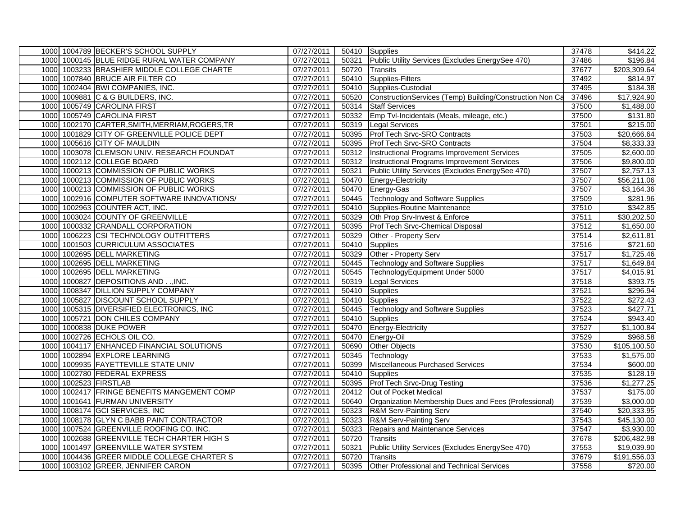|  | 1000 1004789 BECKER'S SCHOOL SUPPLY             | 07/27/2011 |       | 50410 Supplies                                           | 37478 | \$414.22               |
|--|-------------------------------------------------|------------|-------|----------------------------------------------------------|-------|------------------------|
|  | 1000 1000145 BLUE RIDGE RURAL WATER COMPANY     | 07/27/2011 | 50321 | Public Utility Services (Excludes EnergySee 470)         | 37486 | \$196.84               |
|  | 1000 1003233 BRASHIER MIDDLE COLLEGE CHARTE     | 07/27/2011 | 50720 | <b>Transits</b>                                          | 37677 | \$203,309.64           |
|  | 1000 1007840 BRUCE AIR FILTER CO                | 07/27/2011 |       | 50410 Supplies-Filters                                   | 37492 | \$814.97               |
|  | 1000 1002404 BWI COMPANIES, INC.                | 07/27/2011 | 50410 | Supplies-Custodial                                       | 37495 | \$184.38               |
|  | 1000 1009881 C & G BUILDERS, INC.               | 07/27/2011 | 50520 | ConstructionServices (Temp) Building/Construction Non Ca | 37496 | \$17,924.90            |
|  | 1000 1005749 CAROLINA FIRST                     | 07/27/2011 | 50314 | <b>Staff Services</b>                                    | 37500 | \$1,488.00             |
|  | 1000 1005749 CAROLINA FIRST                     | 07/27/2011 |       | 50332 Emp Tvl-Incidentals (Meals, mileage, etc.)         | 37500 | \$131.80               |
|  | 1000 1002170 CARTER, SMITH, MERRIAM, ROGERS, TR | 07/27/2011 | 50319 | <b>Legal Services</b>                                    | 37501 | \$215.00               |
|  | 1000 1001829 CITY OF GREENVILLE POLICE DEPT     | 07/27/2011 | 50395 | Prof Tech Srvc-SRO Contracts                             | 37503 | \$20,666.64            |
|  | 1000 1005616 CITY OF MAULDIN                    | 07/27/2011 | 50395 | Prof Tech Srvc-SRO Contracts                             | 37504 | \$8,333.33             |
|  | 1000 1003078 CLEMSON UNIV. RESEARCH FOUNDAT     | 07/27/2011 |       | 50312 Instructional Programs Improvement Services        | 37505 | \$2,600.00             |
|  | 1000 1002112 COLLEGE BOARD                      | 07/27/2011 |       | 50312 Instructional Programs Improvement Services        | 37506 | \$9,800.00             |
|  | 1000 1000213 COMMISSION OF PUBLIC WORKS         | 07/27/2011 | 50321 | Public Utility Services (Excludes EnergySee 470)         | 37507 | \$2,757.13             |
|  | 1000 1000213 COMMISSION OF PUBLIC WORKS         | 07/27/2011 | 50470 | Energy-Electricity                                       | 37507 | \$56,211.06            |
|  | 1000 1000213 COMMISSION OF PUBLIC WORKS         | 07/27/2011 | 50470 | Energy-Gas                                               | 37507 | $\overline{33,164.36}$ |
|  | 1000 1002916 COMPUTER SOFTWARE INNOVATIONS/     | 07/27/2011 |       | 50445 Technology and Software Supplies                   | 37509 | \$281.96               |
|  | 1000 1002963 COUNTER ACT, INC.                  | 07/27/2011 |       | 50410 Supplies-Routine Maintenance                       | 37510 | \$342.85               |
|  | 1000 1003024 COUNTY OF GREENVILLE               | 07/27/2011 | 50329 | Oth Prop Srv-Invest & Enforce                            | 37511 | \$30,202.50            |
|  | 1000 1000332 CRANDALL CORPORATION               | 07/27/2011 | 50395 | Prof Tech Srvc-Chemical Disposal                         | 37512 | \$1,650.00             |
|  | 1000 1006223 CSI TECHNOLOGY OUTFITTERS          | 07/27/2011 | 50329 | Other - Property Serv                                    | 37514 | \$2,611.81             |
|  | 1000 1001503 CURRICULUM ASSOCIATES              | 07/27/2011 |       | 50410 Supplies                                           | 37516 | \$721.60               |
|  | 1000 1002695 DELL MARKETING                     | 07/27/2011 | 50329 | Other - Property Serv                                    | 37517 | \$1,725.46             |
|  | 1000 1002695 DELL MARKETING                     | 07/27/2011 | 50445 | <b>Technology and Software Supplies</b>                  | 37517 | $\overline{$1,649.84}$ |
|  | 1000 1002695 DELL MARKETING                     | 07/27/2011 | 50545 | TechnologyEquipment Under 5000                           | 37517 | \$4,015.91             |
|  | 1000 1000827 DEPOSITIONS AND  INC.              | 07/27/2011 | 50319 | <b>Legal Services</b>                                    | 37518 | \$393.75               |
|  | 1000 1008347 DILLION SUPPLY COMPANY             | 07/27/2011 |       | 50410 Supplies                                           | 37521 | \$296.94               |
|  | 1000 1005827 DISCOUNT SCHOOL SUPPLY             | 07/27/2011 |       | 50410 Supplies                                           | 37522 | \$272.43               |
|  | 1000 1005315 DIVERSIFIED ELECTRONICS, INC       | 07/27/2011 | 50445 | <b>Technology and Software Supplies</b>                  | 37523 | \$427.71               |
|  | 1000 1005721 DON CHILES COMPANY                 | 07/27/2011 |       | 50410 Supplies                                           | 37524 | \$943.40               |
|  | 1000 1000838 DUKE POWER                         | 07/27/2011 | 50470 | <b>Energy-Electricity</b>                                | 37527 | \$1,100.84             |
|  | 1000 1002726 ECHOLS OIL CO.                     | 07/27/2011 | 50470 | Energy-Oil                                               | 37529 | \$968.58               |
|  | 1000 1004117 ENHANCED FINANCIAL SOLUTIONS       | 07/27/2011 | 50690 | Other Objects                                            | 37530 | \$105,100.50           |
|  | 1000 1002894 EXPLORE LEARNING                   | 07/27/2011 | 50345 | Technology                                               | 37533 | \$1,575.00             |
|  | 1000 1009935 FAYETTEVILLE STATE UNIV            | 07/27/2011 | 50399 | Miscellaneous Purchased Services                         | 37534 | \$600.00               |
|  | 1000 1002780 FEDERAL EXPRESS                    | 07/27/2011 | 50410 | Supplies                                                 | 37535 | \$128.19               |
|  | 1000 1002523 FIRSTLAB                           | 07/27/2011 | 50395 | Prof Tech Srvc-Drug Testing                              | 37536 | $\overline{$1,277.25}$ |
|  | 1000 1002417 FRINGE BENEFITS MANGEMENT COMP     | 07/27/2011 |       | 20412 Out of Pocket Medical                              | 37537 | \$175.00               |
|  | 1000 1001641 FURMAN UNIVERSITY                  | 07/27/2011 | 50640 | Organization Membership Dues and Fees (Professional)     | 37539 | \$3,000.00             |
|  | 1000 1008174 GCI SERVICES, INC                  | 07/27/2011 | 50323 | R&M Serv-Painting Serv                                   | 37540 | \$20,333.95            |
|  | 1000 1008178 GLYN C BABB PAINT CONTRACTOR       | 07/27/2011 | 50323 | <b>R&amp;M Serv-Painting Serv</b>                        | 37543 | \$45,130.00            |
|  | 1000 1007524 GREENVILLE ROOFING CO. INC.        | 07/27/2011 | 50323 | Repairs and Maintenance Services                         | 37547 | \$3,930.00             |
|  | 1000 1002688 GREENVILLE TECH CHARTER HIGH S     | 07/27/2011 | 50720 | <b>Transits</b>                                          | 37678 | \$206,482.98           |
|  | 1000 1001497 GREENVILLE WATER SYSTEM            | 07/27/2011 | 50321 | Public Utility Services (Excludes EnergySee 470)         | 37553 | \$19,039.90            |
|  | 1000 1004436 GREER MIDDLE COLLEGE CHARTER S     | 07/27/2011 | 50720 | <b>Transits</b>                                          | 37679 | \$191,556.03           |
|  | 1000 1003102 GREER, JENNIFER CARON              | 07/27/2011 | 50395 | Other Professional and Technical Services                | 37558 | \$720.00               |
|  |                                                 |            |       |                                                          |       |                        |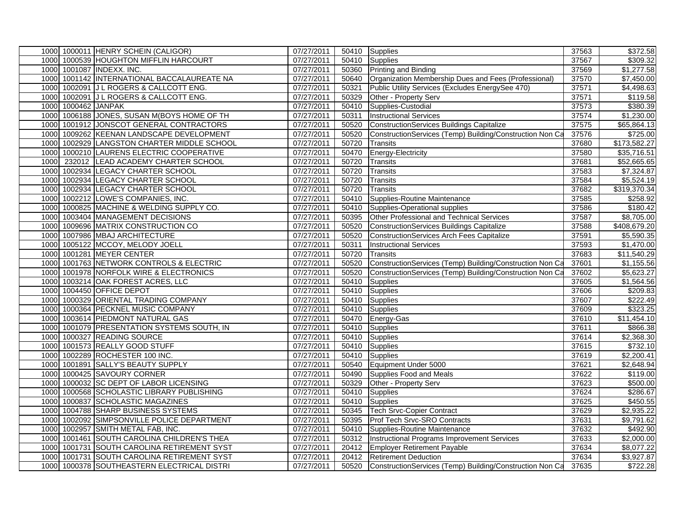|      |                     | 1000 1000011 HENRY SCHEIN (CALIGOR)         | 07/27/2011 |       | 50410 Supplies                                                 | 37563 | \$372.58               |
|------|---------------------|---------------------------------------------|------------|-------|----------------------------------------------------------------|-------|------------------------|
|      |                     | 1000 1000539 HOUGHTON MIFFLIN HARCOURT      | 07/27/2011 |       | 50410 Supplies                                                 | 37567 | \$309.32               |
|      |                     | 1000 1001087 INDEXX. INC.                   | 07/27/2011 |       | 50360 Printing and Binding                                     | 37569 | \$1,277.58             |
|      |                     | 1000 1001142 INTERNATIONAL BACCALAUREATE NA | 07/27/2011 | 50640 | Organization Membership Dues and Fees (Professional)           | 37570 | $\overline{$7,450.00}$ |
| 1000 |                     | 1002091 J L ROGERS & CALLCOTT ENG.          | 07/27/2011 | 50321 | Public Utility Services (Excludes EnergySee 470)               | 37571 | \$4,498.63             |
| 1000 |                     | 1002091 J L ROGERS & CALLCOTT ENG.          | 07/27/2011 | 50329 | Other - Property Serv                                          | 37571 | \$119.58               |
|      | 1000 1000462 JANPAK |                                             | 07/27/2011 | 50410 | Supplies-Custodial                                             | 37573 | \$380.39               |
|      |                     | 1000 1006188 JONES, SUSAN M(BOYS HOME OF TH | 07/27/2011 | 50311 | <b>Instructional Services</b>                                  | 37574 | \$1,230.00             |
|      |                     | 1000 1001912 JONSCOT GENERAL CONTRACTORS    | 07/27/2011 | 50520 | <b>ConstructionServices Buildings Capitalize</b>               | 37575 | \$65,864.13            |
| 1000 |                     | 1009262 KEENAN LANDSCAPE DEVELOPMENT        | 07/27/2011 | 50520 | ConstructionServices (Temp) Building/Construction Non Ca       | 37576 | \$725.00               |
| 1000 |                     | 1002929 LANGSTON CHARTER MIDDLE SCHOOL      | 07/27/2011 | 50720 | Transits                                                       | 37680 | \$173,582.27           |
| 1000 |                     | 1000210 LAURENS ELECTRIC COOPERATIVE        | 07/27/2011 | 50470 | Energy-Electricity                                             | 37580 | \$35,716.51            |
| 1000 |                     | 232012 LEAD ACADEMY CHARTER SCHOOL          | 07/27/2011 | 50720 | Transits                                                       | 37681 | \$52,665.65            |
| 1000 |                     | 1002934 LEGACY CHARTER SCHOOL               | 07/27/2011 | 50720 | <b>Transits</b>                                                | 37583 | \$7,324.87             |
| 1000 |                     | 1002934 LEGACY CHARTER SCHOOL               | 07/27/2011 | 50720 | Transits                                                       | 37584 | \$5,524.19             |
| 1000 |                     | 1002934 LEGACY CHARTER SCHOOL               | 07/27/2011 | 50720 | <b>Transits</b>                                                | 37682 | \$319,370.34           |
|      |                     | 1000 1002212 LOWE'S COMPANIES, INC.         | 07/27/2011 |       | 50410 Supplies-Routine Maintenance                             | 37585 | \$258.92               |
| 1000 |                     | 1000825 MACHINE & WELDING SUPPLY CO.        | 07/27/2011 | 50410 | Supplies-Operational supplies                                  | 37586 | \$180.42               |
|      |                     | 1000 1003404 MANAGEMENT DECISIONS           | 07/27/2011 | 50395 | Other Professional and Technical Services                      | 37587 | \$8,705.00             |
|      |                     | 1000 1009696 MATRIX CONSTRUCTION CO         | 07/27/2011 | 50520 | ConstructionServices Buildings Capitalize                      | 37588 | \$408,679.20           |
|      |                     | 1000 1007986 MBAJ ARCHITECTURE              | 07/27/2011 | 50520 | <b>ConstructionServices Arch Fees Capitalize</b>               | 37591 | \$5,590.35             |
|      |                     | 1000 1005122 MCCOY, MELODY JOELL            | 07/27/2011 | 50311 | <b>Instructional Services</b>                                  | 37593 | \$1,470.00             |
|      |                     | 1000 1001281 MEYER CENTER                   | 07/27/2011 | 50720 | Transits                                                       | 37683 | \$11,540.29            |
|      |                     | 1000 1001763 NETWORK CONTROLS & ELECTRIC    | 07/27/2011 | 50520 | ConstructionServices (Temp) Building/Construction Non Ca       | 37601 | \$1,155.56             |
|      |                     | 1000 1001978 NORFOLK WIRE & ELECTRONICS     | 07/27/2011 | 50520 | ConstructionServices (Temp) Building/Construction Non Ca       | 37602 | \$5,623.27             |
| 1000 |                     | 1003214 OAK FOREST ACRES, LLC               | 07/27/2011 | 50410 | Supplies                                                       | 37605 | $\overline{$1,564.56}$ |
| 1000 |                     | 1004450 OFFICE DEPOT                        | 07/27/2011 |       | 50410 Supplies                                                 | 37606 | \$209.83               |
|      |                     | 1000 1000329 ORIENTAL TRADING COMPANY       | 07/27/2011 |       | 50410 Supplies                                                 | 37607 | \$222.49               |
| 1000 |                     | 1000364 PECKNEL MUSIC COMPANY               | 07/27/2011 |       | 50410 Supplies                                                 | 37609 | \$323.25               |
|      |                     | 1000 1003614 PIEDMONT NATURAL GAS           | 07/27/2011 |       | 50470 Energy-Gas                                               | 37610 | \$11,454.10            |
| 1000 |                     | 1001079 PRESENTATION SYSTEMS SOUTH, IN      | 07/27/2011 |       | 50410 Supplies                                                 | 37611 | \$866.38               |
| 1000 |                     | 1000327 READING SOURCE                      | 07/27/2011 |       | 50410 Supplies                                                 | 37614 | \$2,368.30             |
| 1000 |                     | 1001573 REALLY GOOD STUFF                   | 07/27/2011 |       | 50410 Supplies                                                 | 37615 | \$732.10               |
| 1000 |                     | 1002289 ROCHESTER 100 INC.                  | 07/27/2011 |       | 50410 Supplies                                                 | 37619 | \$2,200.41             |
| 1000 |                     | 1001891 SALLY'S BEAUTY SUPPLY               | 07/27/2011 |       | 50540 Equipment Under 5000                                     | 37621 | \$2,648.94             |
| 1000 |                     | 1000425 SAVOURY CORNER                      | 07/27/2011 |       | 50490 Supplies Food and Meals                                  | 37622 | \$119.00               |
| 1000 |                     | 1000032 SC DEPT OF LABOR LICENSING          | 07/27/2011 | 50329 | Other - Property Serv                                          | 37623 | \$500.00               |
| 1000 |                     | 1000568 SCHOLASTIC LIBRARY PUBLISHING       | 07/27/2011 |       | 50410 Supplies                                                 | 37624 | \$286.67               |
| 1000 |                     | 1000837 SCHOLASTIC MAGAZINES                | 07/27/2011 |       | 50410 Supplies                                                 | 37625 | \$450.55               |
| 1000 |                     | 1004788 SHARP BUSINESS SYSTEMS              | 07/27/2011 |       | 50345 Tech Srvc-Copier Contract                                | 37629 | \$2,935.22             |
| 1000 |                     | 1002092 SIMPSONVILLE POLICE DEPARTMENT      | 07/27/2011 |       | 50395 Prof Tech Srvc-SRO Contracts                             | 37631 | \$9,791.62             |
| 1000 |                     | 1002957 SMITH METAL FAB, INC.               | 07/27/2011 | 50410 | Supplies-Routine Maintenance                                   | 37632 | \$492.90               |
| 1000 |                     | 1001461 SOUTH CAROLINA CHILDREN'S THEA      | 07/27/2011 |       | 50312 Instructional Programs Improvement Services              | 37633 | \$2,000.00             |
| 1000 |                     | 1001731 SOUTH CAROLINA RETIREMENT SYST      | 07/27/2011 |       | 20412 Employer Retirement Payable                              | 37634 | \$8,077.22             |
| 1000 |                     | 1001731 SOUTH CAROLINA RETIREMENT SYST      | 07/27/2011 |       | 20412 Retirement Deduction                                     | 37634 | \$3,927.87             |
| 1000 |                     | 1000378 SOUTHEASTERN ELECTRICAL DISTRI      | 07/27/2011 |       | 50520 ConstructionServices (Temp) Building/Construction Non Ca | 37635 | \$722.28               |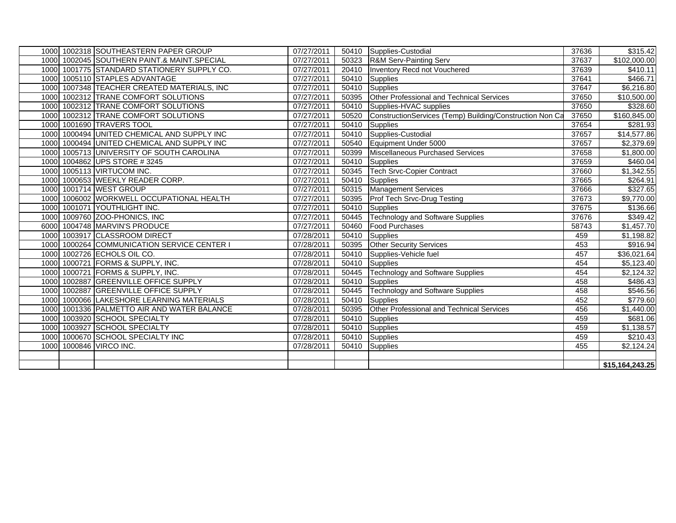|      | 1000 1002318 SOUTHEASTERN PAPER GROUP       | 07/27/2011              |       | 50410 Supplies-Custodial                                 | 37636 | \$315.42                |
|------|---------------------------------------------|-------------------------|-------|----------------------------------------------------------|-------|-------------------------|
|      | 1000 1002045 SOUTHERN PAINT.& MAINT.SPECIAL | 07/27/2011              | 50323 | R&M Serv-Painting Serv                                   | 37637 | \$102,000.00            |
|      | 1000 1001775 STANDARD STATIONERY SUPPLY CO. | 07/27/2011              | 20410 | Inventory Recd not Vouchered                             | 37639 | \$410.11                |
|      | 1000 1005110 STAPLES ADVANTAGE              | 07/27/2011              | 50410 | Supplies                                                 | 37641 | \$466.71                |
| 1000 | 1007348 TEACHER CREATED MATERIALS, INC      | 07/27/2011              | 50410 | Supplies                                                 | 37647 | \$6,216.80              |
|      | 1000 1002312 TRANE COMFORT SOLUTIONS        | 07/27/2011              | 50395 | Other Professional and Technical Services                | 37650 | \$10,500.00             |
|      | 1000 1002312 TRANE COMFORT SOLUTIONS        | 07/27/2011              | 50410 | Supplies-HVAC supplies                                   | 37650 | \$328.60                |
|      | 1000 1002312 TRANE COMFORT SOLUTIONS        | 07/27/2011              | 50520 | ConstructionServices (Temp) Building/Construction Non Ca | 37650 | \$160,845.00            |
| 1000 | 1001690 TRAVERS TOOL                        | 07/27/2011              | 50410 | Supplies                                                 | 37654 | \$281.93                |
|      | 1000 1000494 UNITED CHEMICAL AND SUPPLY INC | 07/27/2011              | 50410 | Supplies-Custodial                                       | 37657 | $\overline{$14,577.86}$ |
|      | 1000 1000494 UNITED CHEMICAL AND SUPPLY INC | 07/27/2011              | 50540 | Equipment Under 5000                                     | 37657 | \$2,379.69              |
|      | 1000 1005713 UNIVERSITY OF SOUTH CAROLINA   | 07/27/2011              | 50399 | Miscellaneous Purchased Services                         | 37658 | \$1,800.00              |
|      | 1000 1004862 UPS STORE #3245                | 07/27/2011              | 50410 | Supplies                                                 | 37659 | \$460.04                |
|      | 1000 1005113 VIRTUCOM INC.                  | 07/27/2011              | 50345 | <b>Tech Srvc-Copier Contract</b>                         | 37660 | \$1,342.55              |
|      | 1000 1000653 WEEKLY READER CORP.            | 07/27/2011              |       | 50410 Supplies                                           | 37665 | \$264.91                |
|      | 1000 1001714 WEST GROUP                     | $\overline{07/27}/2011$ | 50315 | <b>Management Services</b>                               | 37666 | \$327.65                |
|      | 1000 1006002 WORKWELL OCCUPATIONAL HEALTH   | $\overline{07}/27/2011$ | 50395 | <b>Prof Tech Srvc-Drug Testing</b>                       | 37673 | \$9,770.00              |
|      | 1000 1001071 YOUTHLIGHT INC.                | $\overline{07}/27/2011$ | 50410 | <b>Supplies</b>                                          | 37675 | \$136.66                |
|      | 1000 1009760 ZOO-PHONICS, INC               | 07/27/2011              |       | 50445 Technology and Software Supplies                   | 37676 | \$349.42                |
|      | 6000 1004748 MARVIN'S PRODUCE               | 07/27/2011              | 50460 | <b>Food Purchases</b>                                    | 58743 | \$1,457.70              |
|      | 1000 1003917 CLASSROOM DIRECT               | 07/28/2011              |       | 50410 Supplies                                           | 459   | \$1,198.82              |
|      | 1000 1000264 COMMUNICATION SERVICE CENTER I | 07/28/2011              | 50395 | <b>Other Security Services</b>                           | 453   | \$916.94                |
|      | 1000 1002726 ECHOLS OIL CO.                 | 07/28/2011              | 50410 | Supplies-Vehicle fuel                                    | 457   | \$36,021.64             |
|      | 1000 1000721 FORMS & SUPPLY, INC.           | 07/28/2011              | 50410 | Supplies                                                 | 454   | \$5,123.40              |
|      | 1000 1000721 FORMS & SUPPLY, INC.           | 07/28/2011              | 50445 | Technology and Software Supplies                         | 454   | \$2,124.32              |
|      | 1000 1002887 GREENVILLE OFFICE SUPPLY       | 07/28/2011              |       | 50410 Supplies                                           | 458   | \$486.43                |
|      | 1000 1002887 GREENVILLE OFFICE SUPPLY       | 07/28/2011              | 50445 | <b>Technology and Software Supplies</b>                  | 458   | \$546.56                |
|      | 1000 1000066 LAKESHORE LEARNING MATERIALS   | 07/28/2011              | 50410 | Supplies                                                 | 452   | \$779.60                |
|      | 1000 1001336 PALMETTO AIR AND WATER BALANCE | 07/28/2011              | 50395 | Other Professional and Technical Services                | 456   | \$1,440.00              |
|      | 1000 1003920 SCHOOL SPECIALTY               | 07/28/2011              | 50410 | Supplies                                                 | 459   | \$681.06                |
|      | 1000 1003927 SCHOOL SPECIALTY               | 07/28/2011              | 50410 | Supplies                                                 | 459   | $\overline{\$1,138.57}$ |
|      | 1000 1000670 SCHOOL SPECIALTY INC           | 07/28/2011              |       | 50410 Supplies                                           | 459   | \$210.43                |
|      | 1000 1000846 VIRCO INC.                     | 07/28/2011              |       | 50410 Supplies                                           | 455   | $\overline{$2,124.24}$  |
|      |                                             |                         |       |                                                          |       |                         |
|      |                                             |                         |       |                                                          |       | \$15,164,243.25         |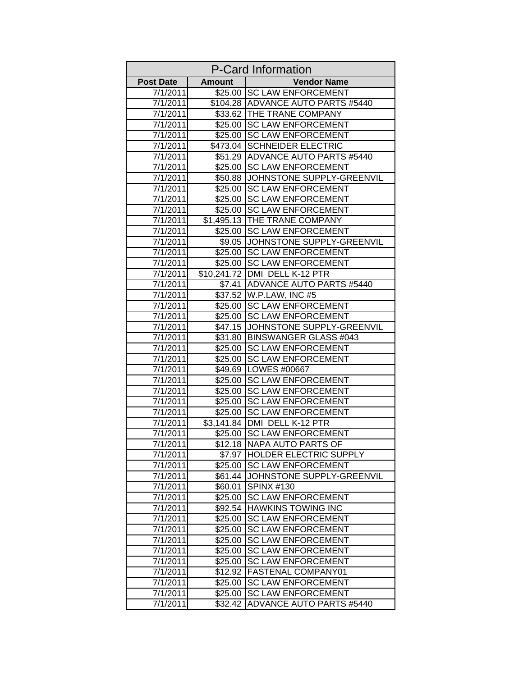| <b>P-Card Information</b> |                    |                                                        |
|---------------------------|--------------------|--------------------------------------------------------|
| <b>Post Date</b>          | <b>Amount</b>      | <b>Vendor Name</b>                                     |
| 7/1/2011                  | \$25.00            | <b>SC LAW ENFORCEMENT</b>                              |
| 7/1/2011                  |                    | \$104.28 ADVANCE AUTO PARTS #5440                      |
| 7/1/2011                  |                    | \$33.62 THE TRANE COMPANY                              |
| 7/1/2011                  | \$25.00            | <b>SC LAW ENFORCEMENT</b>                              |
| 7/1/2011                  | \$25.00            | <b>SC LAW ENFORCEMENT</b>                              |
| 7/1/2011                  | \$473.04           | <b>SCHNEIDER ELECTRIC</b>                              |
| 7/1/2011                  | \$51.29            | <b>ADVANCE AUTO PARTS #5440</b>                        |
| 7/1/2011                  | \$25.00            | <b>SC LAW ENFORCEMENT</b>                              |
| 7/1/2011                  | \$50.88            | JOHNSTONE SUPPLY-GREENVIL                              |
| 7/1/2011                  | \$25.00            | <b>SC LAW ENFORCEMENT</b>                              |
| 7/1/2011                  | \$25.00            | <b>SC LAW ENFORCEMENT</b>                              |
| 7/1/2011                  | \$25.00            | <b>SC LAW ENFORCEMENT</b>                              |
| 7/1/2011                  |                    | \$1,495.13 THE TRANE COMPANY                           |
| 7/1/2011                  | \$25.00            | <b>SC LAW ENFORCEMENT</b>                              |
| 7/1/2011                  | \$9.05             | JOHNSTONE SUPPLY-GREENVIL                              |
| 7/1/2011                  |                    | \$25.00 SC LAW ENFORCEMENT                             |
| 7/1/2011                  |                    | \$25.00 SC LAW ENFORCEMENT                             |
| 7/1/2011                  |                    | \$10,241.72 DMI DELL K-12 PTR                          |
| 7/1/2011                  | $\overline{$}7.41$ | <b>ADVANCE AUTO PARTS #5440</b>                        |
| 7/1/2011                  |                    | \$37.52 W.P.LAW, INC #5                                |
| 7/1/2011                  | \$25.00            | <b>SC LAW ENFORCEMENT</b>                              |
| 7/1/2011                  | \$25.00            | <b>SC LAW ENFORCEMENT</b>                              |
| 7/1/2011                  | \$47.15            | JOHNSTONE SUPPLY-GREENVIL                              |
| 7/1/2011                  | \$31.80            | <b>BINSWANGER GLASS #043</b>                           |
| 7/1/2011                  | \$25.00            | <b>SC LAW ENFORCEMENT</b>                              |
| 7/1/2011                  | \$25.00            | <b>SC LAW ENFORCEMENT</b>                              |
| 7/1/2011                  | \$49.69            | LOWES #00667                                           |
| 7/1/2011                  | \$25.00            | <b>SC LAW ENFORCEMENT</b>                              |
| 7/1/2011                  | \$25.00            | <b>SC LAW ENFORCEMENT</b>                              |
| 7/1/2011                  | \$25.00            | <b>SC LAW ENFORCEMENT</b>                              |
| 7/1/2011                  | \$25.00            | <b>SC LAW ENFORCEMENT</b>                              |
| 7/1/2011                  | \$3,141.84         | DMI DELL K-12 PTR                                      |
| 7/1/2011                  | \$25.00            | <b>SC LAW ENFORCEMENT</b>                              |
| 7/1/2011                  |                    | \$12.18 NAPA AUTO PARTS OF                             |
| 7/1/2011                  | \$7.97             | <b>HOLDER ELECTRIC SUPPLY</b>                          |
| 7/1/2011                  | \$25.00            | <b>SC LAW ENFORCEMENT</b>                              |
| 7/1/2011                  | \$61.44            | JOHNSTONE SUPPLY-GREENVIL                              |
| 7/1/2011                  | \$60.01            | <b>SPINX #130</b>                                      |
| 7/1/2011                  | \$25.00            | <b>SC LAW ENFORCEMENT</b>                              |
| 7/1/2011                  | \$92.54            | <b>HAWKINS TOWING INC</b>                              |
| 7/1/2011                  | \$25.00            | <b>SC LAW ENFORCEMENT</b>                              |
| 7/1/2011                  | \$25.00            | <b>SC LAW ENFORCEMENT</b>                              |
| 7/1/2011                  | \$25.00            | <b>SC LAW ENFORCEMENT</b>                              |
| 7/1/2011                  | \$25.00            | <b>SC LAW ENFORCEMENT</b><br><b>SC LAW ENFORCEMENT</b> |
| 7/1/2011                  | \$25.00            |                                                        |
| 7/1/2011                  | \$12.92            | FASTENAL COMPANY01<br><b>SC LAW ENFORCEMENT</b>        |
| 7/1/2011                  | \$25.00            | <b>SC LAW ENFORCEMENT</b>                              |
| 7/1/2011<br>7/1/2011      | \$25.00<br>\$32.42 | <b>ADVANCE AUTO PARTS #5440</b>                        |
|                           |                    |                                                        |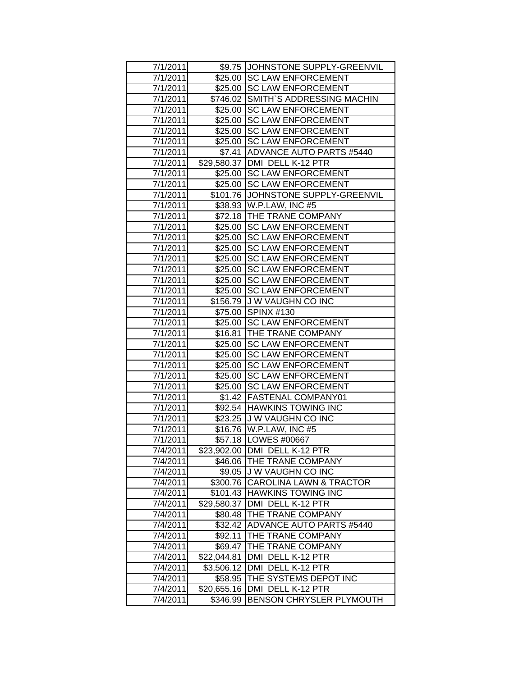| 7/1/2011 |             | \$9.75 JOHNSTONE SUPPLY-GREENVIL    |
|----------|-------------|-------------------------------------|
| 7/1/2011 |             | \$25.00 SC LAW ENFORCEMENT          |
| 7/1/2011 |             | \$25.00 SC LAW ENFORCEMENT          |
| 7/1/2011 |             | \$746.02 SMITH'S ADDRESSING MACHIN  |
| 7/1/2011 | \$25.00     | <b>SC LAW ENFORCEMENT</b>           |
| 7/1/2011 | \$25.00     | <b>SC LAW ENFORCEMENT</b>           |
| 7/1/2011 | \$25.00     | <b>SC LAW ENFORCEMENT</b>           |
| 7/1/2011 |             | \$25.00 SC LAW ENFORCEMENT          |
| 7/1/2011 |             | \$7.41 ADVANCE AUTO PARTS #5440     |
| 7/1/2011 |             | \$29,580.37 DMI DELL K-12 PTR       |
| 7/1/2011 |             | \$25.00 SC LAW ENFORCEMENT          |
| 7/1/2011 |             | \$25.00 SC LAW ENFORCEMENT          |
| 7/1/2011 |             | \$101.76 JJOHNSTONE SUPPLY-GREENVIL |
| 7/1/2011 |             | \$38.93 W.P.LAW, INC #5             |
| 7/1/2011 |             | \$72.18 THE TRANE COMPANY           |
| 7/1/2011 | \$25.00     | <b>SC LAW ENFORCEMENT</b>           |
| 7/1/2011 | \$25.00     | <b>SC LAW ENFORCEMENT</b>           |
| 7/1/2011 | \$25.00     | <b>SC LAW ENFORCEMENT</b>           |
| 7/1/2011 | \$25.00     | <b>SC LAW ENFORCEMENT</b>           |
| 7/1/2011 | \$25.00     | <b>SC LAW ENFORCEMENT</b>           |
| 7/1/2011 |             | \$25.00 SC LAW ENFORCEMENT          |
| 7/1/2011 |             | \$25.00 SC LAW ENFORCEMENT          |
| 7/1/2011 |             | \$156.79 J W VAUGHN CO INC          |
| 7/1/2011 |             | \$75.00 SPINX #130                  |
| 7/1/2011 |             | \$25.00 SC LAW ENFORCEMENT          |
| 7/1/2011 |             | \$16.81 THE TRANE COMPANY           |
| 7/1/2011 |             | \$25.00 SC LAW ENFORCEMENT          |
| 7/1/2011 | \$25.00     | <b>SC LAW ENFORCEMENT</b>           |
| 7/1/2011 | \$25.00     | <b>SC LAW ENFORCEMENT</b>           |
| 7/1/2011 | \$25.00     | <b>SC LAW ENFORCEMENT</b>           |
| 7/1/2011 | \$25.00     | <b>SC LAW ENFORCEMENT</b>           |
| 7/1/2011 |             | \$1.42 FASTENAL COMPANY01           |
| 7/1/2011 |             | \$92.54 HAWKINS TOWING INC          |
| 7/1/2011 |             | \$23.25 JJ W VAUGHN CO INC          |
| 7/1/2011 |             | \$16.76 W.P.LAW, INC #5             |
| 7/1/2011 |             | \$57.18   LOWES #00667              |
| 7/4/2011 |             | \$23,902.00 DMI DELL K-12 PTR       |
| 7/4/2011 |             | \$46.06 THE TRANE COMPANY           |
| 7/4/2011 |             | \$9.05 J W VAUGHN CO INC            |
| 7/4/2011 | \$300.76    | <b>CAROLINA LAWN &amp; TRACTOR</b>  |
| 7/4/2011 | \$101.43    | <b>HAWKINS TOWING INC</b>           |
| 7/4/2011 | \$29,580.37 | DMI DELL K-12 PTR                   |
| 7/4/2011 | \$80.48     | THE TRANE COMPANY                   |
| 7/4/2011 | \$32.42     | <b>ADVANCE AUTO PARTS #5440</b>     |
| 7/4/2011 | \$92.11     | THE TRANE COMPANY                   |
| 7/4/2011 | \$69.47     | THE TRANE COMPANY                   |
| 7/4/2011 | \$22,044.81 | DMI DELL K-12 PTR                   |
| 7/4/2011 | \$3,506.12  | DMI DELL K-12 PTR                   |
| 7/4/2011 | \$58.95     | THE SYSTEMS DEPOT INC               |
| 7/4/2011 | \$20,655.16 | DMI DELL K-12 PTR                   |
| 7/4/2011 | \$346.99    | BENSON CHRYSLER PLYMOUTH            |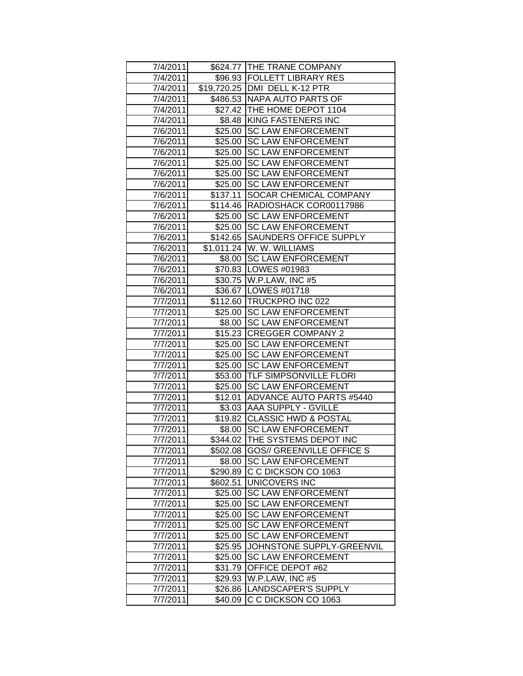| 7/4/2011 |          | \$624.77 THE TRANE COMPANY           |
|----------|----------|--------------------------------------|
| 7/4/2011 |          | \$96.93   FOLLETT LIBRARY RES        |
| 7/4/2011 |          | \$19,720.25   DMI DELL K-12 PTR      |
| 7/4/2011 |          | \$486.53 NAPA AUTO PARTS OF          |
| 7/4/2011 |          | \$27.42 THE HOME DEPOT 1104          |
| 7/4/2011 |          | \$8.48 KING FASTENERS INC            |
| 7/6/2011 |          | \$25.00 SC LAW ENFORCEMENT           |
| 7/6/2011 |          | \$25.00 SC LAW ENFORCEMENT           |
| 7/6/2011 |          | \$25.00 SC LAW ENFORCEMENT           |
| 7/6/2011 |          | \$25.00 SC LAW ENFORCEMENT           |
| 7/6/2011 |          | \$25.00 SC LAW ENFORCEMENT           |
| 7/6/2011 |          | \$25.00 SC LAW ENFORCEMENT           |
| 7/6/2011 |          | \$137.11 SOCAR CHEMICAL COMPANY      |
| 7/6/2011 |          | \$114.46 RADIOSHACK COR00117986      |
| 7/6/2011 |          | \$25.00 SC LAW ENFORCEMENT           |
| 7/6/2011 |          | \$25.00 SC LAW ENFORCEMENT           |
| 7/6/2011 |          | \$142.65 SAUNDERS OFFICE SUPPLY      |
| 7/6/2011 |          | \$1,011.24 W. W. WILLIAMS            |
| 7/6/2011 |          | \$8.00 SC LAW ENFORCEMENT            |
| 7/6/2011 |          | \$70.83   LOWES #01983               |
| 7/6/2011 |          | \$30.75 W.P.LAW, INC #5              |
| 7/6/2011 |          | \$36.67   LOWES #01718               |
| 7/7/2011 |          | \$112.60 TRUCKPRO INC 022            |
| 7/7/2011 |          | \$25.00 SC LAW ENFORCEMENT           |
| 7/7/2011 |          | \$8.00 SC LAW ENFORCEMENT            |
| 7/7/2011 |          | \$15.23 CREGGER COMPANY 2            |
| 7/7/2011 |          | \$25.00 SC LAW ENFORCEMENT           |
| 7/7/2011 |          | \$25.00 SC LAW ENFORCEMENT           |
| 7/7/2011 | \$25.00  | <b>SC LAW ENFORCEMENT</b>            |
| 7/7/2011 |          | \$53.00 TLF SIMPSONVILLE FLORI       |
| 7/7/2011 | \$25.00  | <b>SC LAW ENFORCEMENT</b>            |
| 7/7/2011 |          | \$12.01 ADVANCE AUTO PARTS #5440     |
| 7/7/2011 |          | \$3.03   AAA SUPPLY - GVILLE         |
| 7/7/2011 |          | \$19.82 CLASSIC HWD & POSTAL         |
| 7/7/2011 |          | \$8.00 SC LAW ENFORCEMENT            |
| 7/7/2011 |          | \$344.02 THE SYSTEMS DEPOT INC       |
| 7/7/2011 |          | \$502.08   GOS// GREENVILLE OFFICE S |
| 7/7/2011 | \$8.00   | <b>SC LAW ENFORCEMENT</b>            |
| 7/7/2011 | \$290.89 | C C DICKSON CO 1063                  |
| 7/7/2011 | \$602.51 | UNICOVERS INC                        |
| 7/7/2011 | \$25.00  | <b>SC LAW ENFORCEMENT</b>            |
| 7/7/2011 | \$25.00  | <b>SC LAW ENFORCEMENT</b>            |
| 7/7/2011 | \$25.00  | <b>SC LAW ENFORCEMENT</b>            |
| 7/7/2011 | \$25.00  | <b>SC LAW ENFORCEMENT</b>            |
| 7/7/2011 | \$25.00  | <b>SC LAW ENFORCEMENT</b>            |
| 7/7/2011 | \$25.95  | JOHNSTONE SUPPLY-GREENVIL            |
| 7/7/2011 | \$25.00  | <b>SC LAW ENFORCEMENT</b>            |
| 7/7/2011 | \$31.79  | OFFICE DEPOT #62                     |
| 7/7/2011 | \$29.93  | W.P.LAW, INC #5                      |
| 7/7/2011 | \$26.86  | LANDSCAPER'S SUPPLY                  |
| 7/7/2011 | \$40.09  | C C DICKSON CO 1063                  |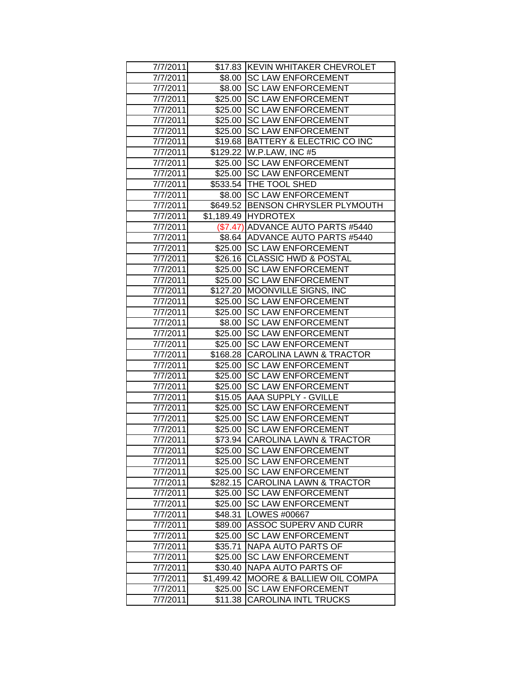| 7/7/2011             |            | \$17.83 KEVIN WHITAKER CHEVROLET                        |
|----------------------|------------|---------------------------------------------------------|
| 7/7/2011             |            | \$8.00 SC LAW ENFORCEMENT                               |
| 7/7/2011             |            | \$8.00 SC LAW ENFORCEMENT                               |
| 7/7/2011             | \$25.00    | <b>SC LAW ENFORCEMENT</b>                               |
| 7/7/2011             | \$25.00    | <b>SC LAW ENFORCEMENT</b>                               |
| 7/7/2011             | \$25.00    | <b>SC LAW ENFORCEMENT</b>                               |
| 7/7/2011             | \$25.00    | <b>SC LAW ENFORCEMENT</b>                               |
| 7/7/2011             | \$19.68    | BATTERY & ELECTRIC CO INC                               |
| 7/7/2011             |            | \$129.22 W.P.LAW, INC #5                                |
| 7/7/2011             |            | \$25.00 SC LAW ENFORCEMENT                              |
| 7/7/2011             |            | \$25.00 SC LAW ENFORCEMENT                              |
| 7/7/2011             |            | \$533.54   THE TOOL SHED                                |
| 7/7/2011             |            | \$8.00 SC LAW ENFORCEMENT                               |
| 7/7/2011             |            | \$649.52 BENSON CHRYSLER PLYMOUTH                       |
| 7/7/2011             |            | \$1,189.49 HYDROTEX                                     |
| 7/7/2011             |            | (\$7.47) ADVANCE AUTO PARTS #5440                       |
| 7/7/2011             |            | \$8.64 ADVANCE AUTO PARTS #5440                         |
| 7/7/2011             |            | \$25.00 SC LAW ENFORCEMENT                              |
| 7/7/2011             | \$26.16    | <b>CLASSIC HWD &amp; POSTAL</b>                         |
| 7/7/2011             | \$25.00    | <b>SC LAW ENFORCEMENT</b>                               |
| 7/7/2011             |            | \$25.00 SC LAW ENFORCEMENT                              |
| 7/7/2011             |            | \$127.20 MOONVILLE SIGNS, INC                           |
| 7/7/2011             |            | \$25.00 SC LAW ENFORCEMENT                              |
| 7/7/2011             |            | \$25.00 SC LAW ENFORCEMENT<br>\$8.00 SC LAW ENFORCEMENT |
| 7/7/2011<br>7/7/2011 |            | \$25.00 SC LAW ENFORCEMENT                              |
| 7/7/2011             |            | \$25.00 SC LAW ENFORCEMENT                              |
| 7/7/2011             |            | \$168.28 CAROLINA LAWN & TRACTOR                        |
| 7/7/2011             | \$25.00    | <b>SC LAW ENFORCEMENT</b>                               |
| 7/7/2011             | \$25.00    | <b>SC LAW ENFORCEMENT</b>                               |
| 7/7/2011             | \$25.00    | <b>SC LAW ENFORCEMENT</b>                               |
| 7/7/2011             | \$15.05    | <b>AAA SUPPLY - GVILLE</b>                              |
| 7/7/2011             | \$25.00    | <b>SC LAW ENFORCEMENT</b>                               |
| 7/7/2011             | \$25.00    | <b>SC LAW ENFORCEMENT</b>                               |
| 7/7/2011             | \$25.00    | <b>SC LAW ENFORCEMENT</b>                               |
| 7/7/2011             |            | \$73.94 CAROLINA LAWN & TRACTOR                         |
| 7/7/2011             |            | \$25.00 SC LAW ENFORCEMENT                              |
| 7/7/2011             | \$25.00    | <b>SC LAW ENFORCEMENT</b>                               |
| 7/7/2011             | \$25.00    | <b>SC LAW ENFORCEMENT</b>                               |
| 7/7/2011             | \$282.15   | <b>CAROLINA LAWN &amp; TRACTOR</b>                      |
| 7/7/2011             | \$25.00    | <b>SC LAW ENFORCEMENT</b>                               |
| 7/7/2011             | \$25.00    | <b>SC LAW ENFORCEMENT</b>                               |
| 7/7/2011             | \$48.31    | LOWES #00667                                            |
| 7/7/2011             | \$89.00    | <b>ASSOC SUPERV AND CURR</b>                            |
| 7/7/2011             | \$25.00    | <b>SC LAW ENFORCEMENT</b>                               |
| 7/7/2011             | \$35.71    | <b>NAPA AUTO PARTS OF</b>                               |
| 7/7/2011             | \$25.00    | <b>SC LAW ENFORCEMENT</b>                               |
| 7/7/2011             | \$30.40    | NAPA AUTO PARTS OF                                      |
| 7/7/2011             | \$1,499.42 | MOORE & BALLIEW OIL COMPA                               |
| 7/7/2011             | \$25.00    | <b>SC LAW ENFORCEMENT</b>                               |
| 7/7/2011             | \$11.38    | <b>CAROLINA INTL TRUCKS</b>                             |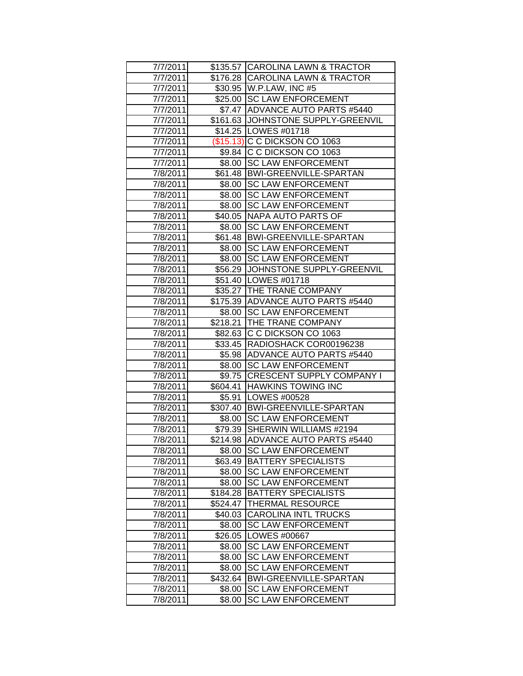| 7/7/2011             |          | \$135.57 CAROLINA LAWN & TRACTOR                              |
|----------------------|----------|---------------------------------------------------------------|
| 7/7/2011             |          | \$176.28 CAROLINA LAWN & TRACTOR                              |
| 7/7/2011             |          | \$30.95   W.P.LAW, INC #5                                     |
| 7/7/2011             |          | \$25.00 SC LAW ENFORCEMENT                                    |
| 7/7/2011             |          | \$7.47 ADVANCE AUTO PARTS #5440                               |
| 7/7/2011             |          | \$161.63 JOHNSTONE SUPPLY-GREENVIL                            |
| 7/7/2011             |          | \$14.25   LOWES #01718                                        |
| 7/7/2011             |          | (\$15.13) C C DICKSON CO 1063                                 |
| 7/7/2011             |          | \$9.84 C C DICKSON CO 1063                                    |
| 7/7/2011             |          | \$8.00   SC LAW ENFORCEMENT                                   |
| 7/8/2011             |          | \$61.48   BWI-GREENVILLE-SPARTAN                              |
| 7/8/2011             |          | \$8.00 SC LAW ENFORCEMENT                                     |
| 7/8/2011             |          | \$8.00 SC LAW ENFORCEMENT                                     |
| 7/8/2011             |          | \$8.00 SC LAW ENFORCEMENT                                     |
| 7/8/2011             |          | \$40.05 NAPA AUTO PARTS OF                                    |
| 7/8/2011             |          | \$8.00 SC LAW ENFORCEMENT                                     |
| 7/8/2011             |          | \$61.48 BWI-GREENVILLE-SPARTAN                                |
| 7/8/2011             | \$8.00   | <b>SC LAW ENFORCEMENT</b>                                     |
| 7/8/2011             | \$8.00   | <b>SC LAW ENFORCEMENT</b>                                     |
| 7/8/2011             |          | \$56.29 JJOHNSTONE SUPPLY-GREENVIL                            |
| 7/8/2011             |          | \$51.40   LOWES #01718                                        |
| 7/8/2011             |          | \$35.27   THE TRANE COMPANY                                   |
| 7/8/2011             |          | \$175.39 ADVANCE AUTO PARTS #5440                             |
| 7/8/2011             |          | \$8.00 SC LAW ENFORCEMENT                                     |
| 7/8/2011             |          | \$218.21 THE TRANE COMPANY                                    |
| 7/8/2011             |          | \$82.63 C C DICKSON CO 1063                                   |
| 7/8/2011             |          | \$33.45 RADIOSHACK COR00196238                                |
| 7/8/2011             |          | \$5.98 ADVANCE AUTO PARTS #5440                               |
| 7/8/2011             | \$8.00   | <b>SC LAW ENFORCEMENT</b><br>\$9.75 CRESCENT SUPPLY COMPANY I |
| 7/8/2011<br>7/8/2011 |          | \$604.41 HAWKINS TOWING INC                                   |
| 7/8/2011             |          | \$5.91   LOWES #00528                                         |
| 7/8/2011             |          | \$307.40 BWI-GREENVILLE-SPARTAN                               |
| 7/8/2011             |          | \$8.00 SC LAW ENFORCEMENT                                     |
| 7/8/2011             | \$79.39  | SHERWIN WILLIAMS #2194                                        |
| 7/8/2011             |          | \$214.98 ADVANCE AUTO PARTS #5440                             |
| 7/8/2011             | \$8.00   | <b>SC LAW ENFORCEMENT</b>                                     |
| 7/8/2011             | \$63.49  | <b>BATTERY SPECIALISTS</b>                                    |
| 7/8/2011             | \$8.00   | <b>SC LAW ENFORCEMENT</b>                                     |
| 7/8/2011             | \$8.00   | <b>SC LAW ENFORCEMENT</b>                                     |
| 7/8/2011             | \$184.28 | <b>BATTERY SPECIALISTS</b>                                    |
| 7/8/2011             | \$524.47 | THERMAL RESOURCE                                              |
| 7/8/2011             | \$40.03  | <b>CAROLINA INTL TRUCKS</b>                                   |
| 7/8/2011             | \$8.00   | <b>SC LAW ENFORCEMENT</b>                                     |
| 7/8/2011             | \$26.05  | LOWES #00667                                                  |
| 7/8/2011             | \$8.00   | <b>SC LAW ENFORCEMENT</b>                                     |
| 7/8/2011             | \$8.00   | <b>SC LAW ENFORCEMENT</b>                                     |
| 7/8/2011             | \$8.00   | <b>SC LAW ENFORCEMENT</b>                                     |
| 7/8/2011             | \$432.64 | BWI-GREENVILLE-SPARTAN                                        |
| 7/8/2011             | \$8.00   | <b>SC LAW ENFORCEMENT</b>                                     |
| 7/8/2011             | \$8.00   | <b>SC LAW ENFORCEMENT</b>                                     |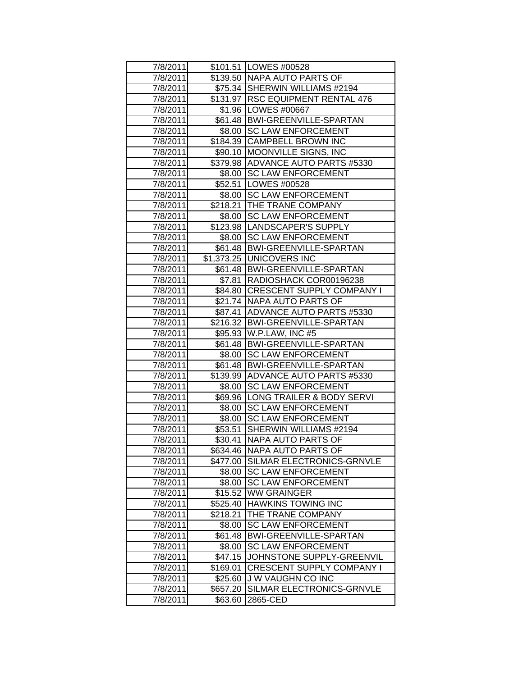| 7/8/2011             |                   | \$101.51 LOWES #00528                                           |
|----------------------|-------------------|-----------------------------------------------------------------|
| 7/8/2011             |                   | \$139.50 NAPA AUTO PARTS OF                                     |
| 7/8/2011             |                   | \$75.34 SHERWIN WILLIAMS #2194                                  |
| 7/8/2011             |                   | \$131.97 RSC EQUIPMENT RENTAL 476                               |
| 7/8/2011             |                   | \$1.96 LOWES #00667                                             |
| 7/8/2011             |                   | \$61.48 BWI-GREENVILLE-SPARTAN                                  |
| 7/8/2011             |                   | \$8.00 SC LAW ENFORCEMENT                                       |
| 7/8/2011             |                   | \$184.39 CAMPBELL BROWN INC                                     |
| 7/8/2011             |                   | \$90.10 MOONVILLE SIGNS, INC                                    |
| 7/8/2011             |                   | \$379.98 ADVANCE AUTO PARTS #5330                               |
| 7/8/2011             |                   | \$8.00 SC LAW ENFORCEMENT                                       |
| 7/8/2011             |                   | \$52.51   LOWES #00528                                          |
| 7/8/2011             |                   | \$8.00 SC LAW ENFORCEMENT                                       |
| 7/8/2011             |                   | \$218.21 THE TRANE COMPANY                                      |
| 7/8/2011             |                   | \$8.00 SC LAW ENFORCEMENT                                       |
| 7/8/2011             |                   | \$123.98  LANDSCAPER'S SUPPLY                                   |
| 7/8/2011             |                   | \$8.00 SC LAW ENFORCEMENT                                       |
| 7/8/2011             |                   | \$61.48 BWI-GREENVILLE-SPARTAN                                  |
| 7/8/2011             |                   | \$1,373.25 UNICOVERS INC                                        |
| 7/8/2011             |                   | \$61.48   BWI-GREENVILLE-SPARTAN                                |
| 7/8/2011             |                   | \$7.81 RADIOSHACK COR00196238                                   |
| 7/8/2011             |                   | \$84.80 CRESCENT SUPPLY COMPANY I                               |
| 7/8/2011             |                   | \$21.74 NAPA AUTO PARTS OF                                      |
| 7/8/2011             |                   | \$87.41 ADVANCE AUTO PARTS #5330                                |
| 7/8/2011             |                   | \$216.32 BWI-GREENVILLE-SPARTAN                                 |
| 7/8/2011             |                   | \$95.93 W.P.LAW, INC #5                                         |
| 7/8/2011             |                   | \$61.48 BWI-GREENVILLE-SPARTAN                                  |
| 7/8/2011             |                   | \$8.00 SC LAW ENFORCEMENT                                       |
| 7/8/2011             |                   | \$61.48 BWI-GREENVILLE-SPARTAN                                  |
| 7/8/2011             |                   | \$139.99 ADVANCE AUTO PARTS #5330                               |
| 7/8/2011             |                   | \$8.00 SC LAW ENFORCEMENT                                       |
| 7/8/2011             |                   | \$69.96 LONG TRAILER & BODY SERVI                               |
| 7/8/2011             |                   | \$8.00 SC LAW ENFORCEMENT                                       |
| 7/8/2011             |                   | \$8.00 SC LAW ENFORCEMENT                                       |
| 7/8/2011             | \$53.51           | SHERWIN WILLIAMS #2194                                          |
| 7/8/2011             | \$30.41           | <b>NAPA AUTO PARTS OF</b>                                       |
| 7/8/2011<br>7/8/2011 |                   | \$634.46 NAPA AUTO PARTS OF                                     |
|                      | \$8.00            | \$477.00 SILMAR ELECTRONICS-GRNVLE<br><b>SC LAW ENFORCEMENT</b> |
| 7/8/2011<br>7/8/2011 |                   | <b>SC LAW ENFORCEMENT</b>                                       |
| 7/8/2011             | \$8.00<br>\$15.52 | <b>WW GRAINGER</b>                                              |
| 7/8/2011             | \$525.40          | <b>HAWKINS TOWING INC</b>                                       |
| 7/8/2011             | \$218.21          | THE TRANE COMPANY                                               |
| 7/8/2011             | \$8.00            | <b>SC LAW ENFORCEMENT</b>                                       |
| 7/8/2011             | \$61.48           | <b>BWI-GREENVILLE-SPARTAN</b>                                   |
| 7/8/2011             | \$8.00            | <b>SC LAW ENFORCEMENT</b>                                       |
| 7/8/2011             | \$47.15           | JOHNSTONE SUPPLY-GREENVIL                                       |
| 7/8/2011             | \$169.01          | CRESCENT SUPPLY COMPANY I                                       |
| 7/8/2011             | \$25.60           | J W VAUGHN CO INC                                               |
| 7/8/2011             | \$657.20          | SILMAR ELECTRONICS-GRNVLE                                       |
| 7/8/2011             | \$63.60           | 2865-CED                                                        |
|                      |                   |                                                                 |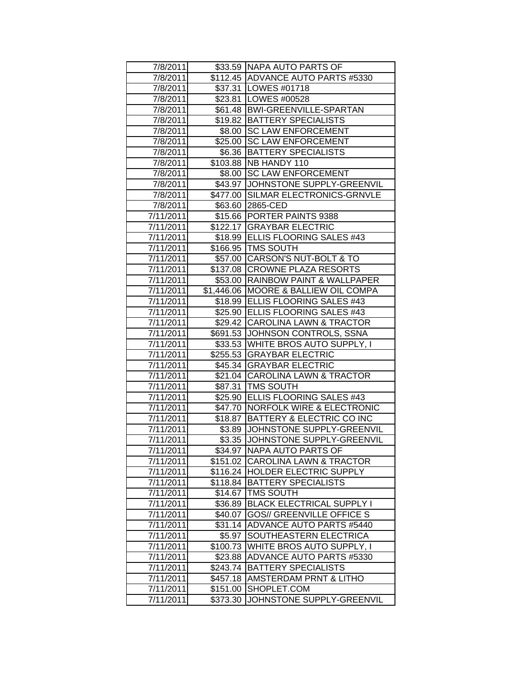| 7/8/2011  |          | \$33.59 NAPA AUTO PARTS OF             |
|-----------|----------|----------------------------------------|
| 7/8/2011  |          | \$112.45 ADVANCE AUTO PARTS #5330      |
| 7/8/2011  |          | \$37.31   LOWES #01718                 |
| 7/8/2011  |          | \$23.81 LOWES #00528                   |
| 7/8/2011  |          | \$61.48 BWI-GREENVILLE-SPARTAN         |
| 7/8/2011  |          | \$19.82 BATTERY SPECIALISTS            |
| 7/8/2011  |          | \$8.00 SC LAW ENFORCEMENT              |
| 7/8/2011  |          | \$25.00 SC LAW ENFORCEMENT             |
| 7/8/2011  |          | \$6.36   BATTERY SPECIALISTS           |
| 7/8/2011  |          | \$103.88 NB HANDY 110                  |
| 7/8/2011  | \$8.00   | <b>SC LAW ENFORCEMENT</b>              |
| 7/8/2011  |          | \$43.97 JJOHNSTONE SUPPLY-GREENVIL     |
| 7/8/2011  |          | \$477.00 SILMAR ELECTRONICS-GRNVLE     |
| 7/8/2011  |          | \$63.60 2865-CED                       |
| 7/11/2011 |          | \$15.66 PORTER PAINTS 9388             |
| 7/11/2011 |          | \$122.17 GRAYBAR ELECTRIC              |
| 7/11/2011 |          | \$18.99 ELLIS FLOORING SALES #43       |
| 7/11/2011 |          | \$166.95 TMS SOUTH                     |
| 7/11/2011 |          | \$57.00 CARSON'S NUT-BOLT & TO         |
| 7/11/2011 |          | \$137.08 CROWNE PLAZA RESORTS          |
| 7/11/2011 |          | \$53.00 RAINBOW PAINT & WALLPAPER      |
| 7/11/2011 |          | \$1,446.06   MOORE & BALLIEW OIL COMPA |
| 7/11/2011 |          | \$18.99 ELLIS FLOORING SALES #43       |
| 7/11/2011 |          | \$25.90   ELLIS FLOORING SALES #43     |
| 7/11/2011 |          | \$29.42 CAROLINA LAWN & TRACTOR        |
| 7/11/2011 |          | \$691.53 JOHNSON CONTROLS, SSNA        |
| 7/11/2011 |          | \$33.53 WHITE BROS AUTO SUPPLY, I      |
| 7/11/2011 |          | \$255.53 GRAYBAR ELECTRIC              |
| 7/11/2011 |          | \$45.34 GRAYBAR ELECTRIC               |
| 7/11/2011 |          | \$21.04 CAROLINA LAWN & TRACTOR        |
| 7/11/2011 |          | \$87.31   TMS SOUTH                    |
| 7/11/2011 |          | \$25.90 ELLIS FLOORING SALES #43       |
| 7/11/2011 |          | \$47.70 NORFOLK WIRE & ELECTRONIC      |
| 7/11/2011 |          | \$18.87 BATTERY & ELECTRIC CO INC      |
| 7/11/2011 |          | \$3.89 JOHNSTONE SUPPLY-GREENVIL       |
| 7/11/2011 |          | \$3.35 JJOHNSTONE SUPPLY-GREENVIL      |
| 7/11/2011 |          | \$34.97 NAPA AUTO PARTS OF             |
| 7/11/2011 | \$151.02 | <b>CAROLINA LAWN &amp; TRACTOR</b>     |
| 7/11/2011 |          | \$116.24 HOLDER ELECTRIC SUPPLY        |
| 7/11/2011 | \$118.84 | <b>BATTERY SPECIALISTS</b>             |
| 7/11/2011 | \$14.67  | <b>TMS SOUTH</b>                       |
| 7/11/2011 | \$36.89  | <b>BLACK ELECTRICAL SUPPLY I</b>       |
| 7/11/2011 | \$40.07  | <b>GOS// GREENVILLE OFFICE S</b>       |
| 7/11/2011 | \$31.14  | <b>ADVANCE AUTO PARTS #5440</b>        |
| 7/11/2011 | \$5.97   | SOUTHEASTERN ELECTRICA                 |
| 7/11/2011 | \$100.73 | WHITE BROS AUTO SUPPLY, I              |
| 7/11/2011 | \$23.88  | <b>ADVANCE AUTO PARTS #5330</b>        |
| 7/11/2011 | \$243.74 | <b>BATTERY SPECIALISTS</b>             |
| 7/11/2011 | \$457.18 | AMSTERDAM PRNT & LITHO                 |
| 7/11/2011 | \$151.00 | SHOPLET.COM                            |
| 7/11/2011 | \$373.30 | JOHNSTONE SUPPLY-GREENVIL              |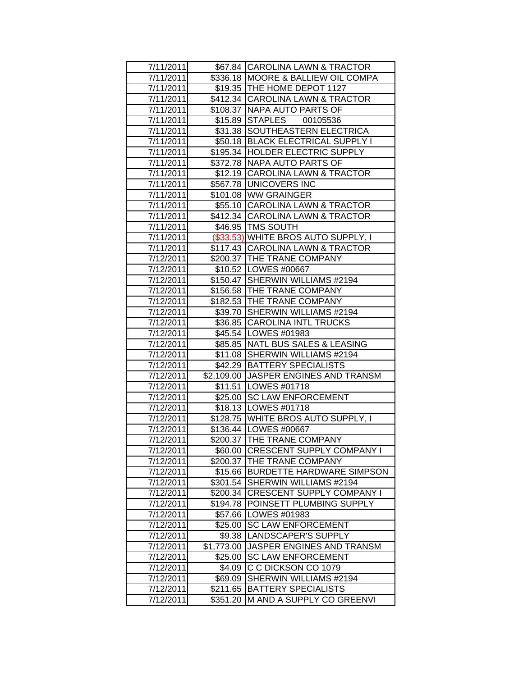| 7/11/2011 |            | \$67.84 CAROLINA LAWN & TRACTOR     |
|-----------|------------|-------------------------------------|
| 7/11/2011 |            | \$336.18 MOORE & BALLIEW OIL COMPA  |
| 7/11/2011 |            | \$19.35 THE HOME DEPOT 1127         |
| 7/11/2011 |            | \$412.34 CAROLINA LAWN & TRACTOR    |
| 7/11/2011 |            | \$108.37 NAPA AUTO PARTS OF         |
| 7/11/2011 |            | \$15.89 STAPLES 00105536            |
| 7/11/2011 |            | \$31.38 SOUTHEASTERN ELECTRICA      |
| 7/11/2011 |            | \$50.18 BLACK ELECTRICAL SUPPLY I   |
| 7/11/2011 |            | \$195.34 HOLDER ELECTRIC SUPPLY     |
| 7/11/2011 |            | \$372.78 NAPA AUTO PARTS OF         |
| 7/11/2011 |            | \$12.19 CAROLINA LAWN & TRACTOR     |
| 7/11/2011 |            | \$567.78 UNICOVERS INC              |
| 7/11/2011 |            | \$101.08 WW GRAINGER                |
| 7/11/2011 |            | \$55.10 CAROLINA LAWN & TRACTOR     |
| 7/11/2011 |            | \$412.34 CAROLINA LAWN & TRACTOR    |
| 7/11/2011 |            | \$46.95   TMS SOUTH                 |
| 7/11/2011 |            | (\$33.53) WHITE BROS AUTO SUPPLY, I |
| 7/11/2011 |            | \$117.43 CAROLINA LAWN & TRACTOR    |
| 7/12/2011 |            | \$200.37 THE TRANE COMPANY          |
| 7/12/2011 |            | \$10.52 LOWES #00667                |
| 7/12/2011 |            | \$150.47 SHERWIN WILLIAMS #2194     |
| 7/12/2011 |            | \$156.58 THE TRANE COMPANY          |
| 7/12/2011 |            | \$182.53 THE TRANE COMPANY          |
| 7/12/2011 |            | \$39.70 SHERWIN WILLIAMS #2194      |
| 7/12/2011 |            | \$36.85 CAROLINA INTL TRUCKS        |
| 7/12/2011 |            | \$45.54 LOWES #01983                |
| 7/12/2011 | \$85.85    | NATL BUS SALES & LEASING            |
| 7/12/2011 |            | \$11.08 SHERWIN WILLIAMS #2194      |
| 7/12/2011 |            | \$42.29 BATTERY SPECIALISTS         |
| 7/12/2011 | \$2,109.00 | <b>JASPER ENGINES AND TRANSM</b>    |
| 7/12/2011 |            | \$11.51   LOWES #01718              |
| 7/12/2011 |            | \$25.00 SC LAW ENFORCEMENT          |
| 7/12/2011 |            | \$18.13   LOWES #01718              |
| 7/12/2011 |            | \$128.75 WHITE BROS AUTO SUPPLY, I  |
| 7/12/2011 |            | \$136.44 LOWES #00667               |
| 7/12/2011 |            | \$200.37 THE TRANE COMPANY          |
| 7/12/2011 |            | \$60.00 CRESCENT SUPPLY COMPANY I   |
| 7/12/2011 |            | \$200.37   THE TRANE COMPANY        |
| 7/12/2011 | \$15.66    | <b>BURDETTE HARDWARE SIMPSON</b>    |
| 7/12/2011 | \$301.54   | SHERWIN WILLIAMS #2194              |
| 7/12/2011 | \$200.34   | <b>CRESCENT SUPPLY COMPANY I</b>    |
| 7/12/2011 | \$194.78   | POINSETT PLUMBING SUPPLY            |
| 7/12/2011 | \$57.66    | LOWES #01983                        |
| 7/12/2011 | \$25.00    | <b>SC LAW ENFORCEMENT</b>           |
| 7/12/2011 | \$9.38     | LANDSCAPER'S SUPPLY                 |
| 7/12/2011 | \$1,773.00 | JASPER ENGINES AND TRANSM           |
| 7/12/2011 | \$25.00    | <b>SC LAW ENFORCEMENT</b>           |
| 7/12/2011 | \$4.09     | C C DICKSON CO 1079                 |
| 7/12/2011 | \$69.09    | SHERWIN WILLIAMS #2194              |
| 7/12/2011 | \$211.65   | <b>BATTERY SPECIALISTS</b>          |
| 7/12/2011 | \$351.20   | M AND A SUPPLY CO GREENVI           |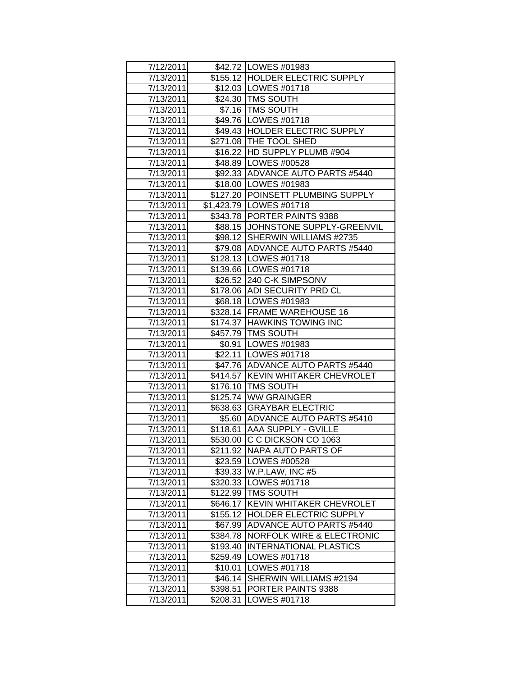| 7/12/2011 |          | \$42.72   LOWES #01983               |
|-----------|----------|--------------------------------------|
| 7/13/2011 |          | \$155.12 HOLDER ELECTRIC SUPPLY      |
| 7/13/2011 |          | \$12.03   LOWES #01718               |
| 7/13/2011 |          | \$24.30 TMS SOUTH                    |
| 7/13/2011 |          | \$7.16   TMS SOUTH                   |
| 7/13/2011 |          | \$49.76   LOWES #01718               |
| 7/13/2011 |          | \$49.43 HOLDER ELECTRIC SUPPLY       |
| 7/13/2011 |          | \$271.08 THE TOOL SHED               |
| 7/13/2011 |          | \$16.22 HD SUPPLY PLUMB #904         |
| 7/13/2011 |          | \$48.89   LOWES #00528               |
| 7/13/2011 |          | \$92.33 ADVANCE AUTO PARTS #5440     |
| 7/13/2011 |          | \$18.00   LOWES #01983               |
| 7/13/2011 |          | \$127.20 POINSETT PLUMBING SUPPLY    |
| 7/13/2011 |          | \$1,423.79   LOWES #01718            |
| 7/13/2011 |          | \$343.78 PORTER PAINTS 9388          |
| 7/13/2011 |          | \$88.15 JOHNSTONE SUPPLY-GREENVIL    |
| 7/13/2011 |          | \$98.12 SHERWIN WILLIAMS #2735       |
| 7/13/2011 |          | \$79.08 ADVANCE AUTO PARTS #5440     |
| 7/13/2011 |          | \$128.13 LOWES #01718                |
| 7/13/2011 |          | \$139.66 LOWES #01718                |
| 7/13/2011 |          | \$26.52 240 C-K SIMPSONV             |
| 7/13/2011 |          | \$178.06 ADI SECURITY PRD CL         |
| 7/13/2011 |          | \$68.18   LOWES #01983               |
| 7/13/2011 |          | \$328.14 FRAME WAREHOUSE 16          |
| 7/13/2011 |          | \$174.37 HAWKINS TOWING INC          |
| 7/13/2011 |          | \$457.79 TMS SOUTH                   |
| 7/13/2011 |          | \$0.91   LOWES #01983                |
| 7/13/2011 |          | \$22.11   LOWES #01718               |
| 7/13/2011 |          | \$47.76 ADVANCE AUTO PARTS #5440     |
| 7/13/2011 |          | \$414.57 KEVIN WHITAKER CHEVROLET    |
| 7/13/2011 |          | \$176.10 TMS SOUTH                   |
| 7/13/2011 |          | \$125.74 WW GRAINGER                 |
| 7/13/2011 |          | \$638.63 GRAYBAR ELECTRIC            |
| 7/13/2011 |          | \$5.60 ADVANCE AUTO PARTS #5410      |
| 7/13/2011 |          | \$118.61 AAA SUPPLY - GVILLE         |
| 7/13/2011 |          | \$530.00 C C DICKSON CO 1063         |
| 7/13/2011 |          | \$211.92 NAPA AUTO PARTS OF          |
| 7/13/2011 |          | \$23.59   LOWES #00528               |
| 7/13/2011 |          | \$39.33   W.P.LAW, INC #5            |
| 7/13/2011 |          | \$320.33   LOWES #01718              |
| 7/13/2011 |          | \$122.99 TMS SOUTH                   |
| 7/13/2011 | \$646.17 | KEVIN WHITAKER CHEVROLET             |
| 7/13/2011 | \$155.12 | HOLDER ELECTRIC SUPPLY               |
| 7/13/2011 | \$67.99  | ADVANCE AUTO PARTS #5440             |
| 7/13/2011 | \$384.78 | <b>NORFOLK WIRE &amp; ELECTRONIC</b> |
| 7/13/2011 | \$193.40 | <b>INTERNATIONAL PLASTICS</b>        |
| 7/13/2011 | \$259.49 | LOWES #01718                         |
| 7/13/2011 | \$10.01  | LOWES #01718                         |
| 7/13/2011 | \$46.14  | SHERWIN WILLIAMS #2194               |
| 7/13/2011 | \$398.51 | PORTER PAINTS 9388                   |
| 7/13/2011 | \$208.31 | LOWES #01718                         |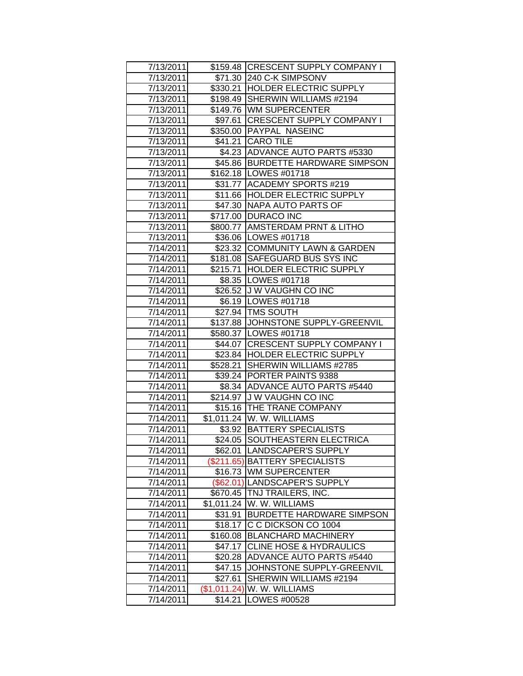| 7/13/2011 |              | \$159.48 CRESCENT SUPPLY COMPANY I |
|-----------|--------------|------------------------------------|
| 7/13/2011 |              | \$71.30 240 C-K SIMPSONV           |
| 7/13/2011 |              | \$330.21 HOLDER ELECTRIC SUPPLY    |
| 7/13/2011 |              | \$198.49 SHERWIN WILLIAMS #2194    |
| 7/13/2011 |              | \$149.76 WM SUPERCENTER            |
| 7/13/2011 |              | \$97.61 CRESCENT SUPPLY COMPANY I  |
| 7/13/2011 |              | \$350.00 PAYPAL NASEINC            |
| 7/13/2011 |              | \$41.21 CARO TILE                  |
| 7/13/2011 |              | \$4.23 ADVANCE AUTO PARTS #5330    |
| 7/13/2011 |              | \$45.86 BURDETTE HARDWARE SIMPSON  |
| 7/13/2011 |              | \$162.18   LOWES #01718            |
| 7/13/2011 |              | \$31.77 ACADEMY SPORTS #219        |
| 7/13/2011 |              | \$11.66 HOLDER ELECTRIC SUPPLY     |
| 7/13/2011 |              | \$47.30 NAPA AUTO PARTS OF         |
| 7/13/2011 |              | \$717.00 DURACO INC                |
| 7/13/2011 |              | \$800.77   AMSTERDAM PRNT & LITHO  |
| 7/13/2011 |              | \$36.06 LOWES #01718               |
| 7/14/2011 |              | \$23.32 COMMUNITY LAWN & GARDEN    |
| 7/14/2011 |              | \$181.08 SAFEGUARD BUS SYS INC     |
| 7/14/2011 |              | \$215.71 HOLDER ELECTRIC SUPPLY    |
| 7/14/2011 |              | \$8.35   LOWES #01718              |
| 7/14/2011 |              | \$26.52 J W VAUGHN CO INC          |
| 7/14/2011 |              | \$6.19   LOWES #01718              |
| 7/14/2011 |              | \$27.94   TMS SOUTH                |
| 7/14/2011 |              | \$137.88 JOHNSTONE SUPPLY-GREENVIL |
| 7/14/2011 |              | \$580.37   LOWES #01718            |
| 7/14/2011 |              | \$44.07 CRESCENT SUPPLY COMPANY I  |
| 7/14/2011 |              | \$23.84 HOLDER ELECTRIC SUPPLY     |
| 7/14/2011 |              | \$528.21 SHERWIN WILLIAMS #2785    |
| 7/14/2011 |              | \$39.24 PORTER PAINTS 9388         |
| 7/14/2011 |              | \$8.34 ADVANCE AUTO PARTS #5440    |
| 7/14/2011 |              | \$214.97 J W VAUGHN CO INC         |
| 7/14/2011 |              | \$15.16   THE TRANE COMPANY        |
| 7/14/2011 |              | \$1,011.24 W. W. WILLIAMS          |
| 7/14/2011 |              | \$3.92 BATTERY SPECIALISTS         |
| 7/14/2011 |              | \$24.05 SOUTHEASTERN ELECTRICA     |
| 7/14/2011 |              | \$62.01 LANDSCAPER'S SUPPLY        |
| 7/14/2011 |              | (\$211.65) BATTERY SPECIALISTS     |
| 7/14/2011 |              | \$16.73 WM SUPERCENTER             |
| 7/14/2011 |              | (\$62.01) LANDSCAPER'S SUPPLY      |
| 7/14/2011 |              | \$670.45   TNJ TRAILERS, INC.      |
| 7/14/2011 | \$1,011.24   | W. W. WILLIAMS                     |
| 7/14/2011 | \$31.91      | <b>BURDETTE HARDWARE SIMPSON</b>   |
| 7/14/2011 | \$18.17      | C C DICKSON CO 1004                |
| 7/14/2011 | \$160.08     | <b>BLANCHARD MACHINERY</b>         |
| 7/14/2011 | \$47.17      | <b>CLINE HOSE &amp; HYDRAULICS</b> |
| 7/14/2011 | \$20.28      | <b>ADVANCE AUTO PARTS #5440</b>    |
| 7/14/2011 | \$47.15      | JOHNSTONE SUPPLY-GREENVIL          |
| 7/14/2011 | \$27.61      | SHERWIN WILLIAMS #2194             |
| 7/14/2011 | (\$1,011.24) | W. W. WILLIAMS                     |
| 7/14/2011 | \$14.21      | LOWES #00528                       |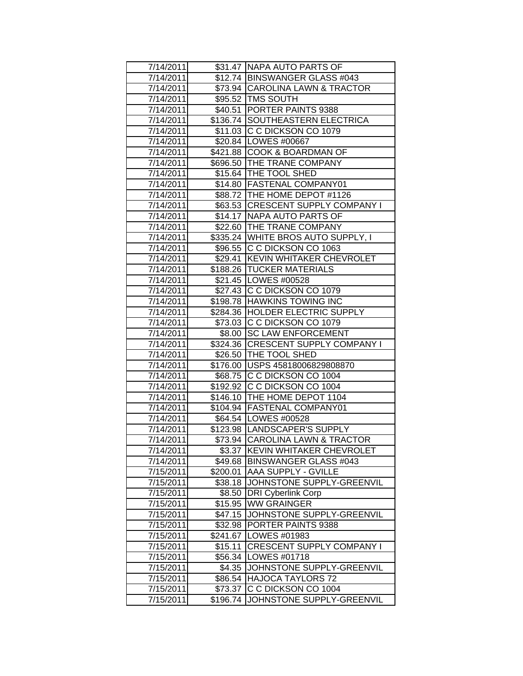| 7/14/2011 |          | \$31.47 NAPA AUTO PARTS OF         |
|-----------|----------|------------------------------------|
| 7/14/2011 |          | \$12.74 BINSWANGER GLASS #043      |
| 7/14/2011 |          | \$73.94 CAROLINA LAWN & TRACTOR    |
| 7/14/2011 |          | \$95.52 TMS SOUTH                  |
| 7/14/2011 |          | \$40.51 PORTER PAINTS 9388         |
| 7/14/2011 |          | \$136.74 SOUTHEASTERN ELECTRICA    |
| 7/14/2011 |          | \$11.03 C C DICKSON CO 1079        |
| 7/14/2011 |          | \$20.84 LOWES #00667               |
| 7/14/2011 |          | \$421.88 COOK & BOARDMAN OF        |
| 7/14/2011 |          | \$696.50 THE TRANE COMPANY         |
| 7/14/2011 |          | \$15.64 THE TOOL SHED              |
| 7/14/2011 |          | \$14.80 FASTENAL COMPANY01         |
| 7/14/2011 |          | \$88.72   THE HOME DEPOT #1126     |
| 7/14/2011 |          | \$63.53 CRESCENT SUPPLY COMPANY I  |
| 7/14/2011 |          | \$14.17   NAPA AUTO PARTS OF       |
| 7/14/2011 |          | \$22.60   THE TRANE COMPANY        |
| 7/14/2011 |          | \$335.24 WHITE BROS AUTO SUPPLY, I |
| 7/14/2011 |          | \$96.55 C C DICKSON CO 1063        |
| 7/14/2011 | \$29.41  | <b>KEVIN WHITAKER CHEVROLET</b>    |
| 7/14/2011 |          | \$188.26   TUCKER MATERIALS        |
| 7/14/2011 |          | \$21.45   LOWES #00528             |
| 7/14/2011 |          | \$27.43 C C DICKSON CO 1079        |
| 7/14/2011 |          | \$198.78 HAWKINS TOWING INC        |
| 7/14/2011 |          | \$284.36  HOLDER ELECTRIC SUPPLY   |
| 7/14/2011 |          | \$73.03 C C DICKSON CO 1079        |
| 7/14/2011 |          | \$8.00 SC LAW ENFORCEMENT          |
| 7/14/2011 |          | \$324.36 CRESCENT SUPPLY COMPANY I |
| 7/14/2011 |          | \$26.50 THE TOOL SHED              |
| 7/14/2011 |          | \$176.00 USPS 45818006829808870    |
| 7/14/2011 |          | \$68.75 C C DICKSON CO 1004        |
| 7/14/2011 |          | \$192.92 C C DICKSON CO 1004       |
| 7/14/2011 |          | \$146.10 THE HOME DEPOT 1104       |
| 7/14/2011 |          | \$104.94 FASTENAL COMPANY01        |
| 7/14/2011 |          | \$64.54   LOWES #00528             |
| 7/14/2011 |          | \$123.98   LANDSCAPER'S SUPPLY     |
| 7/14/2011 |          | \$73.94 CAROLINA LAWN & TRACTOR    |
| 7/14/2011 | \$3.37   | KEVIN WHITAKER CHEVROLET           |
| 7/14/2011 | \$49.68  | <b>BINSWANGER GLASS #043</b>       |
| 7/15/2011 | \$200.01 | <b>AAA SUPPLY - GVILLE</b>         |
| 7/15/2011 | \$38.18  | JOHNSTONE SUPPLY-GREENVIL          |
| 7/15/2011 | \$8.50   | <b>DRI Cyberlink Corp</b>          |
| 7/15/2011 | \$15.95  | <b>WW GRAINGER</b>                 |
| 7/15/2011 | \$47.15  | JOHNSTONE SUPPLY-GREENVIL          |
| 7/15/2011 | \$32.98  | PORTER PAINTS 9388                 |
| 7/15/2011 | \$241.67 | LOWES #01983                       |
| 7/15/2011 | \$15.11  | <b>CRESCENT SUPPLY COMPANY I</b>   |
| 7/15/2011 | \$56.34  | LOWES #01718                       |
| 7/15/2011 | \$4.35   | JOHNSTONE SUPPLY-GREENVIL          |
| 7/15/2011 | \$86.54  | <b>HAJOCA TAYLORS 72</b>           |
| 7/15/2011 | \$73.37  | C C DICKSON CO 1004                |
| 7/15/2011 | \$196.74 | JOHNSTONE SUPPLY-GREENVIL          |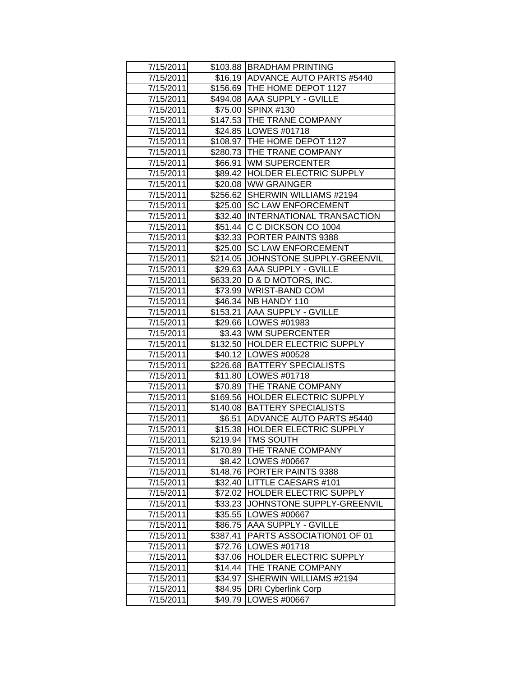| 7/15/2011 |          | \$103.88 BRADHAM PRINTING                   |
|-----------|----------|---------------------------------------------|
| 7/15/2011 |          | \$16.19 ADVANCE AUTO PARTS #5440            |
| 7/15/2011 |          | \$156.69 THE HOME DEPOT 1127                |
| 7/15/2011 |          | \$494.08 AAA SUPPLY - GVILLE                |
| 7/15/2011 |          | \$75.00 SPINX #130                          |
| 7/15/2011 |          | \$147.53 THE TRANE COMPANY                  |
| 7/15/2011 |          | \$24.85 LOWES #01718                        |
| 7/15/2011 |          | \$108.97   THE HOME DEPOT 1127              |
| 7/15/2011 |          | \$280.73   THE TRANE COMPANY                |
| 7/15/2011 |          | \$66.91 WM SUPERCENTER                      |
| 7/15/2011 |          | \$89.42 HOLDER ELECTRIC SUPPLY              |
| 7/15/2011 |          | \$20.08 WW GRAINGER                         |
| 7/15/2011 |          | \$256.62 SHERWIN WILLIAMS #2194             |
| 7/15/2011 |          | \$25.00 SC LAW ENFORCEMENT                  |
| 7/15/2011 |          | \$32.40  INTERNATIONAL TRANSACTION          |
| 7/15/2011 | \$51.44  | C C DICKSON CO 1004                         |
| 7/15/2011 |          | \$32.33 PORTER PAINTS 9388                  |
| 7/15/2011 | \$25.00  | <b>SC LAW ENFORCEMENT</b>                   |
| 7/15/2011 | \$214.05 | JOHNSTONE SUPPLY-GREENVIL                   |
| 7/15/2011 |          | \$29.63 AAA SUPPLY - GVILLE                 |
| 7/15/2011 |          | \$633.20 D & D MOTORS, INC.                 |
| 7/15/2011 |          | \$73.99 WRIST-BAND COM                      |
| 7/15/2011 |          | \$46.34   NB HANDY 110                      |
| 7/15/2011 |          | \$153.21   AAA SUPPLY - GVILLE              |
| 7/15/2011 |          | \$29.66   LOWES #01983                      |
| 7/15/2011 |          | \$3.43 WM SUPERCENTER                       |
| 7/15/2011 |          | \$132.50 HOLDER ELECTRIC SUPPLY             |
| 7/15/2011 |          | \$40.12   LOWES #00528                      |
| 7/15/2011 |          | \$226.68 BATTERY SPECIALISTS                |
| 7/15/2011 |          | \$11.80   LOWES #01718                      |
| 7/15/2011 |          | \$70.89 THE TRANE COMPANY                   |
| 7/15/2011 |          | \$169.56 HOLDER ELECTRIC SUPPLY             |
| 7/15/2011 |          | \$140.08   BATTERY SPECIALISTS              |
| 7/15/2011 |          | \$6.51 ADVANCE AUTO PARTS #5440             |
| 7/15/2011 |          | \$15.38 HOLDER ELECTRIC SUPPLY              |
| 7/15/2011 |          | \$219.94 TMS SOUTH                          |
| 7/15/2011 | \$170.89 | THE TRANE COMPANY                           |
| 7/15/2011 | \$8.42   | LOWES #00667                                |
| 7/15/2011 | \$148.76 | <b>PORTER PAINTS 9388</b>                   |
| 7/15/2011 | \$32.40  | LITTLE CAESARS #101                         |
| 7/15/2011 | \$72.02  | <b>HOLDER ELECTRIC SUPPLY</b>               |
| 7/15/2011 | \$33.23  | JOHNSTONE SUPPLY-GREENVIL                   |
| 7/15/2011 | \$35.55  | LOWES #00667                                |
| 7/15/2011 | \$86.75  | <b>AAA SUPPLY - GVILLE</b>                  |
| 7/15/2011 | \$387.41 | PARTS ASSOCIATION01 OF 01                   |
| 7/15/2011 | \$72.76  | LOWES #01718                                |
| 7/15/2011 | \$37.06  | HOLDER ELECTRIC SUPPLY                      |
| 7/15/2011 | \$14.44  | THE TRANE COMPANY<br>SHERWIN WILLIAMS #2194 |
| 7/15/2011 | \$34.97  |                                             |
| 7/15/2011 | \$84.95  | <b>DRI Cyberlink Corp</b>                   |
| 7/15/2011 | \$49.79  | LOWES #00667                                |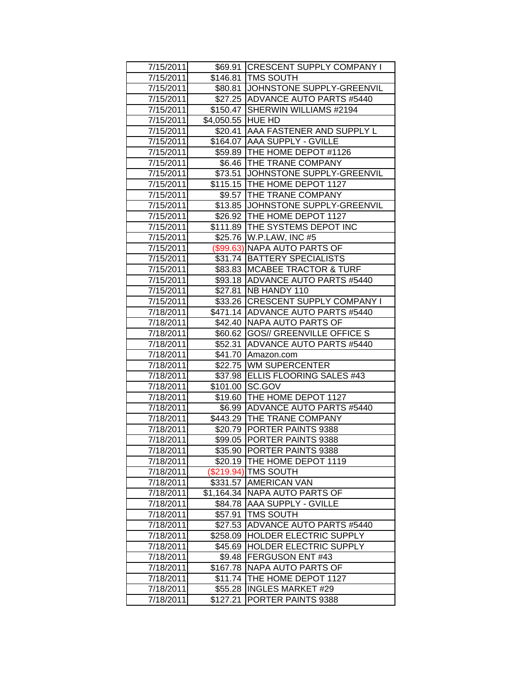| 7/15/2011              |                   | \$69.91 CRESCENT SUPPLY COMPANY I                              |
|------------------------|-------------------|----------------------------------------------------------------|
| 7/15/2011              |                   | \$146.81   TMS SOUTH<br>\$80.81 JOHNSTONE SUPPLY-GREENVIL      |
| 7/15/2011              |                   | \$27.25 ADVANCE AUTO PARTS #5440                               |
| 7/15/2011              |                   |                                                                |
| 7/15/2011              | \$4,050.55 HUE HD | \$150.47 SHERWIN WILLIAMS #2194                                |
| 7/15/2011              |                   |                                                                |
| 7/15/2011<br>7/15/2011 | \$20.41           | AAA FASTENER AND SUPPLY L<br>\$164.07 AAA SUPPLY - GVILLE      |
| 7/15/2011              |                   | \$59.89   THE HOME DEPOT #1126                                 |
| 7/15/2011              |                   |                                                                |
|                        |                   | \$6.46 THE TRANE COMPANY<br>JOHNSTONE SUPPLY-GREENVIL          |
| 7/15/2011<br>7/15/2011 | \$73.51           | \$115.15   THE HOME DEPOT 1127                                 |
|                        |                   |                                                                |
| 7/15/2011              |                   | \$9.57 THE TRANE COMPANY<br>\$13.85 JJOHNSTONE SUPPLY-GREENVIL |
| 7/15/2011              |                   |                                                                |
| 7/15/2011<br>7/15/2011 |                   | \$26.92 THE HOME DEPOT 1127<br>\$111.89 THE SYSTEMS DEPOT INC  |
|                        |                   | \$25.76   W.P.LAW, INC #5                                      |
| 7/15/2011<br>7/15/2011 |                   | (\$99.63) NAPA AUTO PARTS OF                                   |
| 7/15/2011              | \$31.74           | <b>BATTERY SPECIALISTS</b>                                     |
| 7/15/2011              |                   | \$83.83 MCABEE TRACTOR & TURF                                  |
| 7/15/2011              |                   | \$93.18 ADVANCE AUTO PARTS #5440                               |
|                        |                   |                                                                |
| 7/15/2011<br>7/15/2011 | \$27.81           | NB HANDY 110                                                   |
|                        |                   | \$33.26 CRESCENT SUPPLY COMPANY I                              |
| 7/18/2011              |                   | \$471.14 ADVANCE AUTO PARTS #5440                              |
| 7/18/2011              |                   | \$42.40 NAPA AUTO PARTS OF                                     |
| 7/18/2011              | \$52.31           | \$60.62 GOS// GREENVILLE OFFICE S<br>ADVANCE AUTO PARTS #5440  |
| 7/18/2011<br>7/18/2011 | \$41.70           | Amazon.com                                                     |
| 7/18/2011              | \$22.75           | <b>WM SUPERCENTER</b>                                          |
| 7/18/2011              | \$37.98           | ELLIS FLOORING SALES #43                                       |
| 7/18/2011              | \$101.00          | SC.GOV                                                         |
| 7/18/2011              |                   | \$19.60 THE HOME DEPOT 1127                                    |
| 7/18/2011              |                   | \$6.99 ADVANCE AUTO PARTS #5440                                |
| 7/18/2011              |                   | \$443.29 THE TRANE COMPANY                                     |
| 7/18/2011              | \$20.79           | <b>PORTER PAINTS 9388</b>                                      |
| 7/18/2011              |                   | \$99.05 PORTER PAINTS 9388                                     |
| 7/18/2011              |                   | \$35.90 PORTER PAINTS 9388                                     |
| 7/18/2011              |                   | \$20.19 THE HOME DEPOT 1119                                    |
| 7/18/2011              |                   | (\$219.94) TMS SOUTH                                           |
| 7/18/2011              | \$331.57          | <b>AMERICAN VAN</b>                                            |
| 7/18/2011              | \$1,164.34        | <b>NAPA AUTO PARTS OF</b>                                      |
| 7/18/2011              | \$84.78           | <b>AAA SUPPLY - GVILLE</b>                                     |
| 7/18/2011              | \$57.91           | <b>TMS SOUTH</b>                                               |
| 7/18/2011              | \$27.53           | <b>ADVANCE AUTO PARTS #5440</b>                                |
| 7/18/2011              | \$258.09          | <b>HOLDER ELECTRIC SUPPLY</b>                                  |
| 7/18/2011              | \$45.69           | <b>HOLDER ELECTRIC SUPPLY</b>                                  |
| 7/18/2011              | \$9.48            | <b>FERGUSON ENT #43</b>                                        |
| 7/18/2011              | \$167.78          | NAPA AUTO PARTS OF                                             |
| 7/18/2011              | \$11.74           | THE HOME DEPOT 1127                                            |
| 7/18/2011              | \$55.28           | <b>INGLES MARKET #29</b>                                       |
| 7/18/2011              | \$127.21          | PORTER PAINTS 9388                                             |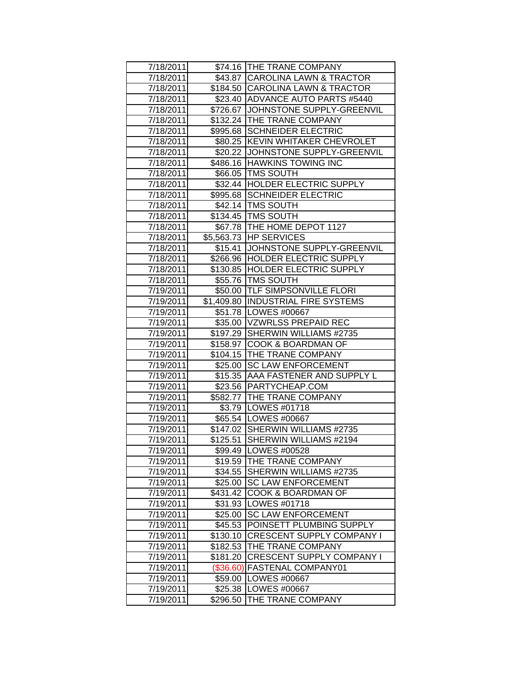| 7/18/2011 |           | \$74.16 THE TRANE COMPANY          |
|-----------|-----------|------------------------------------|
| 7/18/2011 |           | \$43.87 CAROLINA LAWN & TRACTOR    |
| 7/18/2011 |           | \$184.50 CAROLINA LAWN & TRACTOR   |
| 7/18/2011 |           | \$23.40 ADVANCE AUTO PARTS #5440   |
| 7/18/2011 |           | \$726.67 JOHNSTONE SUPPLY-GREENVIL |
| 7/18/2011 |           | \$132.24 THE TRANE COMPANY         |
| 7/18/2011 |           | \$995.68 SCHNEIDER ELECTRIC        |
| 7/18/2011 |           | \$80.25 KEVIN WHITAKER CHEVROLET   |
| 7/18/2011 |           | \$20.22 JJOHNSTONE SUPPLY-GREENVIL |
| 7/18/2011 |           | \$486.16 HAWKINS TOWING INC        |
| 7/18/2011 |           | \$66.05   TMS SOUTH                |
| 7/18/2011 |           | \$32.44 HOLDER ELECTRIC SUPPLY     |
| 7/18/2011 |           | \$995.68 SCHNEIDER ELECTRIC        |
| 7/18/2011 |           | \$42.14   TMS SOUTH                |
| 7/18/2011 |           | \$134.45 TMS SOUTH                 |
| 7/18/2011 |           | \$67.78   THE HOME DEPOT 1127      |
| 7/18/2011 |           | \$5,563.73 HP SERVICES             |
| 7/18/2011 |           | \$15.41 JOHNSTONE SUPPLY-GREENVIL  |
| 7/18/2011 |           | \$266.96 HOLDER ELECTRIC SUPPLY    |
| 7/18/2011 |           | \$130.85 HOLDER ELECTRIC SUPPLY    |
| 7/18/2011 |           | \$55.76   TMS SOUTH                |
| 7/19/2011 |           | \$50.00 TLF SIMPSONVILLE FLORI     |
| 7/19/2011 |           | \$1,409.80 INDUSTRIAL FIRE SYSTEMS |
| 7/19/2011 |           | \$51.78   LOWES #00667             |
| 7/19/2011 |           | \$35.00 VZWRLSS PREPAID REC        |
| 7/19/2011 |           | \$197.29 SHERWIN WILLIAMS #2735    |
| 7/19/2011 |           | \$158.97 COOK & BOARDMAN OF        |
| 7/19/2011 |           | \$104.15 THE TRANE COMPANY         |
| 7/19/2011 | \$25.00   | <b>SC LAW ENFORCEMENT</b>          |
| 7/19/2011 | \$15.35   | AAA FASTENER AND SUPPLY L          |
| 7/19/2011 |           | \$23.56   PARTYCHEAP.COM           |
| 7/19/2011 |           | \$582.77 THE TRANE COMPANY         |
| 7/19/2011 |           | \$3.79   LOWES #01718              |
| 7/19/2011 |           | \$65.54   LOWES #00667             |
| 7/19/2011 |           | \$147.02 SHERWIN WILLIAMS #2735    |
| 7/19/2011 |           | \$125.51 SHERWIN WILLIAMS #2194    |
| 7/19/2011 |           | \$99.49   LOWES #00528             |
| 7/19/2011 | \$19.59   | THE TRANE COMPANY                  |
| 7/19/2011 | \$34.55   | SHERWIN WILLIAMS #2735             |
| 7/19/2011 | \$25.00   | <b>SC LAW ENFORCEMENT</b>          |
| 7/19/2011 | \$431.42  | COOK & BOARDMAN OF                 |
| 7/19/2011 | \$31.93   | LOWES #01718                       |
| 7/19/2011 | \$25.00   | <b>SC LAW ENFORCEMENT</b>          |
| 7/19/2011 | \$45.53   | POINSETT PLUMBING SUPPLY           |
| 7/19/2011 | \$130.10  | <b>CRESCENT SUPPLY COMPANY I</b>   |
| 7/19/2011 | \$182.53  | THE TRANE COMPANY                  |
| 7/19/2011 | \$181.20  | <b>CRESCENT SUPPLY COMPANY I</b>   |
| 7/19/2011 | (\$36.60) | <b>FASTENAL COMPANY01</b>          |
| 7/19/2011 |           | \$59.00 LOWES #00667               |
| 7/19/2011 |           | \$25.38   LOWES #00667             |
| 7/19/2011 | \$296.50  | THE TRANE COMPANY                  |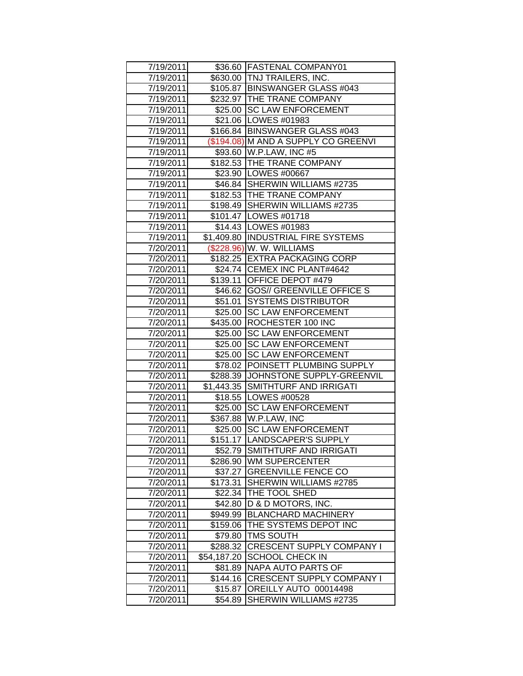| 7/19/2011 |             | \$36.60 FASTENAL COMPANY01                                    |
|-----------|-------------|---------------------------------------------------------------|
| 7/19/2011 |             | \$630.00 TNJ TRAILERS, INC.                                   |
| 7/19/2011 |             | \$105.87 BINSWANGER GLASS #043                                |
| 7/19/2011 |             | \$232.97 THE TRANE COMPANY                                    |
| 7/19/2011 |             | \$25.00 SC LAW ENFORCEMENT                                    |
| 7/19/2011 |             | \$21.06   LOWES #01983                                        |
| 7/19/2011 |             | \$166.84 BINSWANGER GLASS #043                                |
| 7/19/2011 |             | (\$194.08) M AND A SUPPLY CO GREENVI                          |
| 7/19/2011 |             | \$93.60 W.P.LAW, INC #5                                       |
| 7/19/2011 |             | \$182.53 THE TRANE COMPANY                                    |
| 7/19/2011 |             | \$23.90   LOWES #00667                                        |
| 7/19/2011 |             | \$46.84 SHERWIN WILLIAMS #2735                                |
| 7/19/2011 |             | \$182.53  THE TRANE COMPANY                                   |
|           |             | \$198.49 SHERWIN WILLIAMS #2735                               |
| 7/19/2011 |             |                                                               |
| 7/19/2011 |             | \$101.47   LOWES #01718                                       |
| 7/19/2011 |             | \$14.43   LOWES #01983<br>\$1,409.80  INDUSTRIAL FIRE SYSTEMS |
| 7/19/2011 |             |                                                               |
| 7/20/2011 |             | (\$228.96) W. W. WILLIAMS                                     |
| 7/20/2011 |             | \$182.25 EXTRA PACKAGING CORP                                 |
| 7/20/2011 |             | \$24.74 CEMEX INC PLANT#4642                                  |
| 7/20/2011 |             | \$139.11 OFFICE DEPOT #479                                    |
| 7/20/2011 |             | \$46.62 GOS// GREENVILLE OFFICE S                             |
| 7/20/2011 |             | \$51.01 SYSTEMS DISTRIBUTOR                                   |
| 7/20/2011 |             | \$25.00 SC LAW ENFORCEMENT                                    |
| 7/20/2011 |             | \$435.00   ROCHESTER 100 INC                                  |
| 7/20/2011 |             | \$25.00 SC LAW ENFORCEMENT                                    |
| 7/20/2011 |             | \$25.00 SC LAW ENFORCEMENT                                    |
| 7/20/2011 |             | \$25.00 SC LAW ENFORCEMENT                                    |
| 7/20/2011 | \$78.02     | POINSETT PLUMBING SUPPLY                                      |
| 7/20/2011 |             | \$288.39 JJOHNSTONE SUPPLY-GREENVIL                           |
| 7/20/2011 |             | \$1,443.35 SMITHTURF AND IRRIGATI                             |
| 7/20/2011 |             | \$18.55   LOWES #00528                                        |
| 7/20/2011 |             | \$25.00 SC LAW ENFORCEMENT                                    |
| 7/20/2011 |             | \$367.88 W.P.LAW, INC                                         |
| 7/20/2011 |             | \$25.00 SC LAW ENFORCEMENT                                    |
| 7/20/2011 |             | \$151.17 LANDSCAPER'S SUPPLY                                  |
| 7/20/2011 | \$52.79     | SMITHTURF AND IRRIGATI                                        |
| 7/20/2011 | \$286.90    | <b>WM SUPERCENTER</b>                                         |
| 7/20/2011 | \$37.27     | <b>GREENVILLE FENCE CO</b>                                    |
| 7/20/2011 | \$173.31    | SHERWIN WILLIAMS #2785                                        |
| 7/20/2011 | \$22.34     | THE TOOL SHED                                                 |
| 7/20/2011 | \$42.80     | D & D MOTORS, INC.                                            |
| 7/20/2011 | \$949.99    | <b>BLANCHARD MACHINERY</b>                                    |
| 7/20/2011 | \$159.06    | THE SYSTEMS DEPOT INC                                         |
| 7/20/2011 | \$79.80     | TMS SOUTH                                                     |
| 7/20/2011 | \$288.32    | <b>CRESCENT SUPPLY COMPANY I</b>                              |
| 7/20/2011 | \$54,187.20 | <b>SCHOOL CHECK IN</b>                                        |
| 7/20/2011 | \$81.89     | <b>NAPA AUTO PARTS OF</b>                                     |
| 7/20/2011 | \$144.16    | <b>CRESCENT SUPPLY COMPANY I</b>                              |
| 7/20/2011 | \$15.87     | OREILLY AUTO 00014498                                         |
| 7/20/2011 | \$54.89     | SHERWIN WILLIAMS #2735                                        |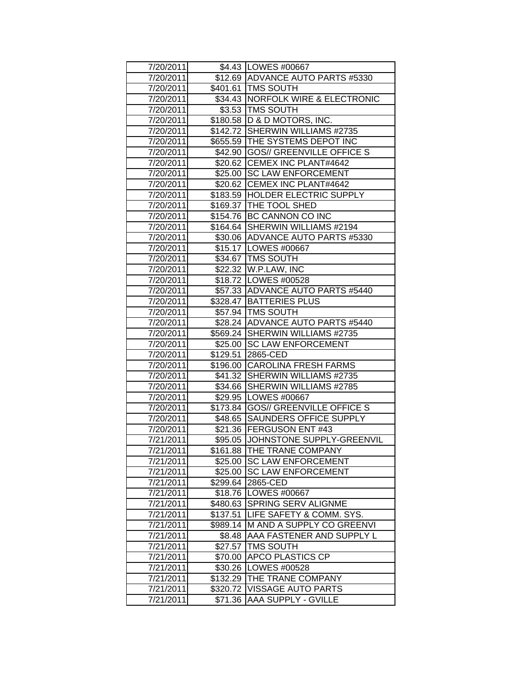| 7/20/2011 |          | \$4.43 LOWES #00667                |
|-----------|----------|------------------------------------|
| 7/20/2011 |          | \$12.69 ADVANCE AUTO PARTS #5330   |
| 7/20/2011 |          | \$401.61 TMS SOUTH                 |
| 7/20/2011 |          | \$34.43 NORFOLK WIRE & ELECTRONIC  |
| 7/20/2011 |          | \$3.53   TMS SOUTH                 |
| 7/20/2011 |          | \$180.58 D & D MOTORS, INC.        |
| 7/20/2011 |          | \$142.72 SHERWIN WILLIAMS #2735    |
| 7/20/2011 |          | \$655.59 THE SYSTEMS DEPOT INC     |
| 7/20/2011 |          | \$42.90 GOS// GREENVILLE OFFICE S  |
| 7/20/2011 |          | \$20.62 CEMEX INC PLANT#4642       |
| 7/20/2011 |          | \$25.00 SC LAW ENFORCEMENT         |
| 7/20/2011 |          | \$20.62 CEMEX INC PLANT#4642       |
| 7/20/2011 |          | \$183.59  HOLDER ELECTRIC SUPPLY   |
| 7/20/2011 |          | \$169.37   THE TOOL SHED           |
| 7/20/2011 |          | \$154.76 BC CANNON CO INC          |
| 7/20/2011 |          | \$164.64 SHERWIN WILLIAMS #2194    |
| 7/20/2011 |          | \$30.06 ADVANCE AUTO PARTS #5330   |
| 7/20/2011 |          | \$15.17   LOWES #00667             |
| 7/20/2011 |          | \$34.67 TMS SOUTH                  |
| 7/20/2011 |          | \$22.32 W.P.LAW, INC               |
| 7/20/2011 |          | \$18.72 LOWES #00528               |
| 7/20/2011 |          | \$57.33 ADVANCE AUTO PARTS #5440   |
| 7/20/2011 |          | \$328.47 BATTERIES PLUS            |
| 7/20/2011 |          | \$57.94   TMS SOUTH                |
| 7/20/2011 |          | \$28.24 ADVANCE AUTO PARTS #5440   |
| 7/20/2011 |          | \$569.24 SHERWIN WILLIAMS #2735    |
| 7/20/2011 |          | \$25.00 SC LAW ENFORCEMENT         |
| 7/20/2011 | \$129.51 | 2865-CED                           |
| 7/20/2011 |          | \$196.00 CAROLINA FRESH FARMS      |
| 7/20/2011 |          | \$41.32 SHERWIN WILLIAMS #2735     |
| 7/20/2011 |          | \$34.66 SHERWIN WILLIAMS #2785     |
| 7/20/2011 |          | \$29.95   LOWES #00667             |
| 7/20/2011 |          | \$173.84 GOS// GREENVILLE OFFICE S |
| 7/20/2011 |          | \$48.65 SAUNDERS OFFICE SUPPLY     |
| 7/20/2011 |          | \$21.36 FERGUSON ENT #43           |
| 7/21/2011 |          | \$95.05 JOHNSTONE SUPPLY-GREENVIL  |
| 7/21/2011 |          | \$161.88 THE TRANE COMPANY         |
| 7/21/2011 | \$25.00  | <b>SC LAW ENFORCEMENT</b>          |
| 7/21/2011 | \$25.00  | <b>SC LAW ENFORCEMENT</b>          |
| 7/21/2011 | \$299.64 | 2865-CED                           |
| 7/21/2011 | \$18.76  | LOWES #00667                       |
| 7/21/2011 |          | \$480.63 SPRING SERV ALIGNME       |
| 7/21/2011 | \$137.51 | LIFE SAFETY & COMM. SYS.           |
| 7/21/2011 | \$989.14 | M AND A SUPPLY CO GREENVI          |
| 7/21/2011 | \$8.48   | AAA FASTENER AND SUPPLY L          |
| 7/21/2011 | \$27.57  | <b>TMS SOUTH</b>                   |
| 7/21/2011 | \$70.00  | APCO PLASTICS CP                   |
| 7/21/2011 | \$30.26  | LOWES #00528                       |
| 7/21/2011 | \$132.29 | THE TRANE COMPANY                  |
| 7/21/2011 | \$320.72 | <b>VISSAGE AUTO PARTS</b>          |
| 7/21/2011 | \$71.36  | AAA SUPPLY - GVILLE                |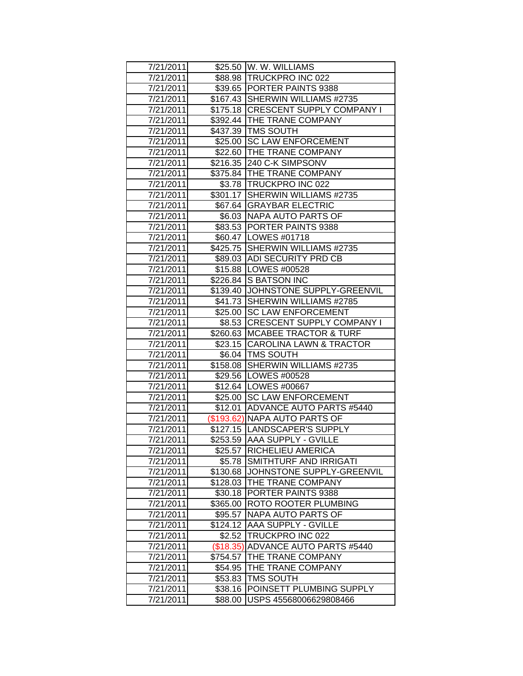| 7/21/2011 |          | \$25.50 W. W. WILLIAMS              |
|-----------|----------|-------------------------------------|
| 7/21/2011 |          | \$88.98 TRUCKPRO INC 022            |
| 7/21/2011 |          | \$39.65 PORTER PAINTS 9388          |
| 7/21/2011 |          | \$167.43 SHERWIN WILLIAMS #2735     |
| 7/21/2011 |          | \$175.18 CRESCENT SUPPLY COMPANY I  |
| 7/21/2011 |          | \$392.44 THE TRANE COMPANY          |
| 7/21/2011 |          | \$437.39 TMS SOUTH                  |
| 7/21/2011 |          | \$25.00 SC LAW ENFORCEMENT          |
| 7/21/2011 |          | \$22.60 THE TRANE COMPANY           |
| 7/21/2011 |          | \$216.35 240 C-K SIMPSONV           |
| 7/21/2011 |          | \$375.84 THE TRANE COMPANY          |
| 7/21/2011 |          | \$3.78 TRUCKPRO INC 022             |
| 7/21/2011 |          | \$301.17 SHERWIN WILLIAMS #2735     |
| 7/21/2011 |          | \$67.64 GRAYBAR ELECTRIC            |
| 7/21/2011 |          | \$6.03   NAPA AUTO PARTS OF         |
| 7/21/2011 |          | \$83.53 PORTER PAINTS 9388          |
| 7/21/2011 |          | \$60.47 LOWES #01718                |
| 7/21/2011 |          | \$425.75 SHERWIN WILLIAMS #2735     |
| 7/21/2011 |          | \$89.03 ADI SECURITY PRD CB         |
| 7/21/2011 |          | \$15.88   LOWES #00528              |
| 7/21/2011 |          | \$226.84 S BATSON INC               |
| 7/21/2011 |          | \$139.40 JJOHNSTONE SUPPLY-GREENVIL |
| 7/21/2011 |          | \$41.73 SHERWIN WILLIAMS #2785      |
| 7/21/2011 |          | \$25.00 SC LAW ENFORCEMENT          |
| 7/21/2011 |          | \$8.53 CRESCENT SUPPLY COMPANY I    |
| 7/21/2011 |          | \$260.63   MCABEE TRACTOR & TURF    |
| 7/21/2011 |          | \$23.15 CAROLINA LAWN & TRACTOR     |
| 7/21/2011 |          | \$6.04   TMS SOUTH                  |
| 7/21/2011 |          | \$158.08 SHERWIN WILLIAMS #2735     |
| 7/21/2011 |          | \$29.56   LOWES #00528              |
| 7/21/2011 |          | \$12.64 LOWES #00667                |
| 7/21/2011 |          | \$25.00 SC LAW ENFORCEMENT          |
| 7/21/2011 |          | \$12.01 ADVANCE AUTO PARTS #5440    |
| 7/21/2011 |          | (\$193.62) NAPA AUTO PARTS OF       |
| 7/21/2011 |          | \$127.15 LANDSCAPER'S SUPPLY        |
| 7/21/2011 |          | \$253.59 AAA SUPPLY - GVILLE        |
| 7/21/2011 |          | \$25.57 RICHELIEU AMERICA           |
| 7/21/2011 | \$5.78   | SMITHTURF AND IRRIGATI              |
| 7/21/2011 | \$130.68 | JOHNSTONE SUPPLY-GREENVIL           |
| 7/21/2011 | \$128.03 | <b>THE TRANE COMPANY</b>            |
| 7/21/2011 | \$30.18  | PORTER PAINTS 9388                  |
| 7/21/2011 | \$365.00 | ROTO ROOTER PLUMBING                |
| 7/21/2011 | \$95.57  | NAPA AUTO PARTS OF                  |
| 7/21/2011 | \$124.12 | <b>AAA SUPPLY - GVILLE</b>          |
| 7/21/2011 | \$2.52   | TRUCKPRO INC 022                    |
| 7/21/2011 |          | (\$18.35) ADVANCE AUTO PARTS #5440  |
| 7/21/2011 | \$754.57 | THE TRANE COMPANY                   |
| 7/21/2011 | \$54.95  | THE TRANE COMPANY                   |
| 7/21/2011 | \$53.83  | <b>TMS SOUTH</b>                    |
| 7/21/2011 | \$38.16  | POINSETT PLUMBING SUPPLY            |
| 7/21/2011 | \$88.00  | USPS 45568006629808466              |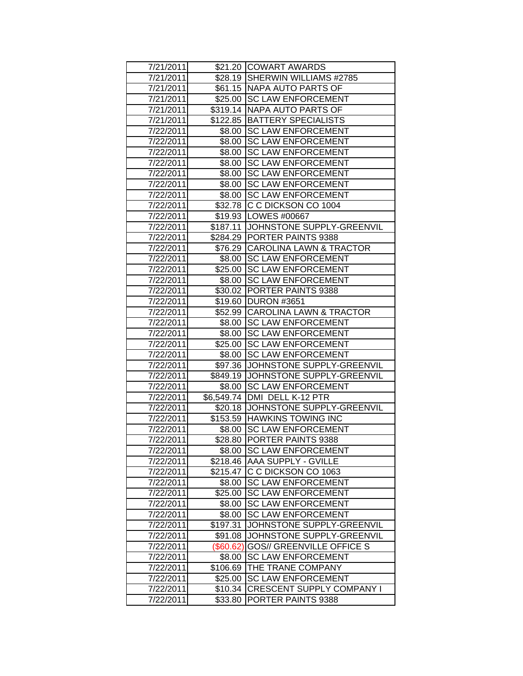| 7/21/2011 |           | \$21.20 COWART AWARDS              |
|-----------|-----------|------------------------------------|
| 7/21/2011 |           | \$28.19 SHERWIN WILLIAMS #2785     |
| 7/21/2011 |           | \$61.15 NAPA AUTO PARTS OF         |
| 7/21/2011 | \$25.00   | <b>SC LAW ENFORCEMENT</b>          |
| 7/21/2011 | \$319.14  | NAPA AUTO PARTS OF                 |
| 7/21/2011 | \$122.85  | <b>BATTERY SPECIALISTS</b>         |
| 7/22/2011 | \$8.00    | <b>SC LAW ENFORCEMENT</b>          |
| 7/22/2011 | \$8.00    | <b>SC LAW ENFORCEMENT</b>          |
| 7/22/2011 | \$8.00    | <b>SC LAW ENFORCEMENT</b>          |
| 7/22/2011 | \$8.00    | <b>SC LAW ENFORCEMENT</b>          |
| 7/22/2011 | \$8.00    | <b>SC LAW ENFORCEMENT</b>          |
| 7/22/2011 | \$8.00    | <b>SC LAW ENFORCEMENT</b>          |
| 7/22/2011 | \$8.00    | <b>SC LAW ENFORCEMENT</b>          |
| 7/22/2011 |           | \$32.78 C C DICKSON CO 1004        |
| 7/22/2011 |           | \$19.93   LOWES #00667             |
| 7/22/2011 | \$187.11  | JOHNSTONE SUPPLY-GREENVIL          |
| 7/22/2011 |           | \$284.29   PORTER PAINTS 9388      |
| 7/22/2011 |           | \$76.29 CAROLINA LAWN & TRACTOR    |
| 7/22/2011 | \$8.00    | <b>SC LAW ENFORCEMENT</b>          |
| 7/22/2011 | \$25.00   | <b>SC LAW ENFORCEMENT</b>          |
| 7/22/2011 | \$8.00    | <b>SC LAW ENFORCEMENT</b>          |
| 7/22/2011 |           | \$30.02 PORTER PAINTS 9388         |
| 7/22/2011 |           | \$19.60 DURON #3651                |
| 7/22/2011 |           | \$52.99 CAROLINA LAWN & TRACTOR    |
| 7/22/2011 |           | \$8.00 SC LAW ENFORCEMENT          |
| 7/22/2011 | \$8.00    | <b>SC LAW ENFORCEMENT</b>          |
| 7/22/2011 | \$25.00   | <b>SC LAW ENFORCEMENT</b>          |
| 7/22/2011 | \$8.00    | <b>SC LAW ENFORCEMENT</b>          |
| 7/22/2011 | \$97.36   | JOHNSTONE SUPPLY-GREENVIL          |
| 7/22/2011 |           | \$849.19 JOHNSTONE SUPPLY-GREENVIL |
| 7/22/2011 | \$8.00    | <b>SC LAW ENFORCEMENT</b>          |
| 7/22/2011 |           | \$6,549.74 DMI DELL K-12 PTR       |
| 7/22/2011 | \$20.18   | JOHNSTONE SUPPLY-GREENVIL          |
| 7/22/2011 |           | \$153.59 HAWKINS TOWING INC        |
| 7/22/2011 | \$8.00    | <b>SC LAW ENFORCEMENT</b>          |
| 7/22/2011 |           | \$28.80 PORTER PAINTS 9388         |
| 7/22/2011 |           | \$8.00 SC LAW ENFORCEMENT          |
| 7/22/2011 |           | \$218.46  AAA SUPPLY - GVILLE      |
| 7/22/2011 |           | \$215.47 C C DICKSON CO 1063       |
| 7/22/2011 | \$8.00    | <b>SC LAW ENFORCEMENT</b>          |
| 7/22/2011 | \$25.00   | <b>SC LAW ENFORCEMENT</b>          |
| 7/22/2011 | \$8.00    | <b>SC LAW ENFORCEMENT</b>          |
| 7/22/2011 | \$8.00    | <b>SC LAW ENFORCEMENT</b>          |
| 7/22/2011 | \$197.31  | JOHNSTONE SUPPLY-GREENVIL          |
| 7/22/2011 | \$91.08   | JOHNSTONE SUPPLY-GREENVIL          |
| 7/22/2011 | (\$60.62) | <b>GOS// GREENVILLE OFFICE S</b>   |
| 7/22/2011 | \$8.00    | <b>SC LAW ENFORCEMENT</b>          |
| 7/22/2011 | \$106.69  | THE TRANE COMPANY                  |
| 7/22/2011 | \$25.00   | <b>SC LAW ENFORCEMENT</b>          |
| 7/22/2011 | \$10.34   | <b>CRESCENT SUPPLY COMPANY I</b>   |
| 7/22/2011 | \$33.80   | PORTER PAINTS 9388                 |
|           |           |                                    |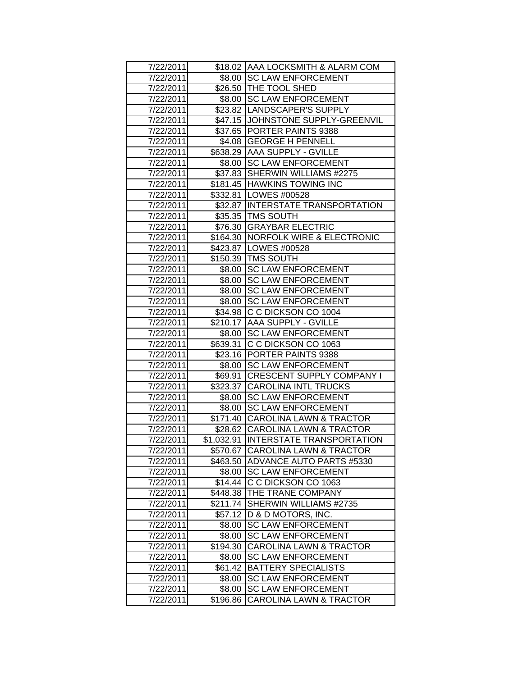|                        |          | \$18.02 AAA LOCKSMITH & ALARM COM     |
|------------------------|----------|---------------------------------------|
| 7/22/2011<br>7/22/2011 |          | \$8.00 SC LAW ENFORCEMENT             |
|                        |          | \$26.50 THE TOOL SHED                 |
| 7/22/2011              |          | \$8.00 SC LAW ENFORCEMENT             |
| 7/22/2011              |          |                                       |
| 7/22/2011              |          | \$23.82  LANDSCAPER'S SUPPLY          |
| 7/22/2011              |          | \$47.15 JOHNSTONE SUPPLY-GREENVIL     |
| 7/22/2011              | \$37.65  | <b>PORTER PAINTS 9388</b>             |
| 7/22/2011              |          | \$4.08 GEORGE H PENNELL               |
| 7/22/2011              |          | \$638.29 AAA SUPPLY - GVILLE          |
| 7/22/2011              |          | \$8.00 SC LAW ENFORCEMENT             |
| 7/22/2011              |          | \$37.83 SHERWIN WILLIAMS #2275        |
| 7/22/2011              |          | \$181.45 HAWKINS TOWING INC           |
| 7/22/2011              |          | \$332.81   LOWES #00528               |
| 7/22/2011              |          | \$32.87 INTERSTATE TRANSPORTATION     |
| 7/22/2011              |          | \$35.35   TMS SOUTH                   |
| 7/22/2011              | \$76.30  | <b>GRAYBAR ELECTRIC</b>               |
| 7/22/2011              | \$164.30 | <b>NORFOLK WIRE &amp; ELECTRONIC</b>  |
| 7/22/2011              | \$423.87 | LOWES #00528                          |
| 7/22/2011              | \$150.39 | <b>TMS SOUTH</b>                      |
| 7/22/2011              | \$8.00   | <b>SC LAW ENFORCEMENT</b>             |
| 7/22/2011              | \$8.00   | <b>SC LAW ENFORCEMENT</b>             |
| 7/22/2011              | \$8.00   | <b>SC LAW ENFORCEMENT</b>             |
| 7/22/2011              | \$8.00   | <b>SC LAW ENFORCEMENT</b>             |
| 7/22/2011              |          | \$34.98 C C DICKSON CO 1004           |
| 7/22/2011              |          | \$210.17 AAA SUPPLY - GVILLE          |
| 7/22/2011              |          | \$8.00 SC LAW ENFORCEMENT             |
| 7/22/2011              |          | \$639.31 C C DICKSON CO 1063          |
| 7/22/2011              |          | \$23.16 PORTER PAINTS 9388            |
| 7/22/2011              | \$8.00   | <b>SC LAW ENFORCEMENT</b>             |
| 7/22/2011              |          | \$69.91 CRESCENT SUPPLY COMPANY I     |
| 7/22/2011              |          | \$323.37 CAROLINA INTL TRUCKS         |
| 7/22/2011              | \$8.00   | <b>SC LAW ENFORCEMENT</b>             |
| 7/22/2011              | \$8.00   | <b>SC LAW ENFORCEMENT</b>             |
| 7/22/2011              |          | \$171.40 CAROLINA LAWN & TRACTOR      |
| 7/22/2011              |          | \$28.62 CAROLINA LAWN & TRACTOR       |
| 7/22/2011              |          | \$1,032.91  INTERSTATE TRANSPORTATION |
| 7/22/2011              |          | \$570.67 CAROLINA LAWN & TRACTOR      |
| 7/22/2011              | \$463.50 | ADVANCE AUTO PARTS #5330              |
| 7/22/2011              |          | \$8.00 SC LAW ENFORCEMENT             |
| 7/22/2011              |          | \$14.44 C C DICKSON CO 1063           |
| 7/22/2011              | \$448.38 | <b>THE TRANE COMPANY</b>              |
| 7/22/2011              | \$211.74 | SHERWIN WILLIAMS #2735                |
| 7/22/2011              | \$57.12  | D & D MOTORS, INC.                    |
| 7/22/2011              | \$8.00   | <b>SC LAW ENFORCEMENT</b>             |
| 7/22/2011              | \$8.00   | <b>SC LAW ENFORCEMENT</b>             |
| 7/22/2011              | \$194.30 | <b>CAROLINA LAWN &amp; TRACTOR</b>    |
| 7/22/2011              | \$8.00   | <b>SC LAW ENFORCEMENT</b>             |
| 7/22/2011              | \$61.42  | <b>BATTERY SPECIALISTS</b>            |
| 7/22/2011              | \$8.00   | <b>SC LAW ENFORCEMENT</b>             |
| 7/22/2011              | \$8.00   | <b>SC LAW ENFORCEMENT</b>             |
| 7/22/2011              | \$196.86 | <b>CAROLINA LAWN &amp; TRACTOR</b>    |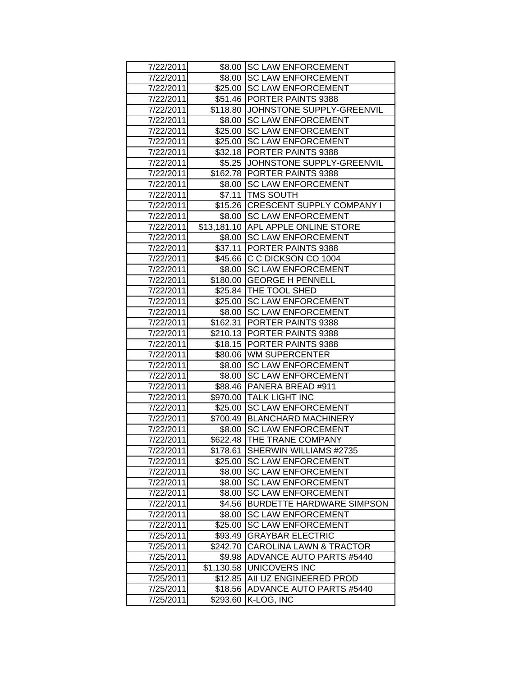|                        |            | \$8.00 SC LAW ENFORCEMENT                     |
|------------------------|------------|-----------------------------------------------|
| 7/22/2011<br>7/22/2011 |            | \$8.00 SC LAW ENFORCEMENT                     |
| 7/22/2011              |            | \$25.00 SC LAW ENFORCEMENT                    |
| 7/22/2011              |            | \$51.46 PORTER PAINTS 9388                    |
| 7/22/2011              |            | \$118.80 JOHNSTONE SUPPLY-GREENVIL            |
| 7/22/2011              | \$8.00     | <b>SC LAW ENFORCEMENT</b>                     |
| 7/22/2011              | \$25.00    | <b>SC LAW ENFORCEMENT</b>                     |
| 7/22/2011              | \$25.00    | <b>SC LAW ENFORCEMENT</b>                     |
| 7/22/2011              |            | \$32.18 PORTER PAINTS 9388                    |
| 7/22/2011              |            | \$5.25 JJOHNSTONE SUPPLY-GREENVIL             |
| 7/22/2011              |            | \$162.78 PORTER PAINTS 9388                   |
| 7/22/2011              |            | \$8.00   SC LAW ENFORCEMENT                   |
| 7/22/2011              |            | \$7.11   TMS SOUTH                            |
| 7/22/2011              |            | \$15.26 CRESCENT SUPPLY COMPANY I             |
| 7/22/2011              |            | \$8.00 SC LAW ENFORCEMENT                     |
| 7/22/2011              |            | \$13,181.10 APL APPLE ONLINE STORE            |
| 7/22/2011              | \$8.00     | <b>SC LAW ENFORCEMENT</b>                     |
| 7/22/2011              | \$37.11    | PORTER PAINTS 9388                            |
| 7/22/2011              |            | \$45.66 C C DICKSON CO 1004                   |
| 7/22/2011              | \$8.00     | <b>SC LAW ENFORCEMENT</b>                     |
| 7/22/2011              |            | \$180.00 GEORGE H PENNELL                     |
| 7/22/2011              |            | \$25.84   THE TOOL SHED                       |
| 7/22/2011              |            | \$25.00 SC LAW ENFORCEMENT                    |
| 7/22/2011              |            | \$8.00 SC LAW ENFORCEMENT                     |
| 7/22/2011              |            | \$162.31   PORTER PAINTS 9388                 |
| 7/22/2011              |            | \$210.13 PORTER PAINTS 9388                   |
| 7/22/2011              |            | \$18.15 PORTER PAINTS 9388                    |
| 7/22/2011              |            | \$80.06   WM SUPERCENTER                      |
| 7/22/2011              | \$8.00     | <b>SC LAW ENFORCEMENT</b>                     |
| 7/22/2011              | \$8.00     | <b>SC LAW ENFORCEMENT</b>                     |
| 7/22/2011              | \$88.46    | PANERA BREAD #911                             |
| 7/22/2011              |            | \$970.00 TALK LIGHT INC                       |
| 7/22/2011              | \$25.00    | <b>SC LAW ENFORCEMENT</b>                     |
| 7/22/2011              |            | \$700.49 BLANCHARD MACHINERY                  |
| 7/22/2011              | \$8.00     | <b>SC LAW ENFORCEMENT</b>                     |
| 7/22/2011              |            | \$622.48 THE TRANE COMPANY                    |
| 7/22/2011              | \$178.61   | SHERWIN WILLIAMS #2735                        |
| 7/22/2011              | \$25.00    | <b>SC LAW ENFORCEMENT</b>                     |
| 7/22/2011              | \$8.00     | <b>SC LAW ENFORCEMENT</b>                     |
| 7/22/2011              | \$8.00     | <b>SC LAW ENFORCEMENT</b>                     |
| 7/22/2011              | \$8.00     | <b>SC LAW ENFORCEMENT</b>                     |
| 7/22/2011              | \$4.56     | <b>BURDETTE HARDWARE SIMPSON</b>              |
| 7/22/2011              | \$8.00     | <b>SC LAW ENFORCEMENT</b>                     |
| 7/22/2011              | \$25.00    | <b>SC LAW ENFORCEMENT</b>                     |
| 7/25/2011              | \$93.49    | <b>GRAYBAR ELECTRIC</b>                       |
| 7/25/2011              | \$242.70   | <b>CAROLINA LAWN &amp; TRACTOR</b>            |
| 7/25/2011              | \$9.98     | <b>ADVANCE AUTO PARTS #5440</b>               |
| 7/25/2011              | \$1,130.58 | UNICOVERS INC                                 |
| 7/25/2011              | \$12.85    | AII UZ ENGINEERED PROD                        |
| 7/25/2011              | \$18.56    | <b>ADVANCE AUTO PARTS #5440</b><br>K-LOG, INC |
| 7/25/2011              | \$293.60   |                                               |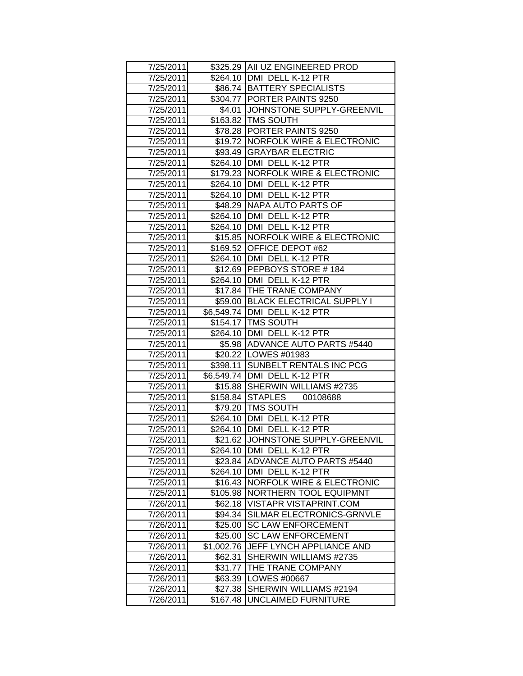| 7/25/2011 |            | \$325.29 AII UZ ENGINEERED PROD      |
|-----------|------------|--------------------------------------|
| 7/25/2011 |            | \$264.10   DMI DELL K-12 PTR         |
| 7/25/2011 |            | \$86.74 BATTERY SPECIALISTS          |
| 7/25/2011 |            | \$304.77   PORTER PAINTS 9250        |
| 7/25/2011 |            | \$4.01 JOHNSTONE SUPPLY-GREENVIL     |
| 7/25/2011 |            | \$163.82   TMS SOUTH                 |
| 7/25/2011 |            | \$78.28 PORTER PAINTS 9250           |
| 7/25/2011 |            | \$19.72 NORFOLK WIRE & ELECTRONIC    |
| 7/25/2011 |            | \$93.49 GRAYBAR ELECTRIC             |
| 7/25/2011 |            | \$264.10   DMI DELL K-12 PTR         |
| 7/25/2011 |            | \$179.23   NORFOLK WIRE & ELECTRONIC |
| 7/25/2011 |            | \$264.10   DMI DELL K-12 PTR         |
| 7/25/2011 |            | \$264.10   DMI DELL K-12 PTR         |
| 7/25/2011 |            | \$48.29 NAPA AUTO PARTS OF           |
| 7/25/2011 |            | \$264.10   DMI DELL K-12 PTR         |
| 7/25/2011 |            | \$264.10   DMI DELL K-12 PTR         |
| 7/25/2011 |            | \$15.85 NORFOLK WIRE & ELECTRONIC    |
| 7/25/2011 |            | \$169.52 OFFICE DEPOT #62            |
| 7/25/2011 |            | \$264.10   DMI DELL K-12 PTR         |
| 7/25/2011 |            | \$12.69 PEPBOYS STORE #184           |
| 7/25/2011 |            | \$264.10 DMI DELL K-12 PTR           |
| 7/25/2011 |            | \$17.84 THE TRANE COMPANY            |
| 7/25/2011 |            | \$59.00 BLACK ELECTRICAL SUPPLY I    |
| 7/25/2011 |            | \$6,549.74 DMI DELL K-12 PTR         |
| 7/25/2011 |            | \$154.17   TMS SOUTH                 |
| 7/25/2011 |            | \$264.10   DMI DELL K-12 PTR         |
| 7/25/2011 |            | \$5.98 ADVANCE AUTO PARTS #5440      |
| 7/25/2011 |            | \$20.22   LOWES #01983               |
| 7/25/2011 |            | \$398.11 SUNBELT RENTALS INC PCG     |
| 7/25/2011 |            | \$6,549.74 DMI DELL K-12 PTR         |
| 7/25/2011 |            | \$15.88 SHERWIN WILLIAMS #2735       |
| 7/25/2011 |            | \$158.84 STAPLES<br>00108688         |
| 7/25/2011 |            | \$79.20   TMS SOUTH                  |
| 7/25/2011 |            | \$264.10   DMI DELL K-12 PTR         |
| 7/25/2011 |            | \$264.10   DMI DELL K-12 PTR         |
| 7/25/2011 |            | \$21.62 JJOHNSTONE SUPPLY-GREENVIL   |
| 7/25/2011 |            | \$264.10   DMI DELL K-12 PTR         |
| 7/25/2011 | \$23.84    | ADVANCE AUTO PARTS #5440             |
| 7/25/2011 | \$264.10   | DMI DELL K-12 PTR                    |
| 7/25/2011 | \$16.43    | <b>NORFOLK WIRE &amp; ELECTRONIC</b> |
| 7/25/2011 | \$105.98   | NORTHERN TOOL EQUIPMNT               |
| 7/26/2011 | \$62.18    | <b>VISTAPR VISTAPRINT.COM</b>        |
| 7/26/2011 | \$94.34    | SILMAR ELECTRONICS-GRNVLE            |
| 7/26/2011 | \$25.00    | <b>SC LAW ENFORCEMENT</b>            |
| 7/26/2011 | \$25.00    | <b>SC LAW ENFORCEMENT</b>            |
| 7/26/2011 | \$1,002.76 | JEFF LYNCH APPLIANCE AND             |
| 7/26/2011 | \$62.31    | SHERWIN WILLIAMS #2735               |
| 7/26/2011 | \$31.77    | THE TRANE COMPANY                    |
| 7/26/2011 | \$63.39    | LOWES #00667                         |
| 7/26/2011 | \$27.38    | SHERWIN WILLIAMS #2194               |
| 7/26/2011 | \$167.48   | <b>UNCLAIMED FURNITURE</b>           |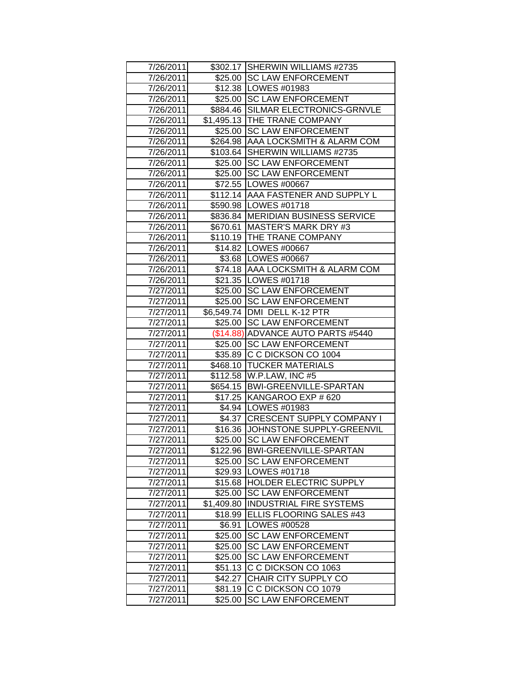| 7/26/2011              |            | \$302.17 SHERWIN WILLIAMS #2735                      |
|------------------------|------------|------------------------------------------------------|
| 7/26/2011              |            | \$25.00 SC LAW ENFORCEMENT                           |
| 7/26/2011              |            | \$12.38   LOWES #01983                               |
| 7/26/2011              |            | \$25.00 SC LAW ENFORCEMENT                           |
| 7/26/2011              |            | \$884.46 SILMAR ELECTRONICS-GRNVLE                   |
|                        |            | \$1,495.13 THE TRANE COMPANY                         |
| 7/26/2011              |            |                                                      |
| 7/26/2011              |            | \$25.00 SC LAW ENFORCEMENT                           |
| 7/26/2011              |            | \$264.98   AAA LOCKSMITH & ALARM COM                 |
| 7/26/2011              |            | \$103.64 SHERWIN WILLIAMS #2735                      |
| 7/26/2011<br>7/26/2011 |            | \$25.00 SC LAW ENFORCEMENT                           |
|                        |            | \$25.00 SC LAW ENFORCEMENT<br>\$72.55   LOWES #00667 |
| 7/26/2011<br>7/26/2011 |            | \$112.14 AAA FASTENER AND SUPPLY L                   |
|                        |            | \$590.98   LOWES #01718                              |
| 7/26/2011              |            | \$836.84 MERIDIAN BUSINESS SERVICE                   |
| 7/26/2011              |            |                                                      |
| 7/26/2011              |            | \$670.61   MASTER'S MARK DRY #3                      |
| 7/26/2011              |            | \$110.19 THE TRANE COMPANY                           |
| 7/26/2011              |            | \$14.82   LOWES #00667                               |
| 7/26/2011              |            | \$3.68   LOWES #00667                                |
| 7/26/2011              |            | \$74.18 AAA LOCKSMITH & ALARM COM                    |
| 7/26/2011              |            | \$21.35   LOWES #01718                               |
| 7/27/2011              |            | \$25.00 SC LAW ENFORCEMENT                           |
| 7/27/2011              |            | \$25.00 SC LAW ENFORCEMENT                           |
| 7/27/2011              |            | \$6,549.74 DMI DELL K-12 PTR                         |
| 7/27/2011              |            | \$25.00 SC LAW ENFORCEMENT                           |
| 7/27/2011              |            | (\$14.88) ADVANCE AUTO PARTS #5440                   |
| 7/27/2011              |            | \$25.00 SC LAW ENFORCEMENT                           |
| 7/27/2011              |            | \$35.89 C C DICKSON CO 1004                          |
| 7/27/2011              |            | \$468.10 TUCKER MATERIALS                            |
| 7/27/2011              |            | \$112.58 W.P.LAW, INC #5                             |
| 7/27/2011              |            | \$654.15  BWI-GREENVILLE-SPARTAN                     |
| 7/27/2011              |            | \$17.25 KANGAROO EXP # 620                           |
| 7/27/2011              |            | \$4.94 LOWES #01983                                  |
| 7/27/2011              |            | \$4.37   CRESCENT SUPPLY COMPANY I                   |
| 7/27/2011              |            | \$16.36 JJOHNSTONE SUPPLY-GREENVIL                   |
| 7/27/2011              |            | \$25.00 SC LAW ENFORCEMENT                           |
| 7/27/2011              |            | \$122.96 BWI-GREENVILLE-SPARTAN                      |
| 7/27/2011              | \$25.00    | <b>SC LAW ENFORCEMENT</b>                            |
| 7/27/2011              |            | \$29.93   LOWES #01718                               |
| 7/27/2011              |            | \$15.68 HOLDER ELECTRIC SUPPLY                       |
| 7/27/2011              | \$25.00    | <b>SC LAW ENFORCEMENT</b>                            |
| 7/27/2011              | \$1,409.80 | <b>INDUSTRIAL FIRE SYSTEMS</b>                       |
| 7/27/2011              | \$18.99    | <b>ELLIS FLOORING SALES #43</b>                      |
| 7/27/2011              | \$6.91     | LOWES #00528                                         |
| 7/27/2011              | \$25.00    | <b>SC LAW ENFORCEMENT</b>                            |
| 7/27/2011              | \$25.00    | <b>SC LAW ENFORCEMENT</b>                            |
| 7/27/2011              | \$25.00    | <b>SC LAW ENFORCEMENT</b>                            |
| 7/27/2011              | \$51.13    | C C DICKSON CO 1063                                  |
| 7/27/2011              | \$42.27    | CHAIR CITY SUPPLY CO                                 |
| 7/27/2011              | \$81.19    | C C DICKSON CO 1079                                  |
| 7/27/2011              | \$25.00    | <b>SC LAW ENFORCEMENT</b>                            |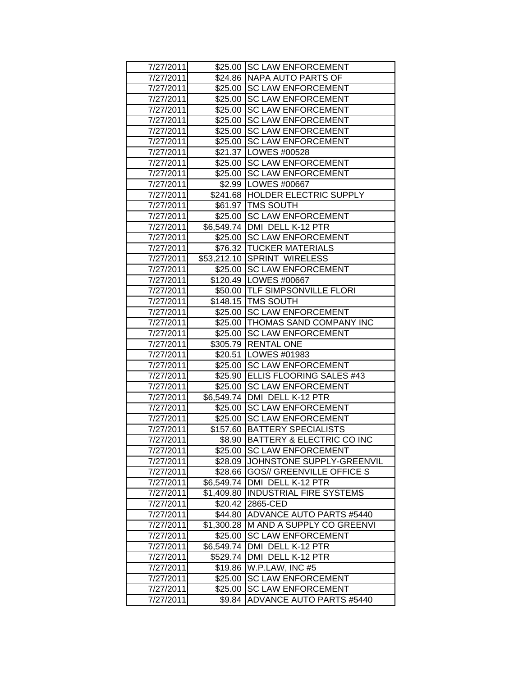| 7/27/2011              |            | \$25.00 SC LAW ENFORCEMENT                                    |
|------------------------|------------|---------------------------------------------------------------|
| 7/27/2011              |            | \$24.86 NAPA AUTO PARTS OF                                    |
| 7/27/2011              | \$25.00    | <b>SC LAW ENFORCEMENT</b>                                     |
| 7/27/2011              | \$25.00    | <b>SC LAW ENFORCEMENT</b>                                     |
| 7/27/2011              | \$25.00    | <b>SC LAW ENFORCEMENT</b>                                     |
| 7/27/2011              | \$25.00    | <b>SC LAW ENFORCEMENT</b>                                     |
| 7/27/2011              | \$25.00    | <b>SC LAW ENFORCEMENT</b>                                     |
| 7/27/2011              | \$25.00    | <b>SC LAW ENFORCEMENT</b>                                     |
| 7/27/2011              |            | \$21.37   LOWES #00528                                        |
| 7/27/2011              |            | \$25.00 SC LAW ENFORCEMENT                                    |
| 7/27/2011              |            | \$25.00 SC LAW ENFORCEMENT                                    |
| 7/27/2011              |            | \$2.99   LOWES #00667                                         |
| 7/27/2011              |            | \$241.68 HOLDER ELECTRIC SUPPLY                               |
| 7/27/2011              |            | \$61.97 TMS SOUTH                                             |
| 7/27/2011              | \$25.00    | <b>SC LAW ENFORCEMENT</b>                                     |
| 7/27/2011              | \$6,549.74 | DMI DELL K-12 PTR                                             |
| 7/27/2011              | \$25.00    | <b>SC LAW ENFORCEMENT</b>                                     |
| 7/27/2011              |            | \$76.32 TUCKER MATERIALS                                      |
| 7/27/2011              |            | \$53,212.10 SPRINT WIRELESS                                   |
| 7/27/2011              |            | \$25.00 SC LAW ENFORCEMENT                                    |
| 7/27/2011              |            | \$120.49   LOWES #00667                                       |
| 7/27/2011              |            | \$50.00 TLF SIMPSONVILLE FLORI                                |
| 7/27/2011              |            | \$148.15   TMS SOUTH                                          |
| 7/27/2011              |            | \$25.00 SC LAW ENFORCEMENT                                    |
| 7/27/2011              |            | \$25.00 THOMAS SAND COMPANY INC<br>\$25.00 SC LAW ENFORCEMENT |
| 7/27/2011<br>7/27/2011 |            | \$305.79 RENTAL ONE                                           |
| 7/27/2011              | \$20.51    | LOWES #01983                                                  |
| 7/27/2011              | \$25.00    | <b>SC LAW ENFORCEMENT</b>                                     |
| 7/27/2011              |            | \$25.90 ELLIS FLOORING SALES #43                              |
| 7/27/2011              | \$25.00    | <b>SC LAW ENFORCEMENT</b>                                     |
| 7/27/2011              |            | \$6,549.74 DMI DELL K-12 PTR                                  |
| 7/27/2011              | \$25.00    | <b>SC LAW ENFORCEMENT</b>                                     |
| 7/27/2011              | \$25.00    | <b>SC LAW ENFORCEMENT</b>                                     |
| 7/27/2011              | \$157.60   | <b>BATTERY SPECIALISTS</b>                                    |
| 7/27/2011              |            | \$8.90 BATTERY & ELECTRIC CO INC                              |
| 7/27/2011              |            | \$25.00 SC LAW ENFORCEMENT                                    |
| 7/27/2011              | \$28.09    | JOHNSTONE SUPPLY-GREENVIL                                     |
| 7/27/2011              | \$28.66    | <b>GOS// GREENVILLE OFFICE S</b>                              |
| 7/27/2011              | \$6,549.74 | DMI DELL K-12 PTR                                             |
| 7/27/2011              | \$1,409.80 | <b>INDUSTRIAL FIRE SYSTEMS</b>                                |
| 7/27/2011              | \$20.42    | 2865-CED                                                      |
| 7/27/2011              | \$44.80    | <b>ADVANCE AUTO PARTS #5440</b>                               |
| 7/27/2011              | \$1,300.28 | M AND A SUPPLY CO GREENVI                                     |
| 7/27/2011              | \$25.00    | <b>SC LAW ENFORCEMENT</b>                                     |
| 7/27/2011              | \$6,549.74 | DMI DELL K-12 PTR                                             |
| 7/27/2011              | \$529.74   | DMI DELL K-12 PTR                                             |
| 7/27/2011              | \$19.86    | W.P.LAW, INC #5                                               |
| 7/27/2011              | \$25.00    | <b>SC LAW ENFORCEMENT</b>                                     |
| 7/27/2011              | \$25.00    | <b>SC LAW ENFORCEMENT</b>                                     |
| 7/27/2011              | \$9.84     | <b>ADVANCE AUTO PARTS #5440</b>                               |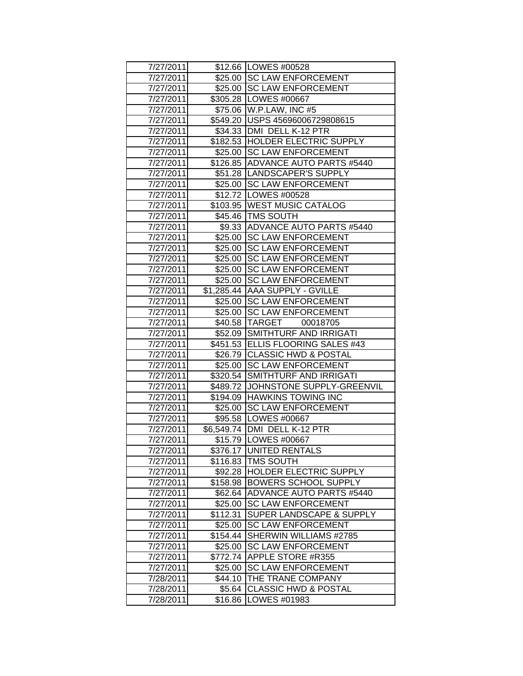| 7/27/2011 |          | \$12.66   LOWES #00528             |
|-----------|----------|------------------------------------|
| 7/27/2011 |          | \$25.00 SC LAW ENFORCEMENT         |
| 7/27/2011 |          | \$25.00 SC LAW ENFORCEMENT         |
| 7/27/2011 |          | \$305.28   LOWES #00667            |
| 7/27/2011 |          | \$75.06   W.P.LAW, INC #5          |
| 7/27/2011 |          | \$549.20 USPS 45696006729808615    |
| 7/27/2011 |          | \$34.33   DMI DELL K-12 PTR        |
| 7/27/2011 |          | \$182.53 HOLDER ELECTRIC SUPPLY    |
| 7/27/2011 |          | \$25.00 SC LAW ENFORCEMENT         |
| 7/27/2011 |          | \$126.85 ADVANCE AUTO PARTS #5440  |
| 7/27/2011 |          | \$51.28  LANDSCAPER'S SUPPLY       |
| 7/27/2011 |          | \$25.00 SC LAW ENFORCEMENT         |
| 7/27/2011 |          | \$12.72   LOWES #00528             |
| 7/27/2011 |          | \$103.95   WEST MUSIC CATALOG      |
| 7/27/2011 |          | \$45.46 TMS SOUTH                  |
| 7/27/2011 |          | \$9.33 ADVANCE AUTO PARTS #5440    |
| 7/27/2011 | \$25.00  | <b>SC LAW ENFORCEMENT</b>          |
| 7/27/2011 | \$25.00  | <b>SC LAW ENFORCEMENT</b>          |
| 7/27/2011 | \$25.00  | <b>SC LAW ENFORCEMENT</b>          |
| 7/27/2011 | \$25.00  | <b>SC LAW ENFORCEMENT</b>          |
| 7/27/2011 |          | \$25.00 SC LAW ENFORCEMENT         |
| 7/27/2011 |          | \$1,285.44 AAA SUPPLY - GVILLE     |
| 7/27/2011 |          | \$25.00 SC LAW ENFORCEMENT         |
| 7/27/2011 |          | \$25.00 SC LAW ENFORCEMENT         |
| 7/27/2011 |          | \$40.58 TARGET<br>00018705         |
| 7/27/2011 |          | \$52.09 SMITHTURF AND IRRIGATI     |
| 7/27/2011 |          | \$451.53 ELLIS FLOORING SALES #43  |
| 7/27/2011 |          | \$26.79 CLASSIC HWD & POSTAL       |
| 7/27/2011 | \$25.00  | <b>SC LAW ENFORCEMENT</b>          |
| 7/27/2011 |          | \$320.54 SMITHTURF AND IRRIGATI    |
| 7/27/2011 |          | \$489.72 JOHNSTONE SUPPLY-GREENVIL |
| 7/27/2011 |          | \$194.09 HAWKINS TOWING INC        |
| 7/27/2011 |          | \$25.00 SC LAW ENFORCEMENT         |
| 7/27/2011 |          | \$95.58   LOWES #00667             |
| 7/27/2011 |          | \$6,549.74 DMI DELL K-12 PTR       |
| 7/27/2011 |          | \$15.79   LOWES #00667             |
| 7/27/2011 |          | \$376.17 UNITED RENTALS            |
| 7/27/2011 | \$116.83 | <b>ITMS SOUTH</b>                  |
| 7/27/2011 | \$92.28  | <b>HOLDER ELECTRIC SUPPLY</b>      |
| 7/27/2011 | \$158.98 | <b>BOWERS SCHOOL SUPPLY</b>        |
| 7/27/2011 | \$62.64  | <b>ADVANCE AUTO PARTS #5440</b>    |
| 7/27/2011 | \$25.00  | <b>SC LAW ENFORCEMENT</b>          |
| 7/27/2011 | \$112.31 | SUPER LANDSCAPE & SUPPLY           |
| 7/27/2011 | \$25.00  | <b>SC LAW ENFORCEMENT</b>          |
| 7/27/2011 | \$154.44 | SHERWIN WILLIAMS #2785             |
| 7/27/2011 | \$25.00  | <b>SC LAW ENFORCEMENT</b>          |
| 7/27/2011 | \$772.74 | <b>APPLE STORE #R355</b>           |
| 7/27/2011 | \$25.00  | <b>SC LAW ENFORCEMENT</b>          |
| 7/28/2011 | \$44.10  | THE TRANE COMPANY                  |
| 7/28/2011 | \$5.64   | <b>CLASSIC HWD &amp; POSTAL</b>    |
| 7/28/2011 | \$16.86  | LOWES #01983                       |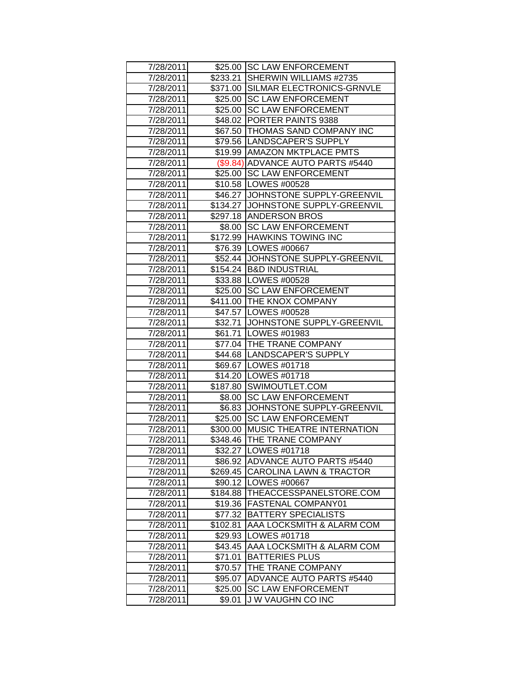| 7/28/2011 |          | \$25.00 SC LAW ENFORCEMENT          |
|-----------|----------|-------------------------------------|
| 7/28/2011 |          | \$233.21 SHERWIN WILLIAMS #2735     |
| 7/28/2011 |          | \$371.00 SILMAR ELECTRONICS-GRNVLE  |
| 7/28/2011 | \$25.00  | <b>SC LAW ENFORCEMENT</b>           |
| 7/28/2011 | \$25.00  | <b>SC LAW ENFORCEMENT</b>           |
| 7/28/2011 |          | \$48.02 PORTER PAINTS 9388          |
| 7/28/2011 |          | \$67.50   THOMAS SAND COMPANY INC   |
| 7/28/2011 |          | \$79.56 LANDSCAPER'S SUPPLY         |
| 7/28/2011 |          | \$19.99 AMAZON MKTPLACE PMTS        |
| 7/28/2011 |          | (\$9.84) ADVANCE AUTO PARTS #5440   |
| 7/28/2011 |          | \$25.00 SC LAW ENFORCEMENT          |
| 7/28/2011 |          | \$10.58   LOWES #00528              |
| 7/28/2011 |          | \$46.27 JJOHNSTONE SUPPLY-GREENVIL  |
| 7/28/2011 |          | \$134.27 JJOHNSTONE SUPPLY-GREENVIL |
| 7/28/2011 |          | \$297.18 ANDERSON BROS              |
| 7/28/2011 |          | \$8.00 SC LAW ENFORCEMENT           |
| 7/28/2011 |          | \$172.99 HAWKINS TOWING INC         |
| 7/28/2011 |          | \$76.39   LOWES #00667              |
| 7/28/2011 |          | \$52.44 JOHNSTONE SUPPLY-GREENVIL   |
| 7/28/2011 |          | \$154.24 B&D INDUSTRIAL             |
| 7/28/2011 |          | \$33.88   LOWES #00528              |
| 7/28/2011 |          | \$25.00 SC LAW ENFORCEMENT          |
| 7/28/2011 |          | \$411.00 THE KNOX COMPANY           |
| 7/28/2011 |          | \$47.57   LOWES #00528              |
| 7/28/2011 |          | \$32.71 JOHNSTONE SUPPLY-GREENVIL   |
| 7/28/2011 |          | \$61.71   LOWES #01983              |
| 7/28/2011 |          | \$77.04 THE TRANE COMPANY           |
| 7/28/2011 |          | \$44.68   LANDSCAPER'S SUPPLY       |
| 7/28/2011 |          | \$69.67 LOWES #01718                |
| 7/28/2011 |          | \$14.20   LOWES #01718              |
| 7/28/2011 |          | \$187.80 SWIMOUTLET.COM             |
| 7/28/2011 | \$8.00   | <b>SC LAW ENFORCEMENT</b>           |
| 7/28/2011 |          | \$6.83 JJOHNSTONE SUPPLY-GREENVIL   |
| 7/28/2011 |          | \$25.00 SC LAW ENFORCEMENT          |
| 7/28/2011 |          | \$300.00 MUSIC THEATRE INTERNATION  |
| 7/28/2011 |          | \$348.46 THE TRANE COMPANY          |
| 7/28/2011 |          | \$32.27   LOWES #01718              |
| 7/28/2011 | \$86.92  | <b>ADVANCE AUTO PARTS #5440</b>     |
| 7/28/2011 |          | \$269.45 CAROLINA LAWN & TRACTOR    |
| 7/28/2011 |          | \$90.12   LOWES #00667              |
| 7/28/2011 | \$184.88 | THEACCESSPANELSTORE.COM             |
| 7/28/2011 | \$19.36  | <b>FASTENAL COMPANY01</b>           |
| 7/28/2011 | \$77.32  | <b>BATTERY SPECIALISTS</b>          |
| 7/28/2011 | \$102.81 | AAA LOCKSMITH & ALARM COM           |
| 7/28/2011 | \$29.93  | LOWES #01718                        |
| 7/28/2011 | \$43.45  | AAA LOCKSMITH & ALARM COM           |
| 7/28/2011 | \$71.01  | <b>BATTERIES PLUS</b>               |
| 7/28/2011 | \$70.57  | THE TRANE COMPANY                   |
| 7/28/2011 | \$95.07  | ADVANCE AUTO PARTS #5440            |
| 7/28/2011 | \$25.00  | <b>SC LAW ENFORCEMENT</b>           |
| 7/28/2011 | \$9.01   | J W VAUGHN CO INC                   |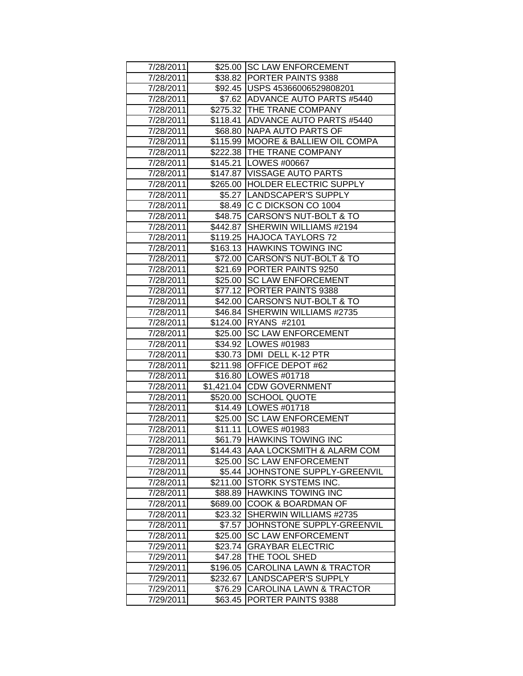| 7/28/2011 |          | \$25.00 SC LAW ENFORCEMENT           |
|-----------|----------|--------------------------------------|
| 7/28/2011 |          | \$38.82 PORTER PAINTS 9388           |
| 7/28/2011 |          | \$92.45   USPS 45366006529808201     |
| 7/28/2011 |          | \$7.62 ADVANCE AUTO PARTS #5440      |
| 7/28/2011 |          | \$275.32 THE TRANE COMPANY           |
| 7/28/2011 |          | \$118.41 ADVANCE AUTO PARTS #5440    |
| 7/28/2011 |          | \$68.80   NAPA AUTO PARTS OF         |
| 7/28/2011 |          | \$115.99   MOORE & BALLIEW OIL COMPA |
| 7/28/2011 |          | \$222.38  THE TRANE COMPANY          |
| 7/28/2011 |          | \$145.21   LOWES #00667              |
| 7/28/2011 |          | \$147.87   VISSAGE AUTO PARTS        |
| 7/28/2011 |          | \$265.00 HOLDER ELECTRIC SUPPLY      |
| 7/28/2011 |          | \$5.27  LANDSCAPER'S SUPPLY          |
| 7/28/2011 |          | \$8.49 C C DICKSON CO 1004           |
| 7/28/2011 |          | \$48.75 CARSON'S NUT-BOLT & TO       |
| 7/28/2011 |          | \$442.87 SHERWIN WILLIAMS #2194      |
| 7/28/2011 |          | \$119.25 HAJOCA TAYLORS 72           |
| 7/28/2011 |          | \$163.13 HAWKINS TOWING INC          |
| 7/28/2011 |          | \$72.00 CARSON'S NUT-BOLT & TO       |
| 7/28/2011 |          | \$21.69 PORTER PAINTS 9250           |
| 7/28/2011 |          | \$25.00 SC LAW ENFORCEMENT           |
| 7/28/2011 |          | \$77.12 PORTER PAINTS 9388           |
| 7/28/2011 |          | \$42.00 CARSON'S NUT-BOLT & TO       |
| 7/28/2011 |          | \$46.84 SHERWIN WILLIAMS #2735       |
| 7/28/2011 |          | \$124.00 RYANS #2101                 |
| 7/28/2011 |          | \$25.00 SC LAW ENFORCEMENT           |
| 7/28/2011 |          | \$34.92   LOWES #01983               |
| 7/28/2011 |          | \$30.73 DMI DELL K-12 PTR            |
| 7/28/2011 |          | \$211.98 OFFICE DEPOT #62            |
| 7/28/2011 |          | \$16.80   LOWES #01718               |
| 7/28/2011 |          | \$1,421.04 CDW GOVERNMENT            |
| 7/28/2011 |          | \$520.00 SCHOOL QUOTE                |
| 7/28/2011 |          | \$14.49   LOWES #01718               |
| 7/28/2011 |          | \$25.00 SC LAW ENFORCEMENT           |
| 7/28/2011 |          | \$11.11  LOWES #01983                |
| 7/28/2011 |          | \$61.79 HAWKINS TOWING INC           |
| 7/28/2011 |          | \$144.43 AAA LOCKSMITH & ALARM COM   |
| 7/28/2011 | \$25.00  | <b>SC LAW ENFORCEMENT</b>            |
| 7/28/2011 | \$5.44   | JOHNSTONE SUPPLY-GREENVIL            |
| 7/28/2011 | \$211.00 | STORK SYSTEMS INC.                   |
| 7/28/2011 | \$88.89  | <b>HAWKINS TOWING INC</b>            |
| 7/28/2011 | \$689.00 | COOK & BOARDMAN OF                   |
| 7/28/2011 | \$23.32  | SHERWIN WILLIAMS #2735               |
| 7/28/2011 | \$7.57   | JOHNSTONE SUPPLY-GREENVIL            |
| 7/28/2011 | \$25.00  | <b>SC LAW ENFORCEMENT</b>            |
| 7/29/2011 | \$23.74  | <b>GRAYBAR ELECTRIC</b>              |
| 7/29/2011 | \$47.28  | THE TOOL SHED                        |
| 7/29/2011 | \$196.05 | <b>CAROLINA LAWN &amp; TRACTOR</b>   |
| 7/29/2011 | \$232.67 | <b>LANDSCAPER'S SUPPLY</b>           |
| 7/29/2011 | \$76.29  | CAROLINA LAWN & TRACTOR              |
| 7/29/2011 | \$63.45  | PORTER PAINTS 9388                   |
|           |          |                                      |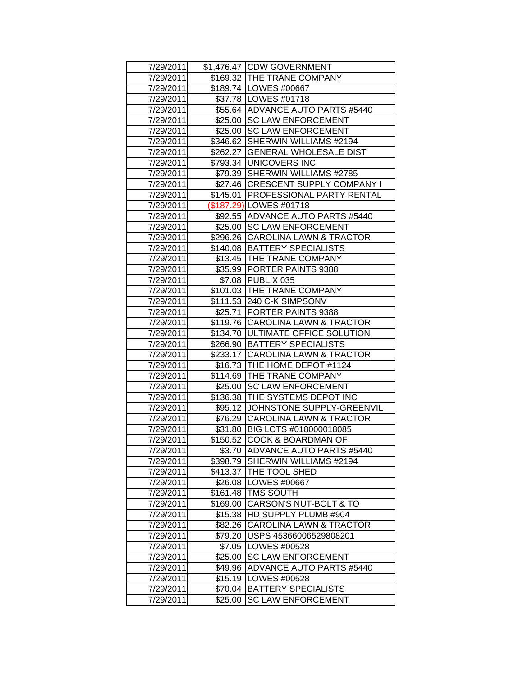| 7/29/2011 |          | \$1,476.47 CDW GOVERNMENT            |
|-----------|----------|--------------------------------------|
| 7/29/2011 |          | \$169.32 THE TRANE COMPANY           |
| 7/29/2011 |          | \$189.74 LOWES #00667                |
| 7/29/2011 |          | \$37.78   LOWES #01718               |
| 7/29/2011 |          | \$55.64 ADVANCE AUTO PARTS #5440     |
| 7/29/2011 | \$25.00  | <b>SC LAW ENFORCEMENT</b>            |
| 7/29/2011 | \$25.00  | <b>SC LAW ENFORCEMENT</b>            |
| 7/29/2011 | \$346.62 | SHERWIN WILLIAMS #2194               |
| 7/29/2011 |          | \$262.27 GENERAL WHOLESALE DIST      |
| 7/29/2011 |          | \$793.34 UNICOVERS INC               |
| 7/29/2011 |          | \$79.39 SHERWIN WILLIAMS #2785       |
| 7/29/2011 |          | \$27.46 CRESCENT SUPPLY COMPANY I    |
| 7/29/2011 |          | \$145.01   PROFESSIONAL PARTY RENTAL |
| 7/29/2011 |          | (\$187.29) LOWES #01718              |
| 7/29/2011 |          | \$92.55 ADVANCE AUTO PARTS #5440     |
| 7/29/2011 | \$25.00  | <b>SC LAW ENFORCEMENT</b>            |
| 7/29/2011 |          | \$296.26 CAROLINA LAWN & TRACTOR     |
| 7/29/2011 | \$140.08 | <b>BATTERY SPECIALISTS</b>           |
| 7/29/2011 | \$13.45  | <b>THE TRANE COMPANY</b>             |
| 7/29/2011 |          | \$35.99 PORTER PAINTS 9388           |
| 7/29/2011 |          | \$7.08 PUBLIX 035                    |
| 7/29/2011 |          | \$101.03 THE TRANE COMPANY           |
| 7/29/2011 |          | \$111.53 240 C-K SIMPSONV            |
| 7/29/2011 |          | \$25.71 PORTER PAINTS 9388           |
| 7/29/2011 |          | \$119.76 CAROLINA LAWN & TRACTOR     |
| 7/29/2011 |          | \$134.70 JULTIMATE OFFICE SOLUTION   |
| 7/29/2011 |          | \$266.90 BATTERY SPECIALISTS         |
| 7/29/2011 |          | \$233.17 CAROLINA LAWN & TRACTOR     |
| 7/29/2011 |          | \$16.73 THE HOME DEPOT #1124         |
| 7/29/2011 |          | \$114.69 THE TRANE COMPANY           |
| 7/29/2011 | \$25.00  | <b>SC LAW ENFORCEMENT</b>            |
| 7/29/2011 |          | \$136.38  THE SYSTEMS DEPOT INC      |
| 7/29/2011 |          | \$95.12 JJOHNSTONE SUPPLY-GREENVIL   |
| 7/29/2011 |          | \$76.29 CAROLINA LAWN & TRACTOR      |
| 7/29/2011 |          | \$31.80 BIG LOTS #018000018085       |
| 7/29/2011 |          | \$150.52 COOK & BOARDMAN OF          |
| 7/29/2011 |          | \$3.70 ADVANCE AUTO PARTS #5440      |
| 7/29/2011 | \$398.79 | <b>SHERWIN WILLIAMS #2194</b>        |
| 7/29/2011 |          | \$413.37   THE TOOL SHED             |
| 7/29/2011 |          | \$26.08   LOWES #00667               |
| 7/29/2011 |          | \$161.48   TMS SOUTH                 |
| 7/29/2011 | \$169.00 | CARSON'S NUT-BOLT & TO               |
| 7/29/2011 | \$15.38  | HD SUPPLY PLUMB #904                 |
| 7/29/2011 | \$82.26  | <b>CAROLINA LAWN &amp; TRACTOR</b>   |
| 7/29/2011 | \$79.20  | USPS 45366006529808201               |
| 7/29/2011 | \$7.05   | LOWES #00528                         |
| 7/29/2011 | \$25.00  | <b>SC LAW ENFORCEMENT</b>            |
| 7/29/2011 | \$49.96  | ADVANCE AUTO PARTS #5440             |
| 7/29/2011 | \$15.19  | LOWES #00528                         |
| 7/29/2011 | \$70.04  | <b>BATTERY SPECIALISTS</b>           |
| 7/29/2011 | \$25.00  | <b>SC LAW ENFORCEMENT</b>            |